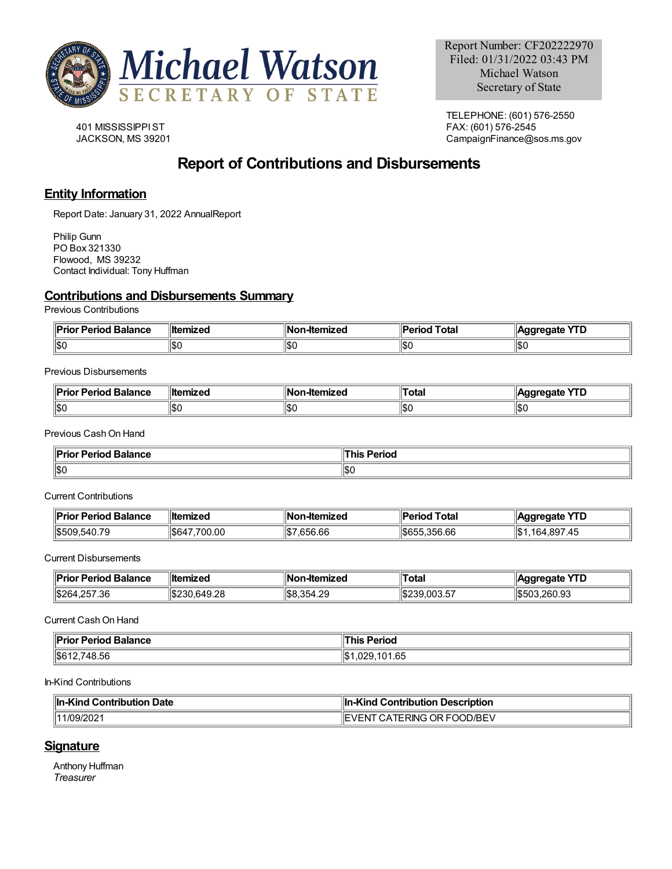

401 MISSISSIPPIST JACKSON, MS 39201

TELEPHONE: (601) 576-2550 FAX: (601) 576-2545 CampaignFinance@sos.ms.gov

# **Report of Contributions and Disbursements**

# **Entity Information**

Report Date: January 31, 2022 AnnualReport

Philip Gunn PO Box 321330 Flowood, MS 39232 Contact Individual: Tony Huffman

# **Contributions and Disbursements Summary**

Previous Contributions

| ¶D⊶i.<br>or Period Balance<br>יונ. | <b>∥ltemized</b> | Nc<br>-Itemized | Total<br>'erioc | $\sqrt{10}$<br>dareaate<br>. . L |
|------------------------------------|------------------|-----------------|-----------------|----------------------------------|
| 11SC                               | ا⊅∪              | 1\$O            | ا ∩∩ا<br>טרטו   | 10.1<br>⊪ວເ                      |

Previous Disbursements

| <b>Balance</b><br>-----<br>$ -$<br>тс | 'llte<br>.   | lN<br>emizec | `otal | не<br>.<br>-- |
|---------------------------------------|--------------|--------------|-------|---------------|
| 11\$0                                 | ا ۱۵<br>שטוו | 11\$C        | ıы    | ∥\$(          |

Previous CashOn Hand

| "פ<br><b>Daviaal</b><br>alance<br>.<br>.<br>. | 51 IUU<br>. |
|-----------------------------------------------|-------------|
| ∥\$0                                          | \$(         |

Current Contributions

| <b>Prior Period Balance</b> | ∥ltemized      | <b>Non-Itemized</b> | d Total<br>Period | <b>YTD</b><br>∥Aggregate                  |
|-----------------------------|----------------|---------------------|-------------------|-------------------------------------------|
| 1\$509.540.79               | .700.00<br>S64 | .656.66<br>11S 7    | \$655.356.66      | ∥\$′<br>.164.897.<br>$\sqrt{5}$<br>. . TV |

Current Disbursements

| <b>"Prior Period Balance</b> | <b>Iltemized</b>                   | ⊪Non<br>n-Itemized    | ™Total                              | <b>YTD</b><br><b>aaregate</b> |
|------------------------------|------------------------------------|-----------------------|-------------------------------------|-------------------------------|
| \$264<br>.257.36             | 0.10,00<br><b>IS230</b><br>.649.28 | $\frac{1}{58.354.29}$ | 0.005<br>$\frac{1}{2}$ \$239.003.57 | 1\$503.260.93                 |

Current CashOn Hand

| <b>Prior Period Balance</b><br>. | <b>Period</b><br><b>his</b> |
|----------------------------------|-----------------------------|
| $\frac{1}{6}612,748.56$          | 101 C E<br>1,029,101.65     |

In-Kind Contributions

| <b>In-Kind Contribution Date</b> | l Contribution Description<br>⊪In-Kind |
|----------------------------------|----------------------------------------|
| 1/09/2021                        | ' CATERING OR FOOD/BEV<br>NL<br>ົ∨ ⊢   |

# **Signature**

Anthony Huffman *Treasurer*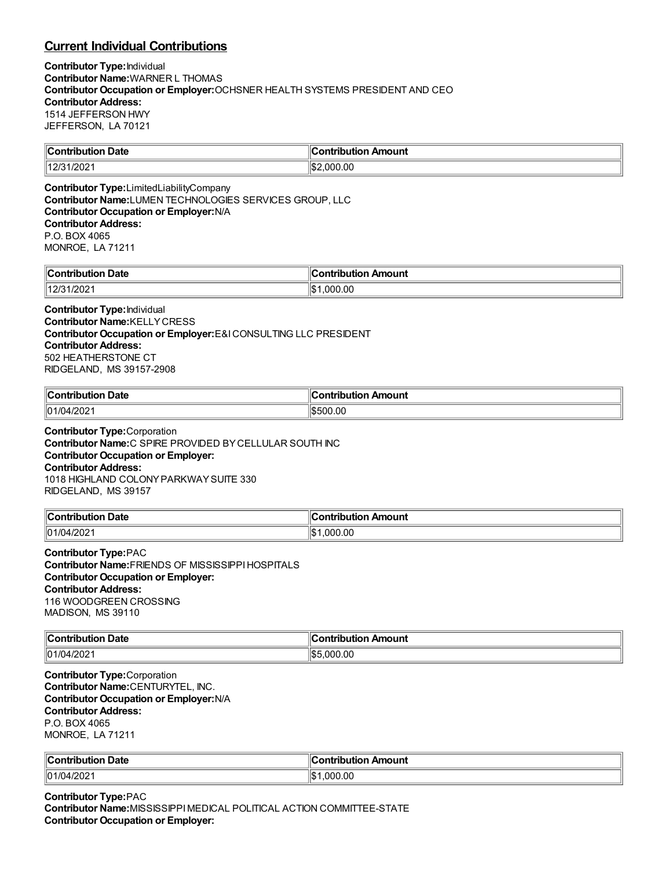# **Current Individual Contributions**

**Contributor Type:**Individual **Contributor Name:**WARNER L THOMAS **Contributor Occupation or Employer:**OCHSNER HEALTH SYSTEMS PRESIDENT AND CEO **Contributor Address:** 1514 JEFFERSON HWY JEFFERSON, LA 70121

| Date<br>`on'<br>.                     | Amount<br>`ontribution |
|---------------------------------------|------------------------|
| 1000<br>14.2 <sup>F</sup><br>7202<br> | ՝∣\$։<br>000.00        |

**Contributor Type:**LimitedLiabilityCompany **Contributor Name:**LUMEN TECHNOLOGIES SERVICES GROUP, LLC **Contributor Occupation or Employer:**N/A **Contributor Address:** P.O. BOX 4065 MONROE, LA 71211

| $\ $ Contribution<br>Date | Amount<br>.<br>----<br>----<br>וחו |
|---------------------------|------------------------------------|
| 1400<br>1/2021<br>ں ہے ا  | ∥\$։<br>.000.00                    |

### **Contributor Type:**Individual **Contributor Name:**KELLYCRESS **Contributor Occupation or Employer:**E&ICONSULTING LLC PRESIDENT **Contributor Address:** 502 HEATHERSTONE CT RIDGELAND, MS 39157-2908

| <b>Contribution</b> |             |
|---------------------|-------------|
| -                   | n Amount    |
| ribution Date       | ontribution |
| 01/04<br>1/202      | 500.00;     |

**Contributor Type:**Corporation **Contributor Name:**C SPIRE PROVIDED BYCELLULAR SOUTH INC **Contributor Occupation or Employer: Contributor Address:** 1018 HIGHLAND COLONYPARKWAYSUITE 330 RIDGELAND, MS 39157

| <b>Contribution</b> | ribution Amount     |
|---------------------|---------------------|
| ribution Date       | `ontribution        |
| 01/04<br>4/202      | .000.00<br>۱¢<br>ыD |

**Contributor Type:**PAC **Contributor Name:**FRIENDS OF MISSISSIPPIHOSPITALS **Contributor Occupation or Employer: Contributor Address:** 116 WOODGREEN CROSSING MADISON, MS 39110

| $\ $ Contribu<br>Date<br><b>Ibutior</b> | on Amount<br><u>aaninin u</u> |
|-----------------------------------------|-------------------------------|
| 01/04/2021<br>. .                       | .00<br>‼?<br>! ) ( ) (        |

**Contributor Type:**Corporation **Contributor Name:**CENTURYTEL, INC. **Contributor Occupation or Employer:**N/A **Contributor Address:** P.O. BOX 4065 MONROE, LA 71211

| ⊪c.<br>Date<br>.<br>. | ı<br>Amount<br>.<br>-----<br>$- - -$ |
|-----------------------|--------------------------------------|
| 01/04<br>1/202'       | 00./<br>000<br>I\$                   |

**Contributor Type:**PAC **Contributor Name:**MISSISSIPPIMEDICAL POLITICAL ACTION COMMITTEE-STATE **Contributor Occupation or Employer:**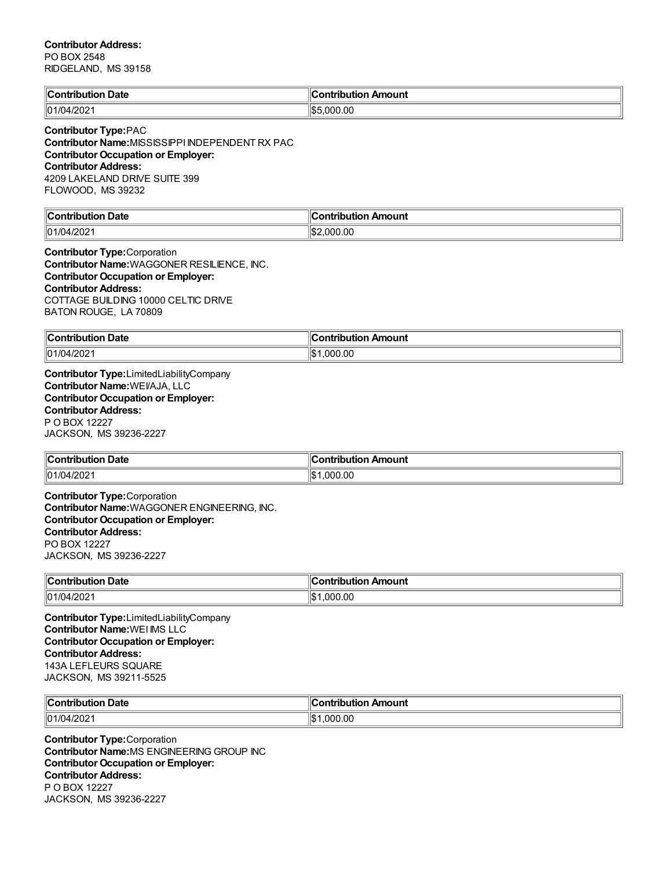### **Contributor Address:** PO BOX 2548

RIDGELAND, MS 39158

| Contribution Date | ⊮<br>Contribution Amount |
|-------------------|--------------------------|
| 01/04/2021        | IIS5<br>000.00.          |

**Contributor Type:**PAC

**Contributor Name:**MISSISSIPPI INDEPENDENT RX PAC **Contributor Occupation or Employer: Contributor Address:** 4209 LAKELAND DRIVE SUITE 399 FLOWOOD, MS 39232

| ∥Contı<br><b>Date</b><br>ribution: | . .<br>∥Contribution Amount |
|------------------------------------|-----------------------------|
| $  01/04/202 \rangle$              | \$2.000.00                  |

**Contributor Type:**Corporation **Contributor Name:**WAGGONER RESILIENCE, INC. **Contributor Occupation or Employer: Contributor Address:** COTTAGE BUILDING 10000 CELTIC DRIVE BATON ROUGE, LA 70809

| ∥Con'                  | วท†rih⊔t           |
|------------------------|--------------------|
| <b>Date</b>            | <b>Amount</b>      |
| rihution.              | ---                |
| .                      |                    |
| $\parallel$ 01/04/2021 | ı<br>.000.00<br>۱Ъ |

**Contributor Type:**LimitedLiabilityCompany **Contributor Name:**WEI/AJA, LLC **Contributor Occupation or Employer: Contributor Address:** P O BOX 12227 JACKSON, MS 39236-2227

| <b>Contribution</b><br><b>Date</b> | n Amount<br>.<br><b>TIDUTIOI</b> |
|------------------------------------|----------------------------------|
| 01/04/2021                         | .00<br>000<br>I\$                |

**Contributor Type:**Corporation **Contributor Name:**WAGGONER ENGINEERING, INC. **Contributor Occupation or Employer: Contributor Address:** PO BOX 12227 JACKSON, MS 39236-2227

| ။င.<br>Date<br>----<br>. | <br>oun.                  |
|--------------------------|---------------------------|
| 01/04<br>4/202           | ۱I¢<br>.00<br>nnı<br>الحل |

**Contributor Type:**LimitedLiabilityCompany **Contributor Name:**WEI IMS LLC **Contributor Occupation or Employer: Contributor Address:** 143A LEFLEURS SQUARE JACKSON, MS 39211-5525

| $\ $ Contribution<br>Date<br>. | . .<br><b>Contribution</b><br>า Amount<br>___ |
|--------------------------------|-----------------------------------------------|
| 01/04/2021                     | 00.000.1<br>∙¢ا<br>ΙΦ                         |

**Contributor Type:**Corporation **Contributor Name:**MS ENGINEERING GROUP INC **Contributor Occupation or Employer: Contributor Address:** P O BOX 12227 JACKSON, MS 39236-2227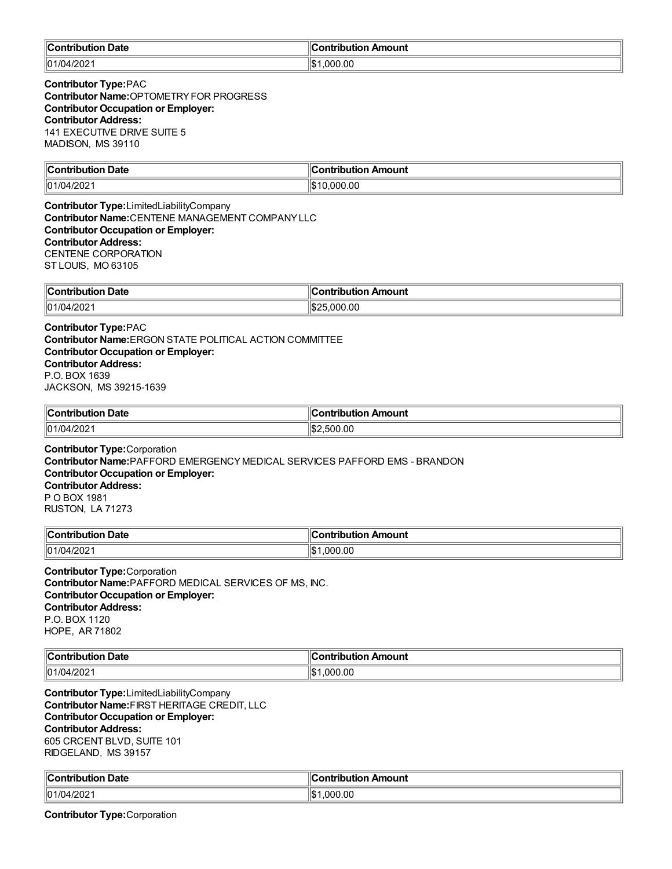| llC.           |              |
|----------------|--------------|
| <b>Date</b>    | Amount       |
| . :ontributior | `ontribution |
|                |              |
| 01/04/202      | 000.00.      |
|                | 1\$          |

**Contributor Type:**PAC **Contributor Name: OPTOMETRY FOR PROGRESS Contributor Occupation or Employer: Contributor Address:** 141 EXECUTIVE DRIVE SUITE 5 MADISON, MS 39110

| ∥Conti                | --------    |
|-----------------------|-------------|
| Date                  | Amount      |
|                       | ---         |
| .                     | .           |
| $  01/04/202 \rangle$ | 00.00<br>Ш¢ |

**Contributor Type:**LimitedLiabilityCompany **Contributor Name:**CENTENE MANAGEMENT COMPANYLLC **Contributor Occupation or Employer: Contributor Address:** CENTENE CORPORATION ST LOUIS, MO 63105

| ∥Contri<br>Date<br>ribution<br>$ -$ | Amount<br>ution<br>. |
|-------------------------------------|----------------------|
| $\parallel$ 01/04/2021              | .000.00              |

**Contributor Type:**PAC **Contributor Name:**ERGON STATE POLITICAL ACTION COMMITTEE **Contributor Occupation or Employer: Contributor Address:** P.O. BOX 1639 JACKSON, MS 39215-1639

| ∥Con<br>Date<br>----<br>TIDUTION<br>$\sim$ $\sim$ $\sim$ $\sim$ $\sim$ $\sim$ $\sim$ | Amount<br>utio<br>------ |
|--------------------------------------------------------------------------------------|--------------------------|
| $\parallel$ 01/04/2021                                                               | 0.00<br>.50C<br>۱.ъ.     |

**Contributor Type:**Corporation **Contributor Name:**PAFFORD EMERGENCYMEDICAL SERVICES PAFFORD EMS - BRANDON **Contributor Occupation or Employer: Contributor Address:** P O BOX 1981 RUSTON, LA 71273

| <b>Contribution Date</b> | on Amount           |
|--------------------------|---------------------|
| _______                  | ontribution         |
| 01/04/2021               | ∥¢<br>.000.00<br>ыu |

**Contributor Type:**Corporation **Contributor Name:**PAFFORD MEDICAL SERVICES OF MS, INC. **Contributor Occupation or Employer: Contributor Address:** P.O. BOX 1120 HOPE, AR 71802

| ။င<br>Date<br>wila mbi a w    | `ontribution<br>Amount |
|-------------------------------|------------------------|
| 1/202<br>$\vert$  01/(<br>171 | .000.00<br>∣∣∩∿<br>יט  |

**Contributor Type:**LimitedLiabilityCompany **Contributor Name:**FIRST HERITAGE CREDIT, LLC **Contributor Occupation or Employer: Contributor Address:** 605 CRCENT BLVD, SUITE 101 RIDGELAND, MS 39157

| $\ $ Cont<br>Date<br>ibution | Amount<br>antribution.      |
|------------------------------|-----------------------------|
| $\ 01/04/202\ $              | ۱۰ ۱۵<br>.000<br>.00<br>۱JD |

**Contributor Type:**Corporation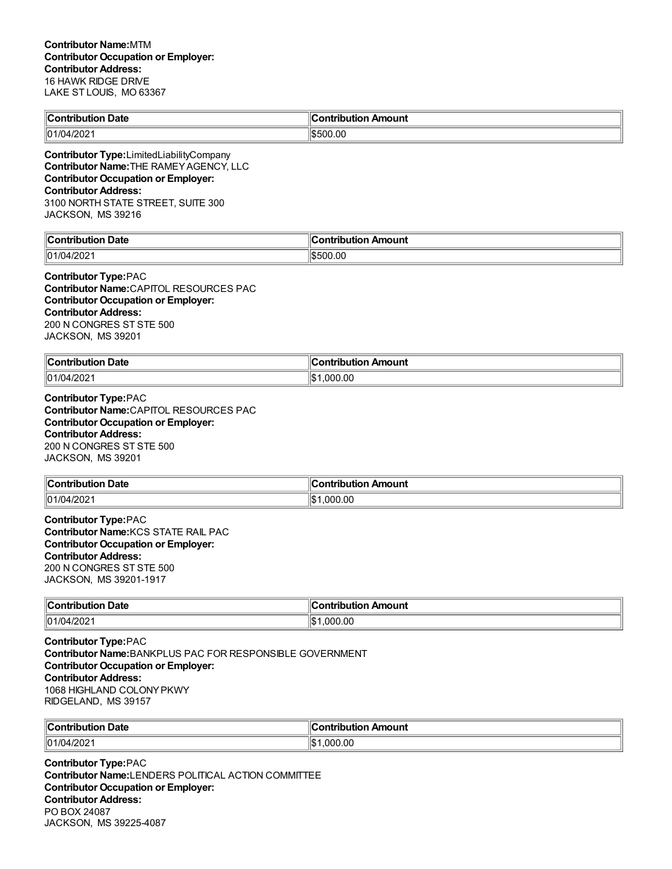| <b>Contributior</b><br><b>Date</b> | . .<br>Amount<br>:^ntrihuti^n |
|------------------------------------|-------------------------------|
| /01/04/202                         | ורסוו                         |

**Contributor Type:**LimitedLiabilityCompany **Contributor Name:**THE RAMEYAGENCY, LLC **Contributor Occupation or Employer: Contributor Address:** 3100 NORTH STATE STREET, SUITE 300 JACKSON, MS 39216

| ∥Co<br>Date<br><b><i><u>The Latitude Community Community Community Community Community Community Community Community Community Community Community Community Community Community Community Community Community Community Community Community Commun</u></i></b><br>. | ۵r<br>Amount<br>.<br>. |
|----------------------------------------------------------------------------------------------------------------------------------------------------------------------------------------------------------------------------------------------------------------------|------------------------|
| 01/04                                                                                                                                                                                                                                                                | 00.,                   |
| 1/202 <sup>4</sup>                                                                                                                                                                                                                                                   | \$500                  |

**Contributor Type:**PAC **Contributor Name:**CAPITOL RESOURCES PAC **Contributor Occupation or Employer: Contributor Address:** 200 N CONGRES ST STE 500 JACKSON, MS 39201

| ∥Cont<br>Date<br>tribution | .<br>Amount<br>.<br>ID  |
|----------------------------|-------------------------|
| 01/04<br>4/202             | .00<br>۱¢<br>ററ<br>ا سا |

**Contributor Type:**PAC **Contributor Name:**CAPITOL RESOURCES PAC **Contributor Occupation or Employer: Contributor Address:** 200 N CONGRES ST STE 500 JACKSON, MS 39201

| ∥Con<br><b>Date</b><br>.<br>юг<br>$\sim$ $\sim$ $\sim$ | Amount<br>.   |
|--------------------------------------------------------|---------------|
| 01/04<br>4/202                                         | 000.00<br>1\$ |

**Contributor Type:**PAC **Contributor Name:**KCS STATE RAIL PAC **Contributor Occupation or Employer: Contributor Address:** 200 N CONGRES ST STE 500 JACKSON, MS 39201-1917

| <b>Contribution Date</b> | <b>Contribution Amount</b> |
|--------------------------|----------------------------|
| $\parallel$ 01/04/2021   | .000.00<br>'\$ا            |

**Contributor Type:**PAC **Contributor Name:**BANKPLUS PAC FOR RESPONSIBLE GOVERNMENT **Contributor Occupation or Employer: Contributor Address:** 1068 HIGHLAND COLONYPKWY RIDGELAND, MS 39157

| "On this is a.<br><b>Date</b><br>. | --<br>ır<br>Amount<br>. |
|------------------------------------|-------------------------|
| 01/04/202                          | 000.00.<br>l\$          |

**Contributor Type:**PAC **Contributor Name:**LENDERS POLITICAL ACTION COMMITTEE **Contributor Occupation or Employer: Contributor Address:** PO BOX 24087 JACKSON, MS 39225-4087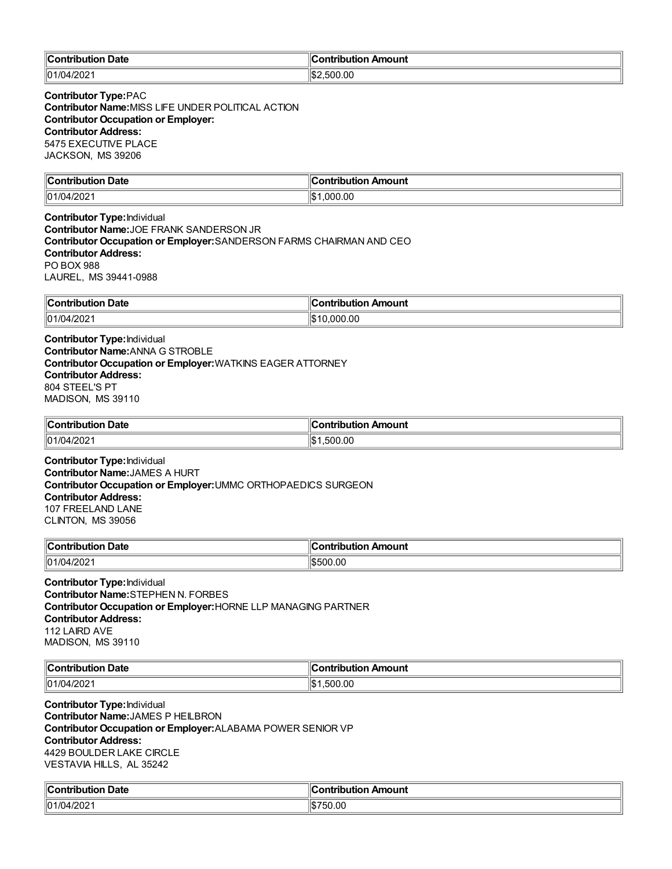| ∥Cont       | . .         |
|-------------|-------------|
| <b>Date</b> | ontribution |
| tribution   | า Amount    |
| 01/04       | 00.ر        |
| פחמו        | 500         |
| 17 LUZ      | ъ.          |

**Contributor Type:**PAC **Contributor Name:**MISS LIFE UNDER POLITICAL ACTION **Contributor Occupation or Employer: Contributor Address:** 5475 EXECUTIVE PLACE JACKSON, MS 39206

| ∥Cor<br><b>Date</b><br>.<br>oution<br>_______ | . .<br>Amount<br><b>⊿ontributior</b><br>$\sim$ $\sim$ $\sim$ $\sim$ $\sim$ $\sim$ |
|-----------------------------------------------|-----------------------------------------------------------------------------------|
| 01/04/2021                                    | 0.000.00<br>ıъ                                                                    |

**Contributor Type:**Individual **Contributor Name:**JOE FRANK SANDERSON JR **Contributor Occupation or Employer:**SANDERSON FARMS CHAIRMAN AND CEO **Contributor Address:** PO BOX 988 LAUREL, MS 39441-0988

| ∣∣ี<br>Date<br>. | dC<br>\mount<br>-----<br>. |
|------------------|----------------------------|
| 01/04            | .000.00                    |
| ″/20∠            | ıα                         |
| _____            | ы.                         |

**Contributor Type:**Individual **Contributor Name:**ANNA G STROBLE **Contributor Occupation or Employer:**WATKINS EAGER ATTORNEY **Contributor Address:** 804 STEEL'S PT MADISON, MS 39110

| <b>Contribution Date</b> | . .<br>ır<br>∶ontribution Amount |
|--------------------------|----------------------------------|
| $  01/04/202 \rangle$    | l\$<br>.500.00                   |

**Contributor Type:**Individual **Contributor Name:**JAMES A HURT **Contributor Occupation or Employer:**UMMC ORTHOPAEDICS SURGEON **Contributor Address:** 107 FREELAND LANE CLINTON, MS 39056

| ⊪∩<br>Date<br>--<br>.      | ``antoin die -<br>122112<br>nount |
|----------------------------|-----------------------------------|
| 101/<br>∩י∩<br>171<br>ZUZ. | 00.00                             |

**Contributor Type:**Individual **Contributor Name:**STEPHEN N. FORBES **Contributor Occupation or Employer:**HORNE LLP MANAGING PARTNER **Contributor Address:** 112 LAIRD AVE MADISON, MS 39110

| ∥Coi<br>Date<br>----<br>. | <b>\moun\</b>                             |
|---------------------------|-------------------------------------------|
| 01/04<br>מחמו<br>11 LUZ   | 16 <sub>m</sub><br>.00<br><br>$\sim$<br>ш |

**Contributor Type:**Individual **Contributor Name:**JAMES P HEILBRON **Contributor Occupation or Employer:**ALABAMA POWER SENIOR VP **Contributor Address:** 4429 BOULDER LAKE CIRCLE VESTAVIA HILLS, AL 35242

| <b>Contribution Date</b> | ∥Contribution Amount |
|--------------------------|----------------------|
| 01/04/2021               | 750.00               |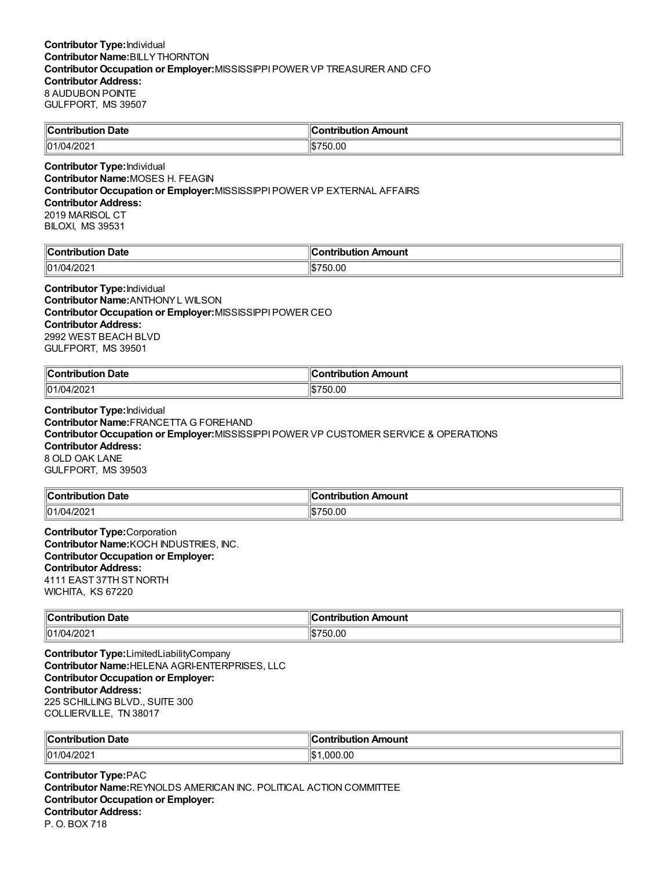| ⊩∩<br><b>Date</b><br>wila unia w | <b>Amount</b><br>`antrihutian |
|----------------------------------|-------------------------------|
| 01/04<br>ഗററ<br>472 U Z          | 0.00                          |

### **Contributor Type:**Individual **Contributor Name:**MOSES H. FEAGIN **Contributor Occupation or Employer:**MISSISSIPPIPOWER VP EXTERNAL AFFAIRS **Contributor Address:** 2019 MARISOL CT BILOXI, MS 39531

| <b>Contribution Date</b> | Contribution Amount   |
|--------------------------|-----------------------|
| 01/04/2021               | 750.00<br>۱σ۲۰<br>۱۰D |

**Contributor Type:**Individual **Contributor Name:**ANTHONYL WILSON **Contributor Occupation or Employer:**MISSISSIPPIPOWER CEO **Contributor Address:** 2992 WEST BEACH BLVD GULFPORT, MS 39501

| $\sim$ ontribus. |      |
|------------------|------|
| Date             | ioun |
| .                |      |
| 101/04           | 0.00 |
| ے∪∠″             | . די |

**Contributor Type:**Individual **Contributor Name:**FRANCETTA G FOREHAND **Contributor Occupation or Employer:**MISSISSIPPIPOWER VP CUSTOMER SERVICE & OPERATIONS **Contributor Address:** 8 OLD OAK LANE GULFPORT, MS 39503

| $\ $ Contribution<br><b>Date</b> | ---------<br>.<br>Amount<br>וטו |
|----------------------------------|---------------------------------|
| $\parallel$ 01/04/2021           | 50.00                           |

**Contributor Type:**Corporation **Contributor Name:**KOCH INDUSTRIES, INC. **Contributor Occupation or Employer: Contributor Address:** 4111 EAST 37TH ST NORTH WICHITA, KS 67220

| ∥Conti<br>Date<br>. | Amount<br>`ontribution |
|---------------------|------------------------|
| 01/04/202           | 50.00<br>⊣১১7<br>וומו  |

**Contributor Type:**LimitedLiabilityCompany **Contributor Name:**HELENA AGRI-ENTERPRISES, LLC **Contributor Occupation or Employer: Contributor Address:** 225 SCHILLING BLVD., SUITE 300 COLLIERVILLE, TN 38017

| ∥Contribut<br>Date<br>.<br>ribution | ، ا<br>Amount<br><b>Ontributior</b> |
|-------------------------------------|-------------------------------------|
| 01/04                               | .000.00                             |
| 1/202                               | '\$∥                                |

**Contributor Type:**PAC **Contributor Name:**REYNOLDS AMERICAN INC. POLITICAL ACTION COMMITTEE **Contributor Occupation or Employer: Contributor Address:** P. O. BOX 718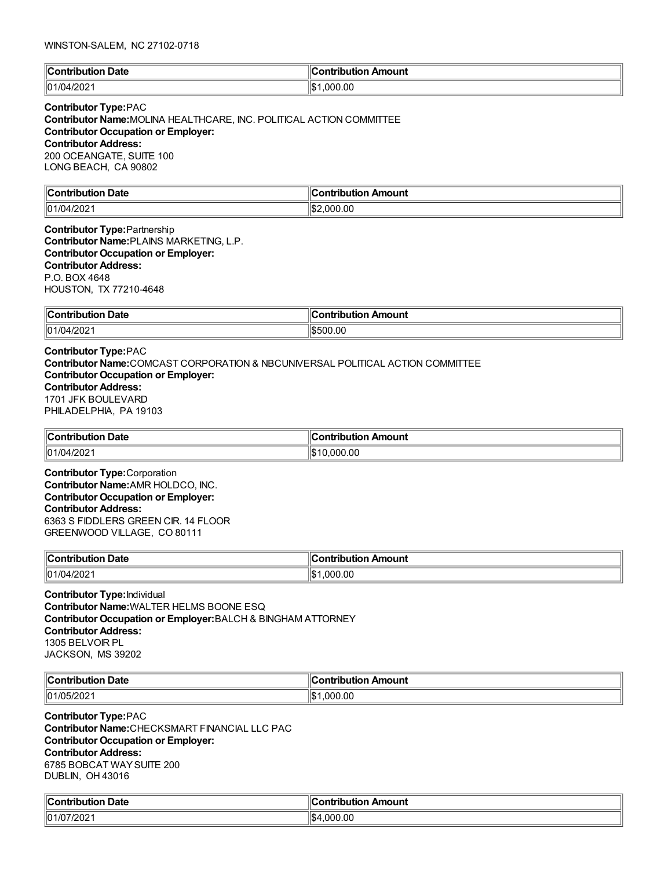| $\mathbb{I}$ C<br><b>Date</b><br>``∩ntrih⊔t⊾ | Amount<br><b>CONTRIBUTION</b> |
|----------------------------------------------|-------------------------------|
| $ 01/04/202\rangle$                          | .000.00<br>⊪^<br>IФ           |

# **Contributor Type:**PAC

**Contributor Name:**MOLINA HEALTHCARE, INC. POLITICAL ACTION COMMITTEE **Contributor Occupation or Employer: Contributor Address:** 200 OCEANGATE, SUITE 100 LONG BEACH, CA 90802

| llC.           |              |
|----------------|--------------|
| <b>Date</b>    | Amount       |
| . :ontributior | 'antrihutian |
|                | .            |
| 01/04/202      | 000.00       |
|                | 'IS.         |

### **Contributor Type:**Partnership **Contributor Name:**PLAINS MARKETING, L.P. **Contributor Occupation or Employer: Contributor Address:** P.O. BOX 4648 HOUSTON, TX 77210-4648

| <b>Contribution</b> | `ontribut.                         |
|---------------------|------------------------------------|
| <b>Date</b>         | Amount                             |
| . .                 | ---                                |
|                     | $\sim$ $\sim$ $\sim$ $\sim$ $\sim$ |
| ll01/04/2021        | 500.00;                            |
|                     | וו והאוו                           |

## **Contributor Type:**PAC **Contributor Name:**COMCAST CORPORATION & NBCUNIVERSAL POLITICAL ACTION COMMITTEE **Contributor Occupation or Employer: Contributor Address:** 1701 JFK BOULEVARD PHILADELPHIA, PA 19103

| $\infty$ ontribution<br>Date<br>. | ontribut.<br>Amount<br>. |
|-----------------------------------|--------------------------|
| $\parallel$ 01/04/202             | 00.00. .                 |
|                                   | . I W                    |

**Contributor Type:**Corporation **Contributor Name:**AMR HOLDCO, INC. **Contributor Occupation or Employer: Contributor Address:** 6363 S FIDDLERS GREEN CIR. 14 FLOOR GREENWOOD VILLAGE, CO 80111

| $\ $ Contribution      | Amount            |
|------------------------|-------------------|
| Date                   | ution             |
| $ -$                   | .                 |
|                        |                   |
| $\parallel$ 01/04/2021 | 0.00<br>nnn<br>ıъ |

**Contributor Type:**Individual **Contributor Name:**WALTER HELMS BOONE ESQ **Contributor Occupation or Employer:**BALCH & BINGHAM ATTORNEY **Contributor Address:** 1305 BELVOIR PL JACKSON, MS 39202

| ∥Coı    | ır       |
|---------|----------|
| ⊦ Date  | ı Amount |
| .       | .        |
| ли.     | .        |
| 01/05/2 | .00      |
| F/222   | nne      |
| $20$ ∠  | I\$      |

**Contributor Type:**PAC **Contributor Name:**CHECKSMART FINANCIAL LLC PAC **Contributor Occupation or Employer: Contributor Address:** 6785 BOBCAT WAYSUITE 200 DUBLIN, OH 43016

| $\epsilon$<br>Date<br>`ontribution_ | <b>Contribution Amount</b> |
|-------------------------------------|----------------------------|
| 101/0<br>7/202'                     | .000.00<br>ᡰ᠊<br>154       |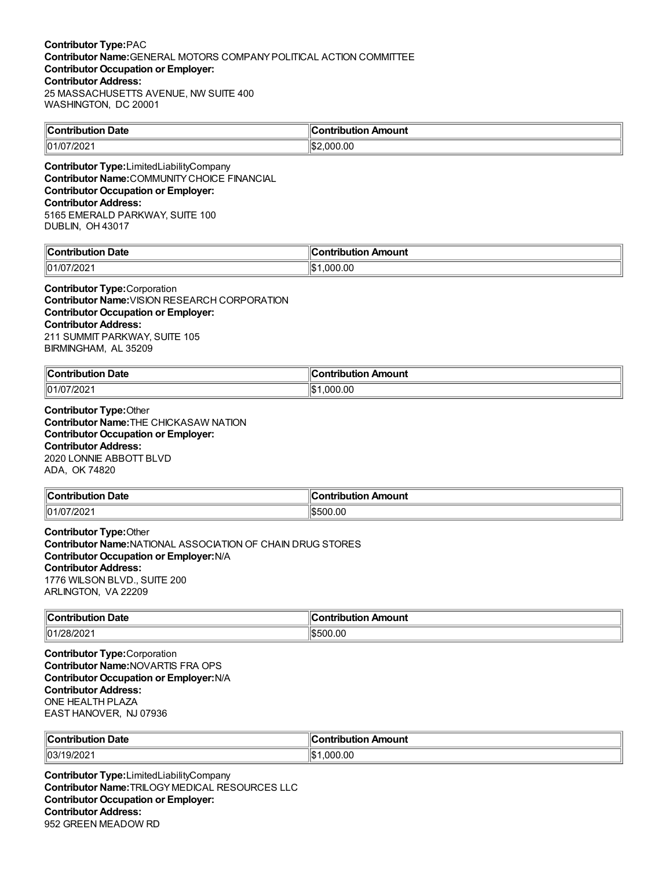### **Contributor Type:**PAC **Contributor Name:**GENERAL MOTORS COMPANYPOLITICAL ACTION COMMITTEE **Contributor Occupation or Employer: Contributor Address:** 25 MASSACHUSETTS AVENUE, NW SUITE 400 WASHINGTON, DC 20001

| <b>Contribution Date</b> | Contribution Amount?  |
|--------------------------|-----------------------|
| 01/07/2021               | $\frac{1}{2}2.000.00$ |
|                          |                       |

**Contributor Type:**LimitedLiabilityCompany **Contributor Name:**COMMUNITYCHOICE FINANCIAL **Contributor Occupation or Employer: Contributor Address:** 5165 EMERALD PARKWAY, SUITE 100 DUBLIN, OH 43017

| $\mathbb{I}$ C<br><b>Date</b><br>----- | Amount<br>----          |
|----------------------------------------|-------------------------|
| $\parallel$ 01/C<br>∠∪∠                | ۱I¢<br>.00<br>nnı<br>ыn |

**Contributor Type:**Corporation **Contributor Name:**VISION RESEARCH CORPORATION **Contributor Occupation or Employer: Contributor Address:** 211 SUMMIT PARKWAY, SUITE 105 BIRMINGHAM, AL 35209

| ∥Cor<br>ontribution Date | Amount<br>----<br>$\ldots$ on $\ldots$<br>tion<br>IDUU |
|--------------------------|--------------------------------------------------------|
| 101/07/2021              | ∥\$∶<br>.000.00                                        |

**Contributor Type:**Other **Contributor Name:**THE CHICKASAW NATION **Contributor Occupation or Employer: Contributor Address:** 2020 LONNIE ABBOTT BLVD ADA, OK 74820

| $\ $ Contribution | Amount       |
|-------------------|--------------|
| → Date            | .ontribution |
| 01/07/202         | \$500.00     |

**Contributor Type:**Other **Contributor Name:**NATIONAL ASSOCIATION OF CHAIN DRUG STORES **Contributor Occupation or Employer:**N/A **Contributor Address:** 1776 WILSON BLVD., SUITE 200 ARLINGTON, VA 22209

| $\ $ Contribution<br>Date<br>. | Amount<br>.<br>ш<br>ורזו |
|--------------------------------|--------------------------|
| 01/28/202                      | 500.00<br>$\sqrt{2}$     |

**Contributor Type:**Corporation **Contributor Name:**NOVARTIS FRA OPS **Contributor Occupation or Employer:**N/A **Contributor Address:** ONE HEALTH PLAZA EAST HANOVER, NJ 07936

| ∣∣ี            | ontribution                  |
|----------------|------------------------------|
| <b>Date</b>    | າ Amount                     |
| ∴⊸ontribu+i∽   | ∪onti                        |
| 03/1<br>19/202 | $\sim$<br>.000<br>′8∖<br>.ut |

**Contributor Type:**LimitedLiabilityCompany **Contributor Name:**TRILOGYMEDICAL RESOURCES LLC **Contributor Occupation or Employer: Contributor Address:** 952 GREEN MEADOW RD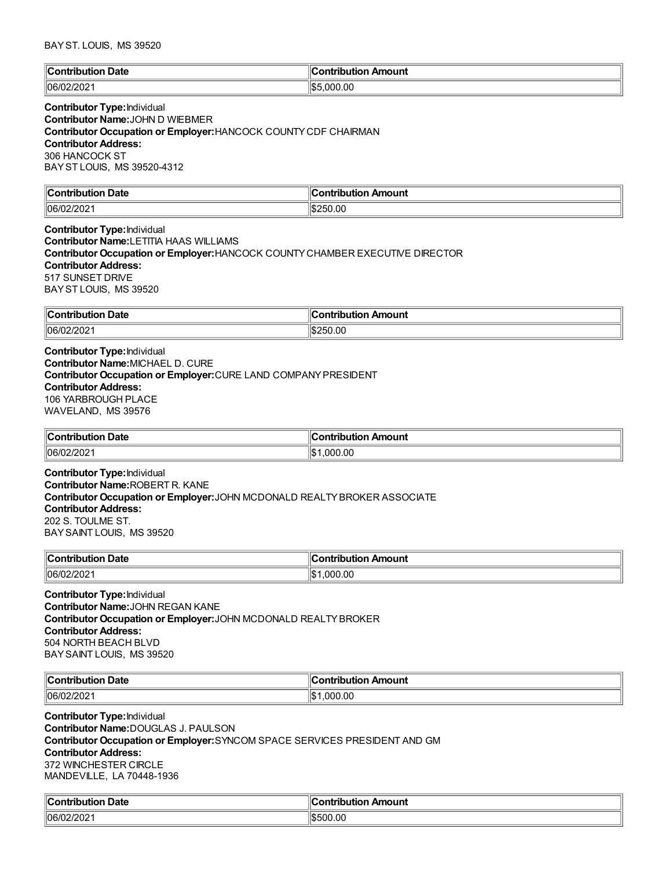### BAYST. LOUIS, MS 39520

| $\mathbb{R}$<br>Date<br>:ontributio<br>10 m<br>. | Amount<br><b>Contribution</b> |
|--------------------------------------------------|-------------------------------|
| 106/02                                           | .000.00                       |
| 2/202                                            | 川むに                           |

# **Contributor Type:**Individual

**Contributor Name:**JOHN D WIEBMER **Contributor Occupation or Employer:**HANCOCK COUNTYCDF CHAIRMAN **Contributor Address:** 306 HANCOCK ST BAYST LOUIS, MS 39520-4312

| ∜Со.<br>. Date<br><b>ALCOHOL:</b><br>.<br><b>IDULIOI</b> | วทtribution Amount |
|----------------------------------------------------------|--------------------|
| 06/<br>LUL                                               | 250.00             |

### **Contributor Type:**Individual **Contributor Name:**LETITIA HAAS WILLIAMS **Contributor Occupation or Employer:**HANCOCK COUNTYCHAMBER EXECUTIVE DIRECTOR **Contributor Address:** 517 SUNSET DRIVE BAYST LOUIS, MS 39520

| ∥Con<br>Date<br>.<br>.<br>1010 | Amount<br>.<br>---<br>. ID |
|--------------------------------|----------------------------|
| $ 06/0^{\circ} $               | .00                        |
| "                              | ١đ                         |
| 14 U 4                         | J L                        |

**Contributor Type:**Individual **Contributor Name:**MICHAEL D. CURE **Contributor Occupation or Employer:**CURE LAND COMPANYPRESIDENT **Contributor Address:** 106 YARBROUGH PLACE WAVELAND, MS 39576

| ∥Coı<br><b>ontribution Date</b> | <br>n Amount<br><b>Contribution</b> |
|---------------------------------|-------------------------------------|
| 106/02/2021                     | 000.00. ا<br>ıъ                     |

**Contributor Type:**Individual **Contributor Name:**ROBERT R. KANE **Contributor Occupation or Employer:**JOHN MCDONALD REALTYBROKER ASSOCIATE **Contributor Address:** 202 S. TOULME ST. BAYSAINT LOUIS, MS 39520

| llCo⊫        | Amount                  |
|--------------|-------------------------|
| Date         | .                       |
| .            | ---                     |
| .            |                         |
| 06/0;<br>ZUZ | ∥¢<br>00. (<br>nn<br>ιω |

**Contributor Type:**Individual **Contributor Name:**JOHN REGAN KANE **Contributor Occupation or Employer:**JOHN MCDONALD REALTYBROKER **Contributor Address:** 504 NORTH BEACH BLVD BAYSAINT LOUIS, MS 39520

| ∥Coı<br>∣ Date | .IC<br>Amount<br>.<br>. |
|----------------|-------------------------|
| 106/C<br>2UZ   | .00<br>nnr<br>I\$       |

**Contributor Type:**Individual **Contributor Name:**DOUGLAS J. PAULSON **Contributor Occupation or Employer:**SYNCOM SPACE SERVICES PRESIDENT AND GM **Contributor Address:** 372 WINCHESTER CIRCLE MANDEVILLE, LA 70448-1936

| <b>Contribution Date</b> | Contribution Amount |
|--------------------------|---------------------|
| $ 06/02/202\rangle$      | \$500.00            |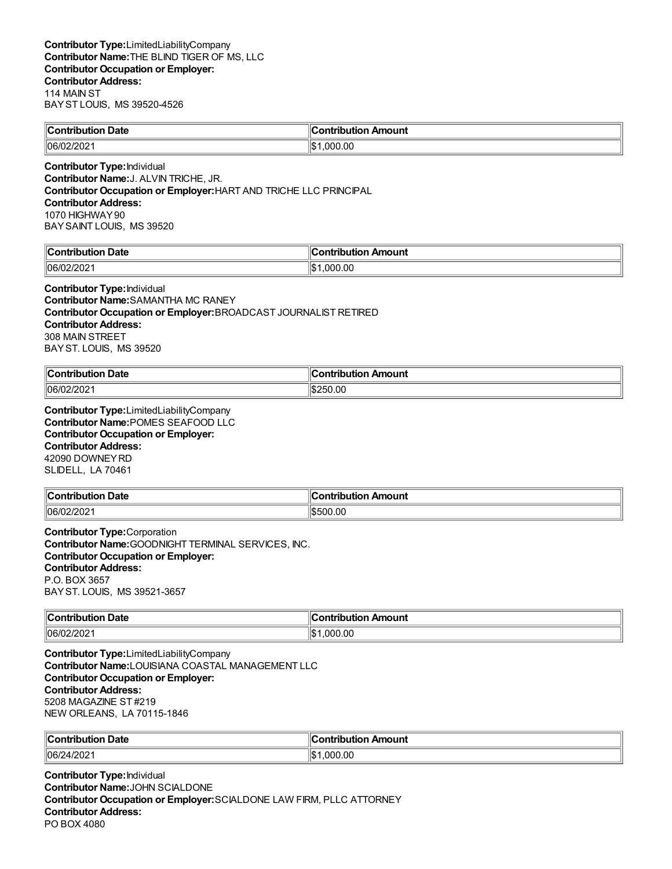| a Amount |
|----------|
|          |
|          |

**Contributor Type:**Individual **Contributor Name:**J. ALVIN TRICHE, JR. **Contributor Occupation or Employer:**HART AND TRICHE LLC PRINCIPAL **Contributor Address:** 1070 HIGHWAY90 BAYSAINT LOUIS, MS 39520

| $\mathbb{C}$<br>Jate<br>∴~~<br>ш | `ontribut<br>Amount<br>---- |
|----------------------------------|-----------------------------|
| $\parallel$ 06/0<br>- UZ         | .00<br>۱¢<br>noo<br>۱JD     |

**Contributor Type:**Individual **Contributor Name:**SAMANTHA MC RANEY **Contributor Occupation or Employer:**BROADCAST JOURNALIST RETIRED **Contributor Address:** 308 MAIN STREET BAYST. LOUIS, MS 39520

| <b>Contribution Date</b> | Contribution Amount |
|--------------------------|---------------------|
| 06/02/202                | 1\$250.00           |

**Contributor Type:**LimitedLiabilityCompany **Contributor Name:**POMES SEAFOOD LLC **Contributor Occupation or Employer: Contributor Address:** 42090 DOWNEYRD SLIDELL, LA 70461

| ∥Con'<br>Date<br>mila mina w<br>mr | Amount<br>.<br>⊔ti∩n |
|------------------------------------|----------------------|
| 06/02<br>רחריו<br>72 U Z           | \$500.00             |

**Contributor Type:**Corporation **Contributor Name:**GOODNIGHT TERMINAL SERVICES, INC. **Contributor Occupation or Employer: Contributor Address:** P.O. BOX 3657 BAYST. LOUIS, MS 39521-3657

| $\mathsf{C}$ ontribution<br>Date | <b>\mouni</b><br>.<br>---- |
|----------------------------------|----------------------------|
| 106/C                            | ⊪c                         |
| ∠∪∠                              | റവ                         |
|                                  | ا سا                       |

**Contributor Type:**LimitedLiabilityCompany **Contributor Name:**LOUISIANA COASTAL MANAGEMENT LLC **Contributor Occupation or Employer: Contributor Address:** 5208 MAGAZINE ST #219 NEW ORLEANS, LA 70115-1846

| <sup>∖</sup> Cont.<br><br>tributior،<br>Date | Amount<br>.<br>.          |
|----------------------------------------------|---------------------------|
| 06/2<br>. 20<br>412 U Z                      | 000<br>⊪ດ∾<br>'.UU<br>הוו |

**Contributor Type:**Individual **Contributor Name:**JOHN SCIALDONE **Contributor Occupation or Employer:**SCIALDONE LAW FIRM, PLLC ATTORNEY **Contributor Address:** PO BOX 4080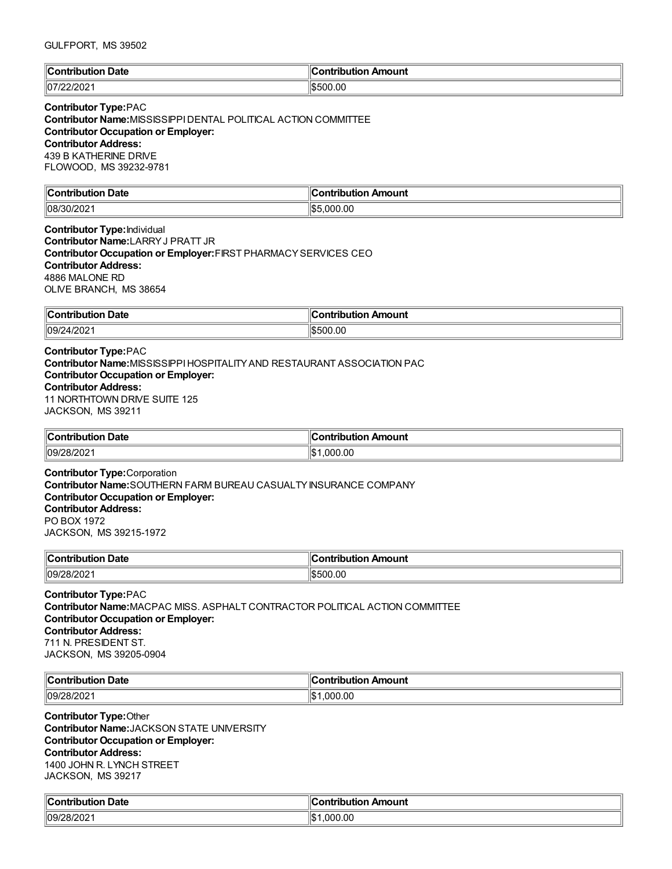| <b>Contribution Date</b> | Contribution Amount |
|--------------------------|---------------------|
| 107/22/2021              | \$500.00            |

### **Contributor Type:**PAC

**Contributor Name:**MISSISSIPPIDENTAL POLITICAL ACTION COMMITTEE **Contributor Occupation or Employer: Contributor Address:** 439 B KATHERINE DRIVE FLOWOOD, MS 39232-9781

| llC                         |                                        |
|-----------------------------|----------------------------------------|
| <b>Date</b>                 | `ontribution                           |
| ™ih⊔ti⊾                     | <b>\mount</b>                          |
|                             |                                        |
| $\parallel$ 08/ $\sim$<br>ີ | ۱¢۱<br>,000.00<br>ьn.<br>$\sim$ $\sim$ |

**Contributor Type:**Individual **Contributor Name:**LARRYJ PRATT JR **Contributor Occupation or Employer:**FIRST PHARMACYSERVICES CEO **Contributor Address:** 4886 MALONE RD OLIVE BRANCH, MS 38654

| -<br><b>Contribution</b><br><b>Date</b><br>`ion.<br>$ -$ | Amount<br>ontribut.<br>. |
|----------------------------------------------------------|--------------------------|
| ll09/24/2021                                             | 500.00<br>וו והאוו       |

# **Contributor Type:**PAC **Contributor Name:**MISSISSIPPIHOSPITALITYAND RESTAURANT ASSOCIATION PAC **Contributor Occupation or Employer: Contributor Address:** 11 NORTHTOWN DRIVE SUITE 125 JACKSON, MS 39211

| ∥Con<br>Date<br>mila mina w<br>TIDUUON | Contribution Amount   |
|----------------------------------------|-----------------------|
| $\parallel$ 09/2<br>- UZ               | $\sim$<br>'ነሱ.<br>റററ |

**Contributor Type:**Corporation **Contributor Name:**SOUTHERN FARM BUREAU CASUALTYINSURANCE COMPANY **Contributor Occupation or Employer: Contributor Address:** PO BOX 1972 JACKSON, MS 39215-1972

| $^{\circ}$ Contribution | Amount                                    |
|-------------------------|-------------------------------------------|
| Date                    | ntribut.                                  |
| nouuv                   | .                                         |
|                         | $\sim$ $\sim$ $\sim$ $\sim$ $\sim$ $\sim$ |
| 09/28/202               | \$500.00                                  |

### **Contributor Type:**PAC **Contributor Name:**MACPAC MISS. ASPHALT CONTRACTOR POLITICAL ACTION COMMITTEE **Contributor Occupation or Employer: Contributor Address:** 711 N. PRESIDENT ST. JACKSON, MS 39205-0904

| $\ $ Contribution<br>Date | <br>n Amount<br>ontribution |
|---------------------------|-----------------------------|
| $\sim$ 1000               | .00                         |
| 09/                       | იიი                         |
| _∪∠                       | ۱Ъ                          |

**Contributor Type:**Other **Contributor Name:**JACKSON STATE UNIVERSITY **Contributor Occupation or Employer: Contributor Address:** 1400 JOHN R. LYNCH STREET JACKSON, MS 39217

| $\mathbb{C}$<br>Date<br>∴~~<br>trihi ition | Amount<br>`ontribut<br>--- |
|--------------------------------------------|----------------------------|
| 09/28/202                                  | ∥\$<br>.000.00             |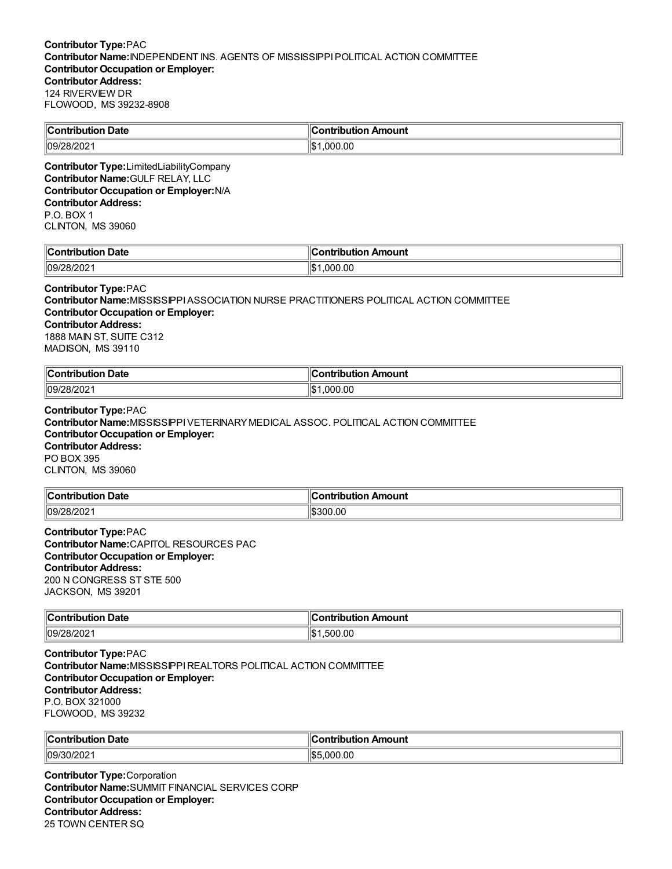| <b>Contribution Date</b>                                                                     | <b>Contribution Amount</b> |
|----------------------------------------------------------------------------------------------|----------------------------|
| 109/28/2021                                                                                  | IS1.000.00                 |
| <b>Contributor Type:</b> LimitedLiabilityCompany<br><b>Contributor Name: GULF RELAY, LLC</b> |                            |

**Contributor Occupation or Employer:**N/A **Contributor Address:** P.O. BOX 1 CLINTON, MS 39060

| ∥Сω                      | K                  |
|--------------------------|--------------------|
| Date                     |                    |
| ∴ontrih⊔r                | on Amount          |
| ----                     | -----              |
| י נ                      | ----               |
| יטו                      | וטו                |
| $\parallel$ 09/2<br>uzuz | .00<br>11\$<br>nn' |

#### **Contributor Type:**PAC

**Contributor Name:**MISSISSIPPIASSOCIATION NURSE PRACTITIONERS POLITICAL ACTION COMMITTEE **Contributor Occupation or Employer: Contributor Address:** 1888 MAIN ST, SUITE C312 MADISON, MS 39110

| <b>Date</b><br>$\ $ Contribution | . .<br>Amount<br><b>∍ontributio</b> r |
|----------------------------------|---------------------------------------|
| 09/28/202                        | 000.00. ا<br><br>ıъ                   |

# **Contributor Type:**PAC

**Contributor Name:**MISSISSIPPIVETERINARYMEDICAL ASSOC. POLITICAL ACTION COMMITTEE **Contributor Occupation or Employer: Contributor Address:** PO BOX 395 CLINTON, MS 39060

| ∥Coi           | Amount          |
|----------------|-----------------|
| <b>Date</b>    | . <b>.</b>      |
|                | ----            |
| 109/2<br>OIZUZ | .00<br>١Φ<br>30 |

# **Contributor Type:**PAC **Contributor Name:**CAPITOL RESOURCES PAC

**Contributor Occupation or Employer: Contributor Address:** 200 N CONGRESS ST STE 500 JACKSON, MS 39201

| $\ $ Contribution<br><b>Date</b>                 | งท Amount<br>a a confinente e contro<br>----<br>ndu |
|--------------------------------------------------|-----------------------------------------------------|
| $\sim$<br>  09 <sup>r</sup><br><sup>38/202</sup> | ۱I¢<br>.00<br>$\sim$<br>500<br>. L.P                |

**Contributor Type:**PAC **Contributor Name:**MISSISSIPPIREALTORS POLITICAL ACTION COMMITTEE **Contributor Occupation or Employer: Contributor Address:** P.O. BOX 321000 FLOWOOD, MS 39232

| ∣∣ี                        | ı Amount                              |
|----------------------------|---------------------------------------|
| <b>Date</b>                | ontribution                           |
| .                          | ™Jonu                                 |
| $\parallel$ 09/3<br>'0/202 | $\sim$<br>ا ۱۴۰۰<br>noo.<br>יי<br>.ut |

**Contributor Type:**Corporation **Contributor Name:**SUMMIT FINANCIAL SERVICES CORP **Contributor Occupation or Employer: Contributor Address:** 25 TOWN CENTER SQ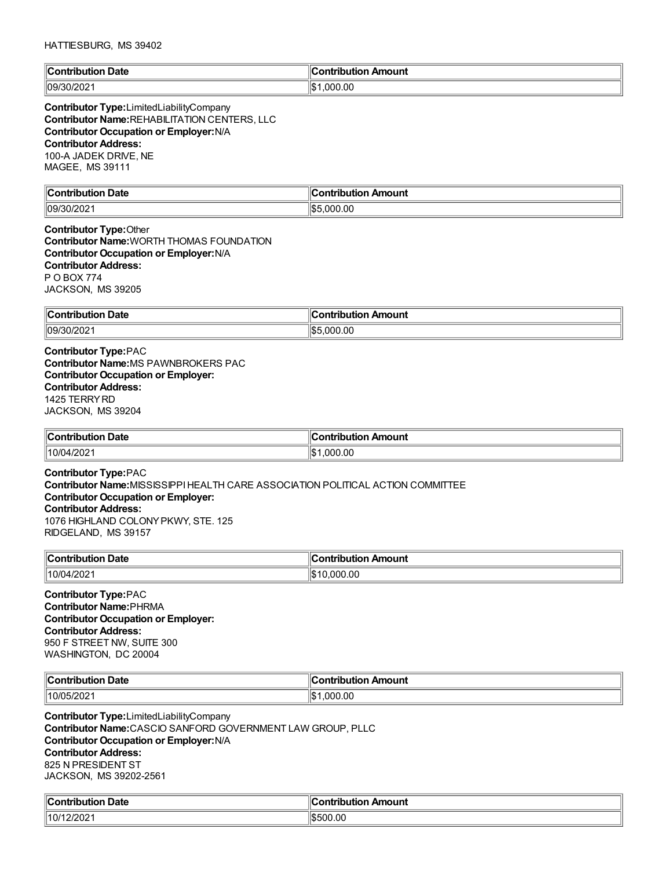| llC<br>Date<br>∴or'<br>'ibution | Amount<br><b>contribution</b> |
|---------------------------------|-------------------------------|
| 09/30/202                       | .000.00                       |
| $-$ UZUZI                       | ll¢                           |

**Contributor Type:**LimitedLiabilityCompany **Contributor Name:**REHABILITATION CENTERS, LLC **Contributor Occupation or Employer:**N/A **Contributor Address:** 100-A JADEK DRIVE, NE MAGEE, MS 39111

| llC          |                                        |
|--------------|----------------------------------------|
| <b>Date</b>  | `ontribution                           |
| ™ih⊔ti⊾      | <b>\mount</b>                          |
|              |                                        |
| 09/30<br>∸∪∠ | ۱¢۱<br>,000.00<br>ьn.<br>$\sim$ $\sim$ |

**Contributor Type:**Other **Contributor Name:**WORTH THOMAS FOUNDATION **Contributor Occupation or Employer:**N/A **Contributor Address:** P O BOX 774 JACKSON, MS 39205

| Contribution<br><b>Date</b>        | n Amount<br>ontribut.<br>. |
|------------------------------------|----------------------------|
| )/202<br>$^{\prime\prime}$ 09/30/. | \$5,000.00                 |

**Contributor Type:**PAC **Contributor Name:**MS PAWNBROKERS PAC **Contributor Occupation or Employer: Contributor Address:** 1425 TERRYRD JACKSON, MS 39204

| <b>Contribution Date</b> | ontribution Amount |
|--------------------------|--------------------|
| 10/04/2021               | 1.000.00<br>I\$    |

**Contributor Type:**PAC **Contributor Name:**MISSISSIPPIHEALTH CARE ASSOCIATION POLITICAL ACTION COMMITTEE **Contributor Occupation or Employer: Contributor Address:** 1076 HIGHLAND COLONYPKWY, STE. 125 RIDGELAND, MS 39157

| $\mathsf{C}$ ontribution<br>Date<br>nouuoi<br>שט | ำntrihut⊾<br>Amount<br>.<br>$\sim$ $\sim$ $\sim$ $\sim$ $\sim$ $\sim$ |
|--------------------------------------------------|-----------------------------------------------------------------------|
| 10/04/2021                                       | .000.00<br>س∝                                                         |

**Contributor Type:**PAC **Contributor Name:**PHRMA **Contributor Occupation or Employer: Contributor Address:** 950 F STREET NW, SUITE 300 WASHINGTON, DC 20004

| llCoi<br>Date<br>.<br>. | . 17<br>Amount<br>- -- -<br>. |
|-------------------------|-------------------------------|
| 10/05/2021/             | .00<br>1\$<br>.000            |

**Contributor Type:**LimitedLiabilityCompany **Contributor Name:**CASCIO SANFORD GOVERNMENT LAW GROUP, PLLC **Contributor Occupation or Employer:**N/A **Contributor Address:** 825 N PRESIDENT ST JACKSON, MS 39202-2561

| ∥Cω                | :ontribution     |
|--------------------|------------------|
| Contribution Date: | ribution Amount: |
| 10/1<br>12/2021    | \$500.00         |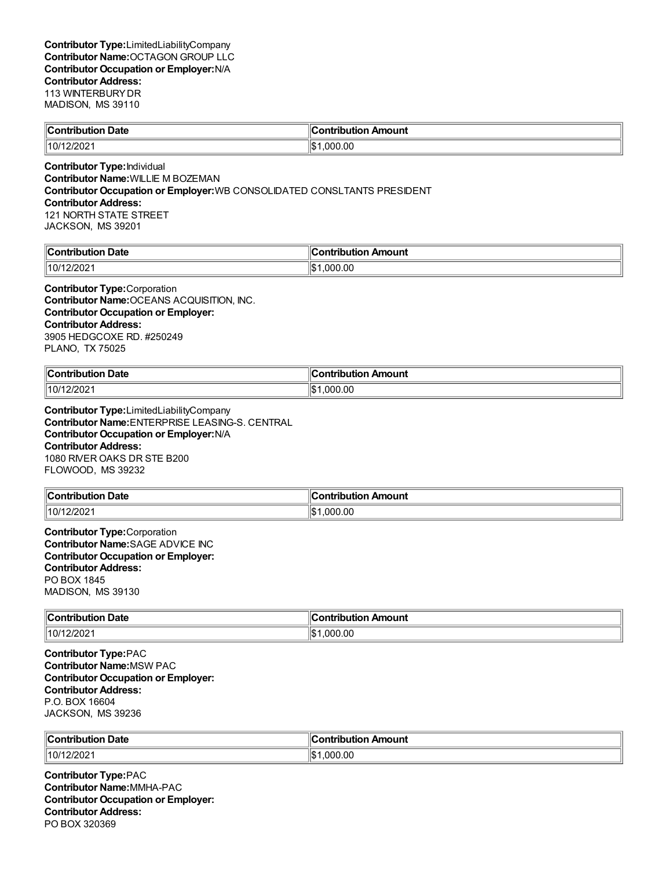| Contribution Date | ∥Contribution Amount |
|-------------------|----------------------|
| 10/12/2021        | 1.000.00             |
|                   |                      |

**Contributor Type:**Individual **Contributor Name:**WILLIE M BOZEMAN **Contributor Occupation or Employer:**WB CONSOLIDATED CONSLTANTS PRESIDENT **Contributor Address:** 121 NORTH STATE STREET JACKSON, MS 39201

| <b>Contribution Date</b> | <br>∥Contribution Amount |
|--------------------------|--------------------------|
| 2/2021<br>110/1          | .000.00                  |

**Contributor Type:**Corporation **Contributor Name:**OCEANS ACQUISITION, INC. **Contributor Occupation or Employer: Contributor Address:** 3905 HEDGCOXE RD. #250249 PLANO, TX 75025

| <b>Contribution Date</b> | <b>Contribution Amount</b> |
|--------------------------|----------------------------|
| 10/12/2021               | .000.00<br>$\mathbf{A}$    |

**Contributor Type:**LimitedLiabilityCompany **Contributor Name:**ENTERPRISE LEASING-S. CENTRAL **Contributor Occupation or Employer:**N/A **Contributor Address:** 1080 RIVER OAKS DR STE B200 FLOWOOD, MS 39232

| → Date<br>$\ $ Contribution | า Amount<br>→ntribut⊪.<br>.    |
|-----------------------------|--------------------------------|
| $\parallel$ 10/12/2021      | 1.000.00<br>$\mathbf{A}$<br>υ⊍ |

**Contributor Type:**Corporation **Contributor Name:**SAGE ADVICE INC **Contributor Occupation or Employer: Contributor Address:** PO BOX 1845 MADISON, MS 39130

| $\ $ Contribution | Amount                           |
|-------------------|----------------------------------|
| Date              | ontribution                      |
| .                 |                                  |
| 10/12/202         | 0.00<br>$\mathbf{A}$<br>nnr<br>w |

**Contributor Type:**PAC **Contributor Name:**MSW PAC **Contributor Occupation or Employer: Contributor Address:** P.O. BOX 16604 JACKSON, MS 39236

| ∥Coı          | ı                 |
|---------------|-------------------|
| Date          | nount             |
| .             |                   |
| .             |                   |
| .             |                   |
| 10/1<br>2/202 | l\$<br>.00<br>იიი |

**Contributor Type:**PAC **Contributor Name:**MMHA-PAC **Contributor Occupation or Employer: Contributor Address:** PO BOX 320369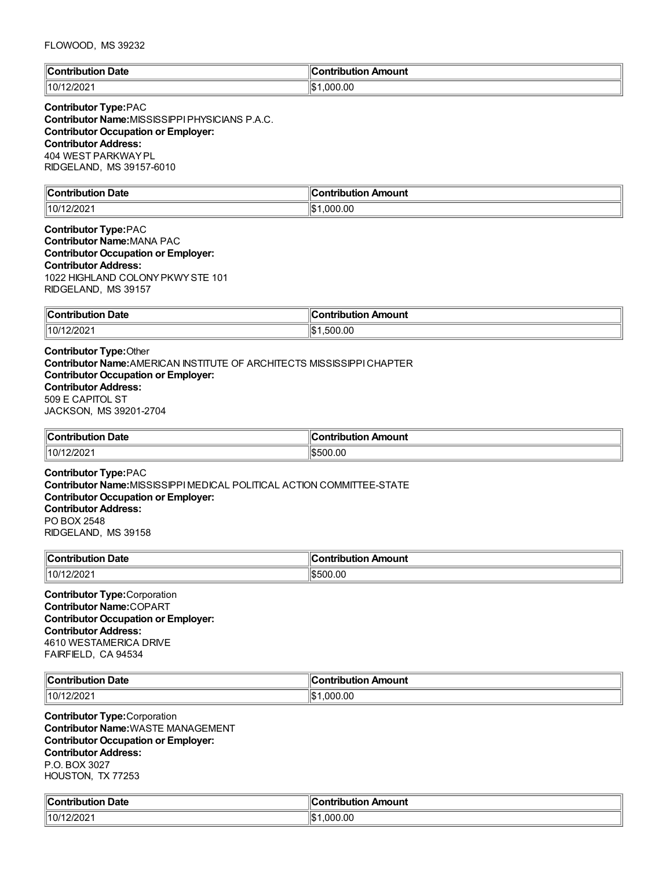### FLOWOOD, MS 39232

| llC                           | Amount         |
|-------------------------------|----------------|
| Jate                          | trihution.     |
| ാന്                           | <u>ant</u>     |
| 'ih⊔ti∩n                      | שוי            |
| .                             |                |
| 12/202 <sup>.</sup><br>  10/1 | .000.00<br>llo |

### **Contributor Type:**PAC **Contributor Name:**MISSISSIPPIPHYSICIANS P.A.C. **Contributor Occupation or Employer: Contributor Address:** 404 WEST PARKWAYPL RIDGELAND, MS 39157-6010

| <b>Contribution Date</b> | $\,$ Contribution Amount $\,$ |
|--------------------------|-------------------------------|
| 12/2021<br>10/1          | ∥\$∙<br>000.00.1              |
|                          |                               |

# **Contributor Type:**PAC **Contributor Name:**MANA PAC **Contributor Occupation or Employer: Contributor Address:** 1022 HIGHLAND COLONYPKWYSTE 101 RIDGELAND, MS 39157

| Contribution<br>Date<br>чног<br> | Amount<br>----      |
|----------------------------------|---------------------|
| 12/202<br>.10/1                  | .00<br>١\$۰<br>.500 |

# **Contributor Type:**Other **Contributor Name:**AMERICAN INSTITUTE OF ARCHITECTS MISSISSIPPICHAPTER **Contributor Occupation or Employer: Contributor Address:** 509 E CAPITOL ST JACKSON, MS 39201-2704

| <b>Contribution Date</b>                                | $\ $ Contribution Amount |
|---------------------------------------------------------|--------------------------|
| 10/12/2021                                              | \$500.00                 |
| $\sim$ $\sim$ $\sim$ $\sim$ $\sim$ $\sim$ $\sim$ $\sim$ |                          |

**Contributor Type:**PAC **Contributor Name:**MISSISSIPPIMEDICAL POLITICAL ACTION COMMITTEE-STATE **Contributor Occupation or Employer: Contributor Address:** PO BOX 2548 RIDGELAND, MS 39158

| <b>↑Date</b><br>$\ $ Contribution | า Amount<br>ntribut⊪.<br>han. |
|-----------------------------------|-------------------------------|
| 10/12/2021                        | 1\$500.00                     |

**Contributor Type:**Corporation **Contributor Name:**COPART **Contributor Occupation or Employer: Contributor Address:** 4610 WESTAMERICA DRIVE FAIRFIELD, CA 94534

| $\ $ Cont<br>Date<br>. | ı<br>Amount<br>ihution<br><b>CONTRACTOR</b> |
|------------------------|---------------------------------------------|
| פחמי                   | 00.ر                                        |
| 10/1                   | ' \$∵                                       |
| ៸∠∪∠                   | 000                                         |

**Contributor Type:**Corporation **Contributor Name:**WASTE MANAGEMENT **Contributor Occupation or Employer: Contributor Address:** P.O. BOX 3027 HOUSTON, TX 77253

| $\epsilon$<br>Date<br>`ontribution_ | ∶ontribution Amount |
|-------------------------------------|---------------------|
| 12/2021                             | .000.00             |
| 10/                                 | 11001               |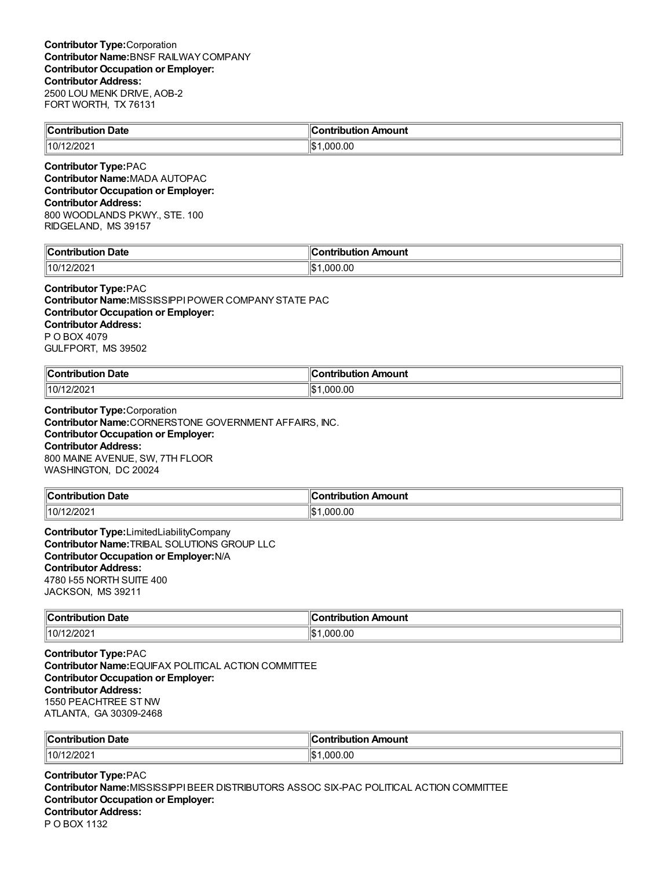| Contribution<br><b>Date</b> | antribution.<br>. Amount<br>.        |
|-----------------------------|--------------------------------------|
| 10/1<br>:/202               | ۰ ⊅اا<br>.00<br>റററ<br>. UD<br>, , , |
|                             |                                      |

**Contributor Type:**PAC **Contributor Name:**MADA AUTOPAC **Contributor Occupation or Employer: Contributor Address:** 800 WOODLANDS PKWY., STE. 100 RIDGELAND, MS 39157

| $\ $ Contribut<br>. Date<br>----<br>ΊUν<br>ப | 10<br>.<br>ution Amount<br>----<br>-on.<br>ามเ |
|----------------------------------------------|------------------------------------------------|
| 110/1                                        | ∥\$                                            |
| .2/2021                                      | .00                                            |
|                                              | nnr                                            |

# **Contributor Type:**PAC

**Contributor Name:**MISSISSIPPIPOWER COMPANYSTATE PAC **Contributor Occupation or Employer: Contributor Address:** P O BOX 4079 GULFPORT, MS 39502

| ∥Cor<br>. Date<br>ontribution<br>. | Amount<br>.<br>.<br>וסו |
|------------------------------------|-------------------------|
| 10/12/2021                         | ∥\$<br>.000.00          |

**Contributor Type:**Corporation **Contributor Name:**CORNERSTONE GOVERNMENT AFFAIRS, INC. **Contributor Occupation or Employer: Contributor Address:** 800 MAINE AVENUE, SW, 7TH FLOOR WASHINGTON, DC 20024

| ำ Date            | Amount                  |
|-------------------|-------------------------|
| $\ $ Contribution | ontributiorد.           |
| 10/12/2021        | 0.000.00<br>$H$ .<br>12 |

**Contributor Type:**LimitedLiabilityCompany **Contributor Name:**TRIBAL SOLUTIONS GROUP LLC **Contributor Occupation or Employer:**N/A **Contributor Address:** 4780 I-55 NORTH SUITE 400 JACKSON, MS 39211

| $\sim$ ontribution $\sim$<br><b>Date</b><br>. | ı<br>Amount<br>---<br>. |
|-----------------------------------------------|-------------------------|
| 2/202'                                        | ۱\$۰                    |
| 10/1.                                         | .000.00                 |

**Contributor Type:**PAC **Contributor Name:**EQUIFAX POLITICAL ACTION COMMITTEE **Contributor Occupation or Employer: Contributor Address:** 1550 PEACHTREE ST NW ATLANTA, GA 30309-2468

| ∥Contribut               | Amount                   |
|--------------------------|--------------------------|
| <b>Date</b>              | ⊞∟:∩ntrih⊞***            |
| ----                     | поі                      |
| ribution                 | 110U                     |
| $\parallel$ 10/1<br>/202 | 000<br>۱Œ<br>J.UU<br>הוו |

**Contributor Type:**PAC **Contributor Name:**MISSISSIPPIBEER DISTRIBUTORS ASSOC SIX-PAC POLITICAL ACTION COMMITTEE **Contributor Occupation or Employer: Contributor Address:** P O BOX 1132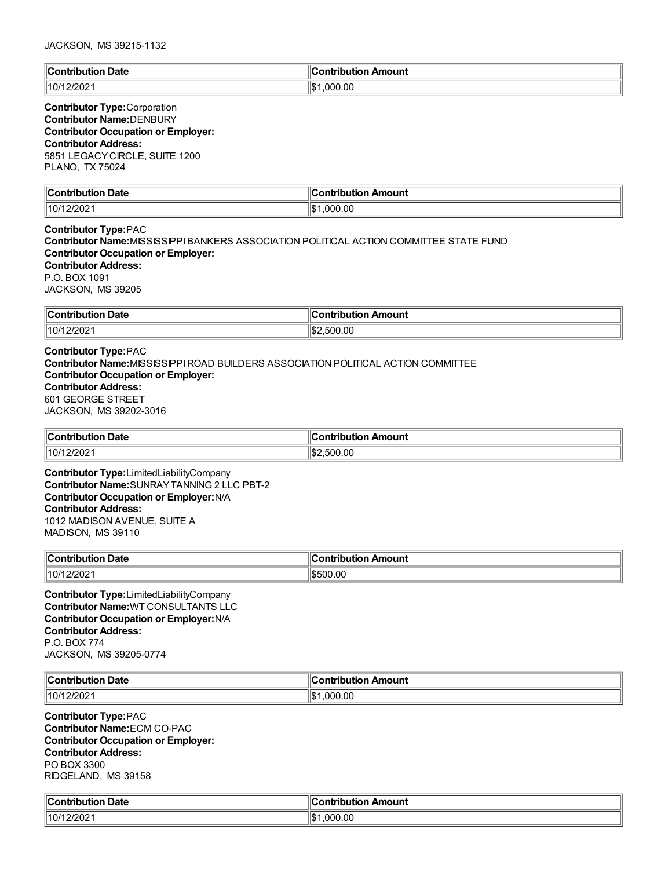| م ا              | Amount  |
|------------------|---------|
| Date             | ---     |
| `ontribi         | 'i∩n    |
| an shi asaw      | ---     |
| .                |         |
| 110/1<br>12/2021 | .000.00 |

### **Contributor Type:**Corporation **Contributor Name:**DENBURY **Contributor Occupation or Employer: Contributor Address:** 5851 LEGACYCIRCLE, SUITE 1200 PLANO, TX 75024

| llC.<br>Date<br><b>Contribution</b><br>utior<br>. | n Amount<br>----           |
|---------------------------------------------------|----------------------------|
| 10/1<br>2/2021                                    | ۱۱œ۰<br>00. (<br>იიი<br>ыJ |

**Contributor Type:**PAC **Contributor Name:**MISSISSIPPIBANKERS ASSOCIATION POLITICAL ACTION COMMITTEE STATE FUND **Contributor Occupation or Employer: Contributor Address:** P.O. BOX 1091 JACKSON, MS 39205

| ∥Con'<br><b>Date</b><br>'ihution<br>. | mount<br>.<br>---<br>$\sim$ $\sim$ $\sim$ $\sim$ $\sim$ |
|---------------------------------------|---------------------------------------------------------|
| $ 10/1^{\circ}$<br>/202               | .00<br>11.S<br>nr<br>500                                |

### **Contributor Type:**PAC **Contributor Name:**MISSISSIPPIROAD BUILDERS ASSOCIATION POLITICAL ACTION COMMITTEE **Contributor Occupation or Employer: Contributor Address:** 601 GEORGE STREET JACKSON, MS 39202-3016

| Contribution Date | ∥Contribution Amount      |
|-------------------|---------------------------|
| 10/12/2021        | $\sim$<br>:500.00<br>∠دا" |

**Contributor Type:**LimitedLiabilityCompany **Contributor Name:**SUNRAYTANNING 2 LLC PBT-2 **Contributor Occupation or Employer:**N/A **Contributor Address:** 1012 MADISON AVENUE, SUITE A MADISON, MS 39110

| $\ $ Contribution<br><b>Date</b> | ution Amount<br>.<br>IDL |
|----------------------------------|--------------------------|
| 10/1                             | .00                      |
| 12/2021                          | ١æ                       |

**Contributor Type:**LimitedLiabilityCompany **Contributor Name:**WT CONSULTANTS LLC **Contributor Occupation or Employer:**N/A **Contributor Address:** P.O. BOX 774 JACKSON, MS 39205-0774

| Date<br>$\ $ Contribution<br>$\sim$ $\sim$ $\sim$ $\sim$ $\sim$ $\sim$ $\sim$ | Amount<br>.<br>…nie"<br>וטו |
|-------------------------------------------------------------------------------|-----------------------------|
| 10/12/2021                                                                    | ∥\$<br>000.00.              |

**Contributor Type:**PAC **Contributor Name:**ECM CO-PAC **Contributor Occupation or Employer: Contributor Address:** PO BOX 3300 RIDGELAND, MS 39158

| <b>Contribution Date</b><br>$\mathbf{r}$ | $\sim$ $\sim$<br>Amount<br><b>Contribution</b> |
|------------------------------------------|------------------------------------------------|
| 12/2021<br>10/1                          | .000.00<br>۱JD                                 |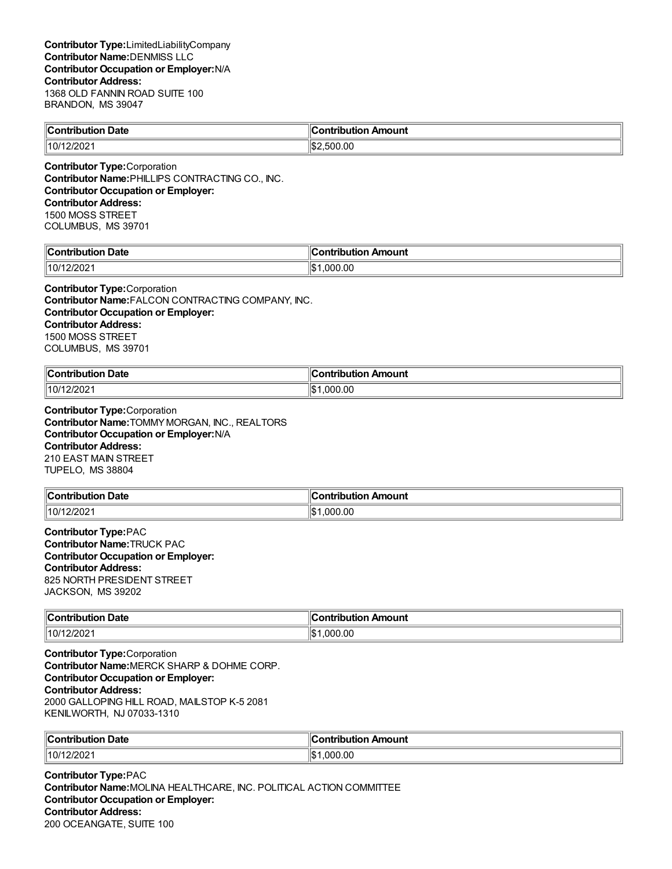| <b>Date</b><br>$\ $ Contribution | ۴<br>ı Amount<br><b>Contribution</b> |
|----------------------------------|--------------------------------------|
| 10/12/2021                       | .500.00<br>∠כ⊞                       |

**Contributor Type:**Corporation **Contributor Name:**PHILLIPS CONTRACTING CO., INC. **Contributor Occupation or Employer: Contributor Address:** 1500 MOSS STREET COLUMBUS, MS 39701

| `nni<br>Date<br>-----<br>. | K<br><b><i>COMMERCIAL CARD CARD CARD CARD CARD CARD CARD</i></b><br>Amount<br>----<br>---<br>ID |
|----------------------------|-------------------------------------------------------------------------------------------------|
| 10/                        | .00                                                                                             |
| . .                        | ∥\$                                                                                             |
| ا عن 2/2،                  | ωω                                                                                              |

**Contributor Type:**Corporation **Contributor Name:**FALCON CONTRACTING COMPANY, INC. **Contributor Occupation or Employer: Contributor Address:** 1500 MOSS STREET COLUMBUS, MS 39701

| $\mathsf{I}$<br>Date<br>. | $\sim$<br>'IOUN.<br>.    |
|---------------------------|--------------------------|
| 10/1<br>?/202             | ۱I¢<br>.00<br>റവ<br>ا سا |

**Contributor Type:**Corporation **Contributor Name:**TOMMYMORGAN, INC., REALTORS **Contributor Occupation or Employer:**N/A **Contributor Address:** 210 EAST MAIN STREET TUPELO, MS 38804

| <b>Contribution</b><br>→ Date | Amount<br>≅ntrih⊔t⊪.<br>han. |
|-------------------------------|------------------------------|
| 10/1<br>12/202                | 00. (<br>16<br>.00C          |

**Contributor Type:**PAC **Contributor Name:**TRUCK PAC **Contributor Occupation or Employer: Contributor Address:** 825 NORTH PRESIDENT STREET JACKSON, MS 39202

| $\ $ Contribution | Amount              |
|-------------------|---------------------|
| <b>Date</b>       | <u>antribu mian</u> |
| .                 |                     |
| 10/12/2021        | ∥\$<br>.000.00      |

**Contributor Type:**Corporation **Contributor Name:**MERCK SHARP & DOHME CORP. **Contributor Occupation or Employer: Contributor Address:** 2000 GALLOPING HILL ROAD, MAILSTOP K-5 2081 KENILWORTH, NJ 07033-1310

| ∥Con<br>Date<br>11<br>.<br>. | ı<br>Amount<br>------------<br>___ |
|------------------------------|------------------------------------|
| $\parallel$ 10/1<br>1202     | 1\$<br>.00<br>റററ                  |

**Contributor Type:**PAC **Contributor Name:**MOLINA HEALTHCARE, INC. POLITICAL ACTION COMMITTEE **Contributor Occupation or Employer: Contributor Address:** 200 OCEANGATE, SUITE 100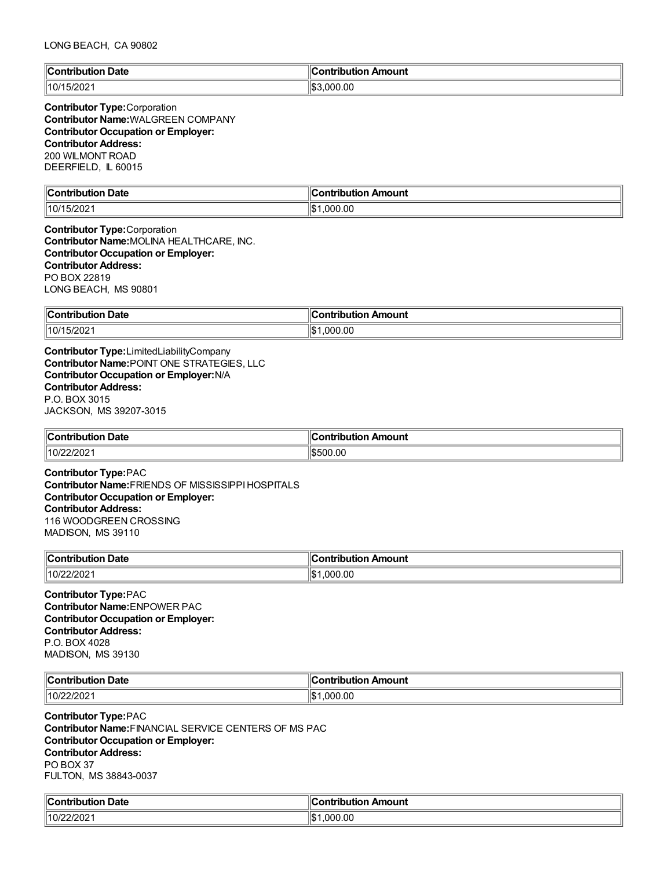| llC<br>Date<br>∴ont<br>'ibution | Amount<br><b>Contribution</b> |
|---------------------------------|-------------------------------|
| 15/202<br>110/1                 | 000.00.                       |

**Contributor Type:**Corporation **Contributor Name:**WALGREEN COMPANY **Contributor Occupation or Employer: Contributor Address:** 200 WILMONT ROAD DEERFIELD, IL 60015

| $\mathbb{I}$ C<br>Jate<br>and the properties of the state of the state of the state of the state of the state of the state of the state of the state of the state of the state of the state of the state of the state of the state of the state of the s<br>∙ıtı.<br>. | Amount<br>$\sim$ $\sim$ $\sim$ $\sim$<br>. |
|------------------------------------------------------------------------------------------------------------------------------------------------------------------------------------------------------------------------------------------------------------------------|--------------------------------------------|
| $-1000$<br>  10/1<br>I JIZUZ.                                                                                                                                                                                                                                          | ∥\$<br>.000.00                             |

**Contributor Type:**Corporation **Contributor Name:**MOLINA HEALTHCARE, INC. **Contributor Occupation or Employer: Contributor Address:** PO BOX 22819 LONG BEACH, MS 90801

| ∥Con        | <b>\mount</b>        |
|-------------|----------------------|
| Date        | . <b>.</b>           |
| ïbution     | ---                  |
| .           | .                    |
| 10/15/2021∣ | 1¢<br>.000.00<br>ل∪ا |

**Contributor Type:**LimitedLiabilityCompany **Contributor Name:**POINT ONE STRATEGIES, LLC **Contributor Occupation or Employer:**N/A **Contributor Address:** P.O. BOX 3015 JACKSON, MS 39207-3015

| $\ $ Contribution<br>Date<br>. | Amount<br>.<br>w |
|--------------------------------|------------------|
| 10/2<br>פחריו<br>1494          | .00<br>19500     |

**Contributor Type:**PAC **Contributor Name:**FRIENDS OF MISSISSIPPIHOSPITALS **Contributor Occupation or Employer: Contributor Address:** 116 WOODGREEN CROSSING MADISON, MS 39110

| $\sim$ ontribus. | Amount       |
|------------------|--------------|
| Date             | .            |
| $-$ - $  -$      | $\mathbf{A}$ |
| .                |              |
| $ 10/2^{\circ} $ | м            |
| 2/2021           | 0.0          |
|                  | . ON         |

**Contributor Type:**PAC **Contributor Name:**ENPOWER PAC **Contributor Occupation or Employer: Contributor Address:** P.O. BOX 4028 MADISON, MS 39130

| ЧC∟<br>Date<br>.                  | ``^*ribution <sub>rv</sub> …<br>Amount |
|-----------------------------------|----------------------------------------|
| ימחרונ<br>110 <sup>r</sup><br>.uz | ,000.00<br>١¢                          |

**Contributor Type:**PAC **Contributor Name:**FINANCIAL SERVICE CENTERS OF MS PAC **Contributor Occupation or Employer: Contributor Address:** PO BOX 37 FULTON, MS 38843-0037

| $\mathbb{C}$<br>Date<br>. : ontribution | Amount<br>`ontribution |
|-----------------------------------------|------------------------|
| 22/202 <sup>.</sup>                     | ∥\$                    |
| $\parallel$ 10/22                       | .000.00                |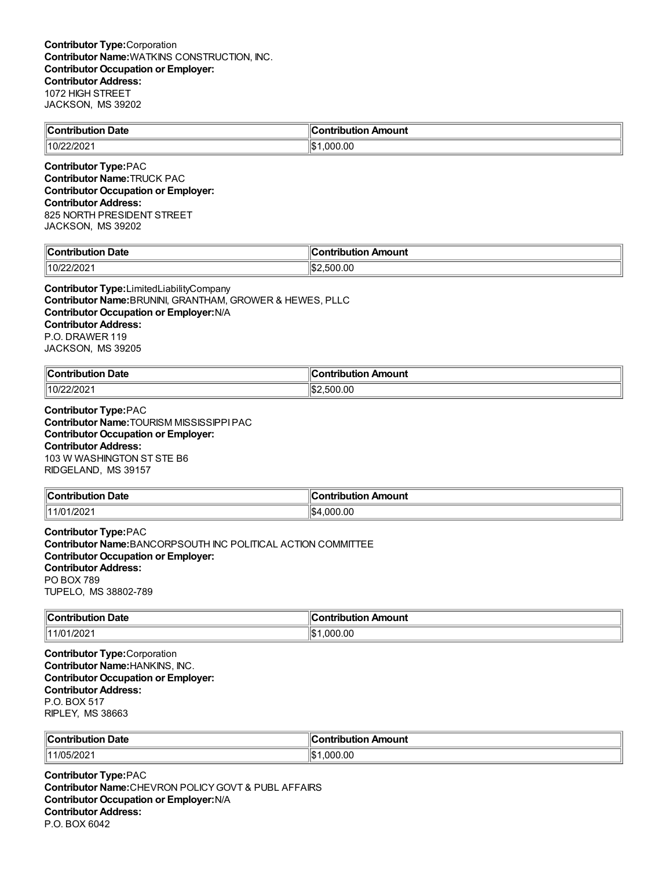| $\ $ Contribution<br><b>Date</b> | Amount<br>ihution.<br>. |
|----------------------------------|-------------------------|
| 10/22/2021                       | .000.00<br>' \$         |
|                                  |                         |

**Contributor Type:**PAC **Contributor Name:**TRUCK PAC **Contributor Occupation or Employer: Contributor Address:** 825 NORTH PRESIDENT STREET JACKSON, MS 39202

| llC<br><b>Date</b><br>∴ontrihu*<br>----<br>п. | $\mathsf{H}$<br>∩ntı<br>Amount<br>---<br> |
|-----------------------------------------------|-------------------------------------------|
| 10/22/202                                     | 11\$2<br>00.00<br><b>-00</b><br>~         |

**Contributor Type:**LimitedLiabilityCompany **Contributor Name:**BRUNINI, GRANTHAM, GROWER & HEWES, PLLC **Contributor Occupation or Employer:**N/A **Contributor Address:** P.O. DRAWER 119 JACKSON, MS 39205

| ∥Coı<br>Date<br>a mbuila mbi a m<br>. | ` ^ntrihutu<br>Amount                         |
|---------------------------------------|-----------------------------------------------|
| 10/22/2021                            | .00<br>100 <sub>5</sub><br>ໍ^^<br>٠١. .<br>ות |

**Contributor Type:**PAC **Contributor Name:**TOURISM MISSISSIPPIPAC **Contributor Occupation or Employer: Contributor Address:** 103 W WASHINGTON ST STE B6 RIDGELAND, MS 39157

| <b>Contribution Date</b> | ้วทtribution Amount |
|--------------------------|---------------------|
| 11/01/2021               | 000.00<br>1\$4      |

**Contributor Type:**PAC **Contributor Name:**BANCORPSOUTH INC POLITICAL ACTION COMMITTEE **Contributor Occupation or Employer: Contributor Address:** PO BOX 789 TUPELO, MS 38802-789

| $\ $ Cont<br>Date<br>.<br>. | Amount<br>ntrih⊔ti∩n |
|-----------------------------|----------------------|
| 1/202<br>111/01             | .000.00<br>١¢<br>υ   |

**Contributor Type:**Corporation **Contributor Name:**HANKINS, INC. **Contributor Occupation or Employer: Contributor Address:** P.O. BOX 517 RIPLEY, MS 38663

| ∥Cor<br>، Date<br>.<br>ouuo<br>. | - shuile uitie w<br>ribution Amount<br>™CON⊾ |
|----------------------------------|----------------------------------------------|
| $\parallel$ 11/05/2021           | 000.00.<br>' \$′<br>- -                      |

**Contributor Type:**PAC **Contributor Name:**CHEVRON POLICYGOVT & PUBL AFFAIRS **Contributor Occupation or Employer:**N/A **Contributor Address:** P.O. BOX 6042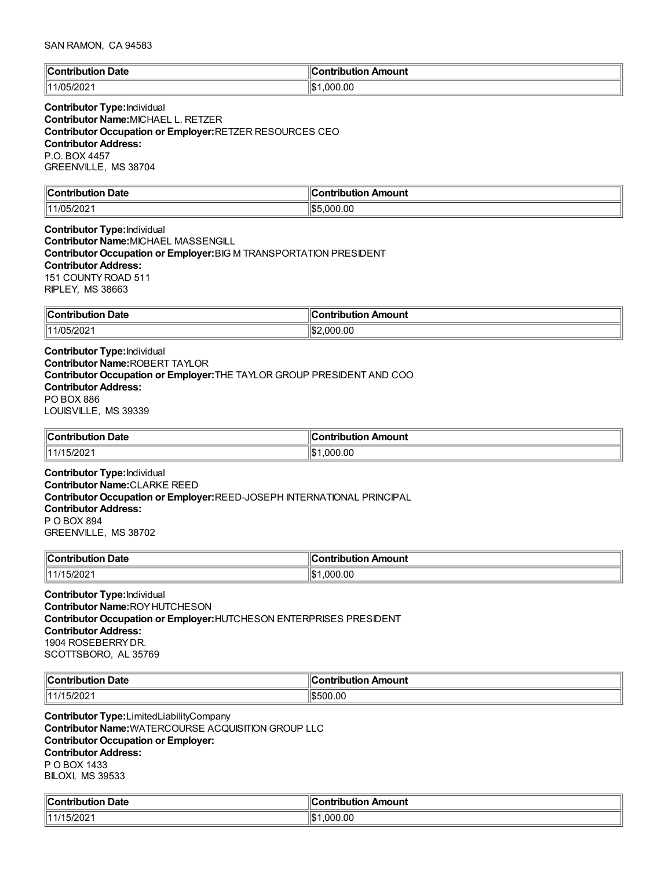#### SAN RAMON, CA 94583

| ∥Cont | `ontribution |
|-------|--------------|
| Date  | Amount       |
| юнк   |              |
| .     |              |
| 144   | .000.00      |
| ᅚ     | <u> ነሱ.</u>  |
| w     | I-D          |

**Contributor Type:**Individual **Contributor Name:**MICHAEL L. RETZER **Contributor Occupation or Employer:**RETZER RESOURCES CEO **Contributor Address:** P.O. BOX 4457 GREENVILLE, MS 38704

| ∥Con                                      |                        |
|-------------------------------------------|------------------------|
| Date                                      | Amount                 |
|                                           | 'antrihutian           |
| $\sim$ $\sim$ $\sim$ $\sim$ $\sim$ $\sim$ |                        |
| 144<br>.                                  | 000.00.<br>، ≏ا<br>ьв. |

**Contributor Type:**Individual **Contributor Name:**MICHAEL MASSENGILL **Contributor Occupation or Employer:**BIG M TRANSPORTATION PRESIDENT **Contributor Address:** 151 COUNTYROAD 511 RIPLEY, MS 38663

| ∥Con                   | Amount              |
|------------------------|---------------------|
| <b>Date</b>            | -------             |
| 'ibution               | ----                |
| .                      | . ID'               |
| $\parallel$ 11/05/2021 | 00.00<br>۱Iœ<br>nnr |

**Contributor Type:**Individual **Contributor Name:**ROBERT TAYLOR **Contributor Occupation or Employer:**THE TAYLOR GROUP PRESIDENT AND COO **Contributor Address:** PO BOX 886 LOUISVILLE, MS 39339

| $\ $ Contribution $\ $ | ontribution Amount |
|------------------------|--------------------|
| <b>Date</b>            | ∪ontr              |
| 15/202                 | 000.00             |
| 11 4 <i>1</i> 4 5      | ۱\$۰               |

**Contributor Type:**Individual **Contributor Name:**CLARKE REED **Contributor Occupation or Employer:**REED-JOSEPH INTERNATIONAL PRINCIPAL **Contributor Address:** P O BOX 894 GREENVILLE, MS 38702

| ∥Con'                                     |               |
|-------------------------------------------|---------------|
| <b>Date</b>                               | Amount        |
| ribution                                  | .ontributior  |
| $\sim$ $\sim$ $\sim$ $\sim$ $\sim$ $\sim$ | .             |
| ∘ממי<br>11 4 14 E<br>I JIZUZ.             | .000.00<br>ıъ |

**Contributor Type:**Individual **Contributor Name:**ROYHUTCHESON **Contributor Occupation or Employer:**HUTCHESON ENTERPRISES PRESIDENT **Contributor Address:** 1904 ROSEBERRYDR. SCOTTSBORO, AL 35769

| ∣∣ี<br>Date<br>.<br>n.<br>. .<br>- - - | ır<br>Amount<br>a mbuila muan |
|----------------------------------------|-------------------------------|
| .144<br>5/202                          | 00<br>.<br>יי                 |

**Contributor Type:**LimitedLiabilityCompany **Contributor Name:**WATERCOURSE ACQUISITION GROUP LLC **Contributor Occupation or Employer: Contributor Address:** P O BOX 1433 BILOXI, MS 39533

| $\overline{ }$<br>Date<br>`ontribution_ | :ontribution Amount |
|-----------------------------------------|---------------------|
| 15/2021                                 | .000.00<br>11001    |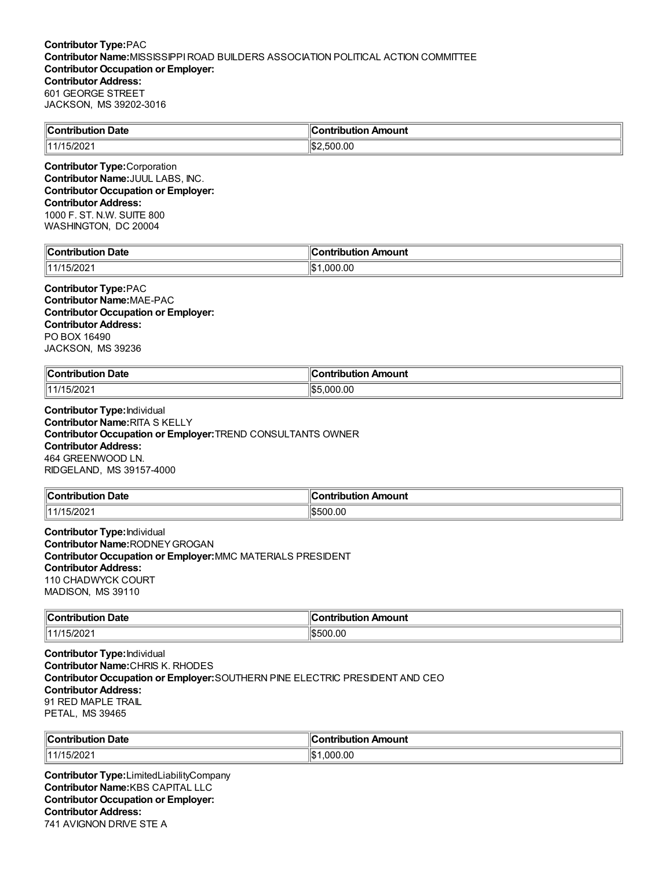| <b>Contribution Date</b> | <b>Contribution Amount</b>  |
|--------------------------|-----------------------------|
| $\parallel$ 11/15/2021   | $\parallel$ \$2<br>:.500.00 |
| ______<br>__<br>$\sim$   |                             |

**Contributor Type:**Corporation **Contributor Name:**JUUL LABS, INC. **Contributor Occupation or Employer: Contributor Address:** 1000 F. ST. N.W. SUITE 800 WASHINGTON, DC 20004

| <b>Contribution Date</b> | ∥Contri<br>ribution Amount |
|--------------------------|----------------------------|
| 15/202<br>11 A J A       | ∥\$։<br>00.00<br>റററ       |

### **Contributor Type:**PAC **Contributor Name:**MAE-PAC **Contributor Occupation or Employer: Contributor Address:** PO BOX 16490 JACKSON, MS 39236

| ∥Cont                                            | ution       |
|--------------------------------------------------|-------------|
| Date                                             | Amount      |
| 'ibution                                         | a vahvila m |
| $\sim$ $\sim$ $\sim$ $\sim$ $\sim$ $\sim$ $\sim$ |             |
| ∘ממי<br>114 14 E<br>13/202                       | 0.00<br>റററ |

**Contributor Type:**Individual **Contributor Name:**RITA S KELLY **Contributor Occupation or Employer:**TREND CONSULTANTS OWNER **Contributor Address:** 464 GREENWOOD LN. RIDGELAND, MS 39157-4000

| <b>Contribution</b><br><b>Date</b> | ribution Amount<br>a companies and<br>ont |
|------------------------------------|-------------------------------------------|
| 5/202<br>11 4 <i>1</i> 4 5         | 00.00<br>ור                               |

**Contributor Type:**Individual **Contributor Name:**RODNEYGROGAN **Contributor Occupation or Employer:**MMC MATERIALS PRESIDENT **Contributor Address:** 110 CHADWYCK COURT MADISON, MS 39110

| $\ $ Contribution | Amount                          |
|-------------------|---------------------------------|
| Date              | - -- --- - - - -                |
| .                 |                                 |
| 11/15/2021        | 0.00. ل<br>$\sqrt{2}$<br>וו ורי |

**Contributor Type:**Individual **Contributor Name:**CHRIS K. RHODES **Contributor Occupation or Employer:**SOUTHERN PINE ELECTRIC PRESIDENT AND CEO **Contributor Address:** 91 RED MAPLE TRAIL PETAL, MS 39465

| ∥Con.<br>Date<br>tribution | -------------<br>ntribution Amount |
|----------------------------|------------------------------------|
| 15/202<br>11414            | 000<br>.00<br>⊩⊄<br>.≀∪D           |

**Contributor Type:**LimitedLiabilityCompany **Contributor Name:**KBS CAPITAL LLC **Contributor Occupation or Employer: Contributor Address:** 741 AVIGNON DRIVE STE A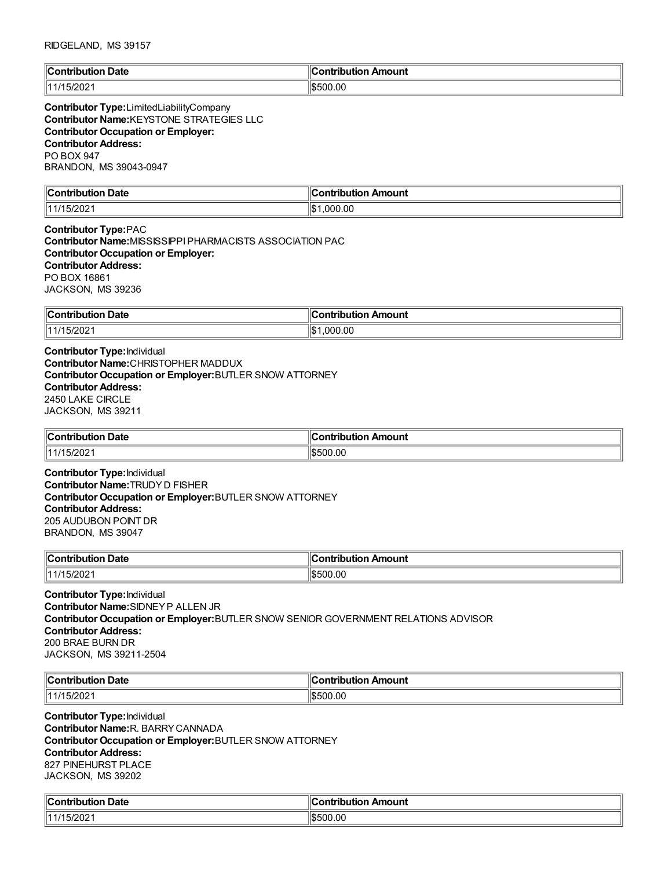| ∥Cont                | Amount       |
|----------------------|--------------|
| Date                 | `ontribution |
| .                    |              |
| 1111'<br>∽<br>.JIZUZ | \$500.00     |

**Contributor Type:**LimitedLiabilityCompany **Contributor Name:**KEYSTONE STRATEGIES LLC **Contributor Occupation or Employer: Contributor Address:** PO BOX 947 BRANDON, MS 39043-0947

| $\ $ Contribution                     | Amount              |
|---------------------------------------|---------------------|
| Date                                  | <b>Contribution</b> |
| .                                     |                     |
| $ \sim$ $\sim$<br>  44/11<br>I JIZUZ. | .000.00<br>11\$     |

**Contributor Type:**PAC **Contributor Name:**MISSISSIPPIPHARMACISTS ASSOCIATION PAC **Contributor Occupation or Employer: Contributor Address:** PO BOX 16861 JACKSON, MS 39236

| $\sim$              | ution Amount                  |
|---------------------|-------------------------------|
| <b>Contribution</b> | `ontribut⊾                    |
| <b>Date</b>         |                               |
| 11/15/2021          | $\mathbf{A}$<br>.000.00<br>ıъ |

**Contributor Type:**Individual **Contributor Name:**CHRISTOPHER MADDUX **Contributor Occupation or Employer:**BUTLER SNOW ATTORNEY **Contributor Address:** 2450 LAKE CIRCLE JACKSON, MS 39211

| -<br>∥Coı<br><b>Date</b><br>ontribution<br>. | ı<br>Amount<br><b>∍ontributior</b> |
|----------------------------------------------|------------------------------------|
| 5/202<br>11111                               | \$500.00                           |

**Contributor Type:**Individual **Contributor Name:**TRUDYD FISHER **Contributor Occupation or Employer:**BUTLER SNOW ATTORNEY **Contributor Address:** 205 AUDUBON POINT DR BRANDON, MS 39047

| $"$ ontribut. | Amount       |
|---------------|--------------|
| Date          | ontribut.    |
| .             | $\mathbf{A}$ |
| .             |              |
| 14.17         | 500.00       |
| 1202.         | . .          |

**Contributor Type:**Individual **Contributor Name:**SIDNEYP ALLEN JR **Contributor Occupation or Employer:**BUTLER SNOW SENIOR GOVERNMENT RELATIONS ADVISOR **Contributor Address:** 200 BRAE BURN DR JACKSON, MS 39211-2504

| $\mathsf{C}$ ontrih<br>Date | Amount |
|-----------------------------|--------|
| 11111                       | .00    |
| 20Z                         | ור     |

**Contributor Type:**Individual **Contributor Name:**R. BARRYCANNADA **Contributor Occupation or Employer:**BUTLER SNOW ATTORNEY **Contributor Address:** 827 PINEHURST PLACE JACKSON, MS 39202

| $\mathbb{R}$<br>Date<br>.:ontributior | `ontribution<br>Amount |
|---------------------------------------|------------------------|
| $\sim$<br>  44/1 <br>ا ع∪∠ان.         | \$500.00               |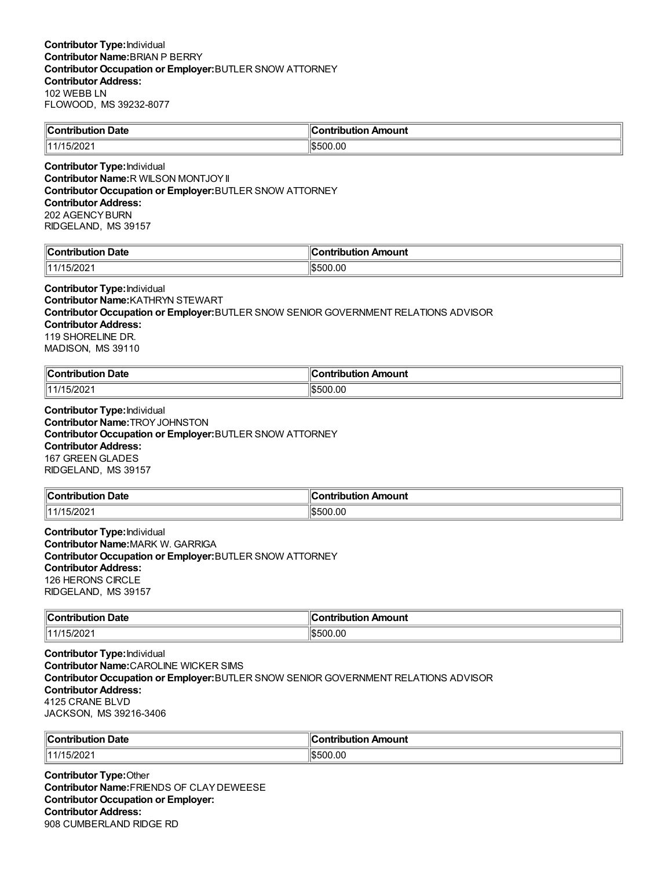| $\mathsf{C}$ ontribution<br>Date | ı<br>`ontribution<br>Amount |
|----------------------------------|-----------------------------|
| $-2004$<br>14.4<br>I JIZUZ.      | 500.00<br>IS50              |

**Contributor Type:**Individual **Contributor Name:**R WILSON MONTJOYII **Contributor Occupation or Employer:**BUTLER SNOW ATTORNEY **Contributor Address:** 202 AGENCYBURN RIDGELAND, MS 39157

| llC                        | 10                     |
|----------------------------|------------------------|
| Jate                       | mount                  |
| $\ldots$ on $\blacksquare$ | ---                    |
| ----                       | - - -                  |
| -----                      | ----                   |
| - 74                       | ∱ا<br>.ut<br>-<br>ה הו |

**Contributor Type:**Individual **Contributor Name:**KATHRYN STEWART **Contributor Occupation or Employer:**BUTLER SNOW SENIOR GOVERNMENT RELATIONS ADVISOR **Contributor Address:** 119 SHORELINE DR. MADISON, MS 39110

| ∥Coi<br><b>Date</b><br>.       | Amount<br>ntrihution |
|--------------------------------|----------------------|
| $\sqrt{2}$<br>11 4 14<br>ے∪∠ان | 500.00<br>יי         |

**Contributor Type:**Individual **Contributor Name:**TROYJOHNSTON **Contributor Occupation or Employer:**BUTLER SNOW ATTORNEY **Contributor Address:** 167 GREEN GLADES RIDGELAND, MS 39157

| <b>Contribution Date</b>     | --------<br>ribution Amount. |
|------------------------------|------------------------------|
| רחריו.<br>111/15<br>I JIZUZ. | .00<br>ו ורי                 |

**Contributor Type:**Individual **Contributor Name:**MARK W. GARRIGA **Contributor Occupation or Employer:**BUTLER SNOW ATTORNEY **Contributor Address:** 126 HERONS CIRCLE RIDGELAND, MS 39157

| $\ $ Contribution<br>Date<br>. | ır<br>Amount<br>.<br>- - - |
|--------------------------------|----------------------------|
| 15/2021<br>  11/1              | 1\$500.00                  |

**Contributor Type:**Individual **Contributor Name:**CAROLINE WICKER SIMS **Contributor Occupation or Employer:**BUTLER SNOW SENIOR GOVERNMENT RELATIONS ADVISOR **Contributor Address:** 4125 CRANE BLVD JACKSON, MS 39216-3406

| ∥Con'<br>Date<br>--------<br>----<br>ш<br>. | $\epsilon$<br>Amount<br>. |
|---------------------------------------------|---------------------------|
| 5/202<br>1444<br>.                          | 500.00<br>'ا?             |

**Contributor Type:**Other **Contributor Name:**FRIENDS OF CLAYDEWEESE **Contributor Occupation or Employer: Contributor Address:** 908 CUMBERLAND RIDGE RD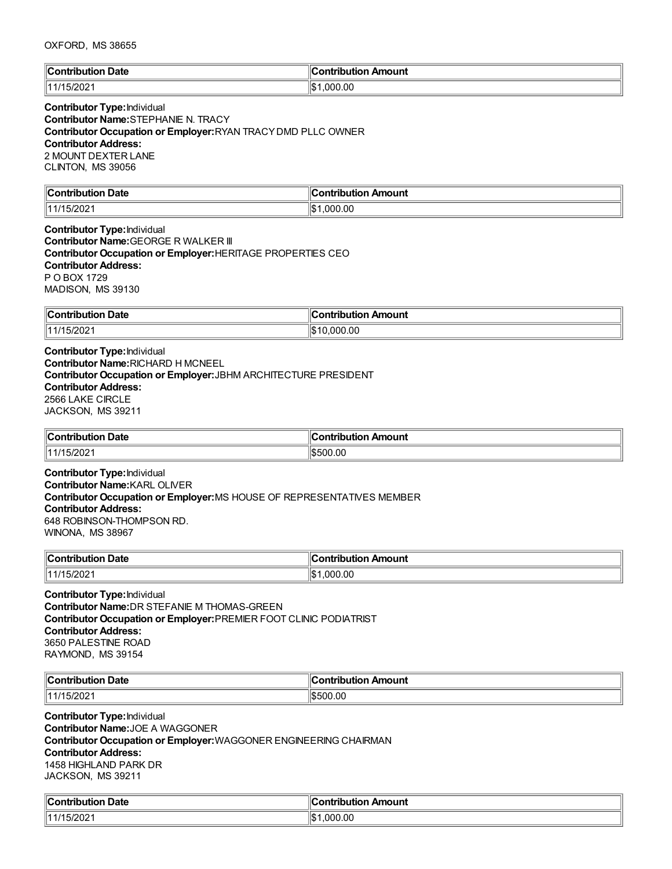| ∜C⊾<br>Date<br>. | . .<br>`ontribution<br>Amount<br>11.IUI. |
|------------------|------------------------------------------|
| 5/202<br>'11     | ∣∣∩∿<br>.000.00<br>۱۱۵                   |

# **Contributor Type:**Individual **Contributor Name:**STEPHANIE N. TRACY **Contributor Occupation or Employer:**RYAN TRACYDMD PLLC OWNER **Contributor Address:** 2 MOUNT DEXTER LANE CLINTON, MS 39056

| $\mathbb{I}$ C<br>Jate<br>⊔ti∩r<br>----- | ---------<br><b>\moun\</b><br>$\mathbf{w}$ |
|------------------------------------------|--------------------------------------------|
| 114.4<br>- 74<br>∸∪∠                     | ll₾<br>00. (<br>nnı<br>ьD                  |

**Contributor Type:**Individual **Contributor Name:**GEORGE R WALKER III **Contributor Occupation or Employer:**HERITAGE PROPERTIES CEO **Contributor Address:** P O BOX 1729 MADISON, MS 39130

| ∥Con<br>Date<br>.<br>. | Amount<br>----<br>---<br>---- |
|------------------------|-------------------------------|
| 15/202<br>11414        | ١æ<br>VJO.OU                  |

**Contributor Type:**Individual **Contributor Name:**RICHARD H MCNEEL **Contributor Occupation or Employer:**JBHM ARCHITECTURE PRESIDENT **Contributor Address:** 2566 LAKE CIRCLE JACKSON, MS 39211

| Contribution Date | . .<br>. Amount<br>ontribution |
|-------------------|--------------------------------|
| 5/202<br>11111    | 500.00;                        |

**Contributor Type:**Individual **Contributor Name:**KARL OLIVER **Contributor Occupation or Employer:**MS HOUSE OF REPRESENTATIVES MEMBER **Contributor Address:** 648 ROBINSON-THOMPSON RD. WINONA, MS 38967

| ำ Date            | Amount                       |
|-------------------|------------------------------|
| $\ $ Contribution | …ontributior…                |
| 11/15/2021        | 1.000.00<br>$H$ $\sim$<br>12 |

**Contributor Type:**Individual **Contributor Name:**DR STEFANIE M THOMAS-GREEN **Contributor Occupation or Employer:**PREMIER FOOT CLINIC PODIATRIST **Contributor Address:** 3650 PALESTINE ROAD RAYMOND, MS 39154

| ∥Co<br>Date<br>.<br>.               | ır<br>Amount<br>.<br>. |
|-------------------------------------|------------------------|
| $\sqrt{2}$<br>11414<br><b>SIZUZ</b> | .00<br><b>S500</b>     |

**Contributor Type:**Individual **Contributor Name:**JOE A WAGGONER **Contributor Occupation or Employer:**WAGGONER ENGINEERING CHAIRMAN **Contributor Address:** 1458 HIGHLAND PARK DR JACKSON, MS 39211

| $\mathbb{C}$ | :ontribution |
|--------------|--------------|
| Date         | Amount       |
| Contribution | uuon         |
| F/200        | .000.00      |
| 11/17        | ୍ୟାଦ -       |
| 15/2021      | I-D          |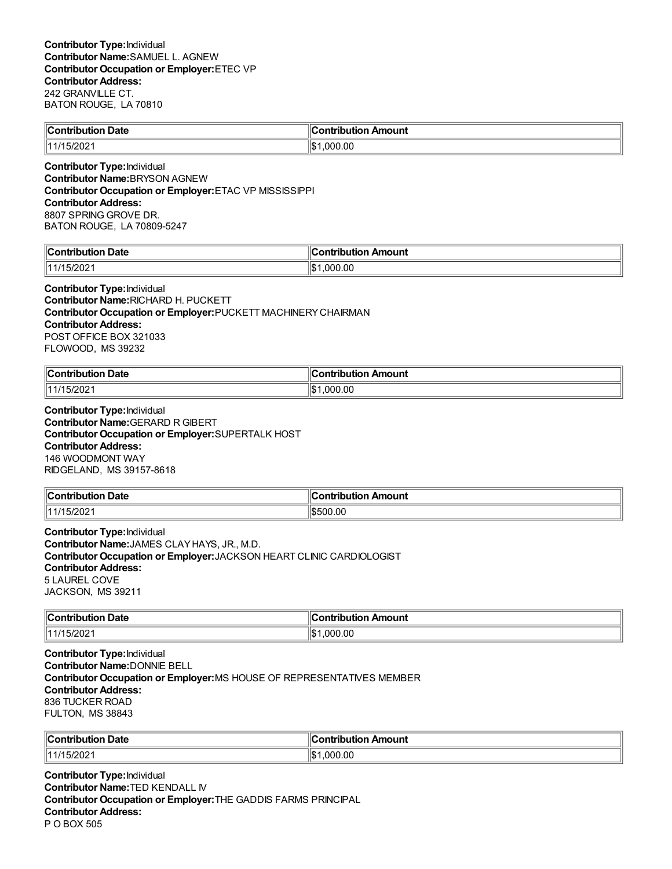| Contribution Date | ۴<br>.<br>∥Contribution Amount |
|-------------------|--------------------------------|
| 11/15/2021        | .000.00                        |
|                   |                                |

**Contributor Type:**Individual **Contributor Name:**BRYSON AGNEW **Contributor Occupation or Employer:**ETAC VP MISSISSIPPI **Contributor Address:** 8807 SPRING GROVE DR. BATON ROUGE, LA 70809-5247

| $\ $ Contribut<br>Date<br>ution | 11<br>∠ontr<br>Amount<br>. ibutior |
|---------------------------------|------------------------------------|
| 5/2021<br>11 4 <i>1</i> 4       | 000.00.<br>∥\$∶                    |

**Contributor Type:**Individual **Contributor Name:**RICHARD H. PUCKETT **Contributor Occupation or Employer:**PUCKETT MACHINERYCHAIRMAN **Contributor Address:** POST OFFICE BOX 321033 FLOWOOD, MS 39232

| ⊪∩.                      |               |
|--------------------------|---------------|
| Date                     | <b>\mount</b> |
| - -- ---- - - -- - - - - |               |
| .                        |               |
| 200                      | .00           |
| 14414                    |               |
| ′.∪∠                     | റററ           |
|                          | ıэ            |

**Contributor Type:**Individual **Contributor Name:**GERARD R GIBERT **Contributor Occupation or Employer:**SUPERTALK HOST **Contributor Address:** 146 WOODMONT WAY RIDGELAND, MS 39157-8618

| <b>Contribution Date</b> | <b>∍ontribution</b><br>n Amount |
|--------------------------|---------------------------------|
| 11/15/2021               | \$500.00                        |

**Contributor Type:**Individual **Contributor Name:**JAMES CLAYHAYS, JR., M.D. **Contributor Occupation or Employer:**JACKSON HEART CLINIC CARDIOLOGIST **Contributor Address:** 5 LAUREL COVE JACKSON, MS 39211

| $\ $ Contribution<br>Date | ır<br>າ Amount<br>ontribution |
|---------------------------|-------------------------------|
| 15/2021                   | .000.00                       |
| 111/15                    | 1\$                           |

**Contributor Type:**Individual **Contributor Name:**DONNIE BELL **Contributor Occupation or Employer:**MS HOUSE OF REPRESENTATIVES MEMBER **Contributor Address:** 836 TUCKER ROAD FULTON, MS 38843

| ∜Con⊾<br><b>Date</b><br>. | Amount<br>antuiku tian<br>™Jon⊾<br>JUOI |
|---------------------------|-----------------------------------------|
| 141/1<br>5/202            | nr.<br>'\$∥<br>.000<br>.ut              |

**Contributor Type:**Individual **Contributor Name:**TED KENDALL IV **Contributor Occupation or Employer:**THE GADDIS FARMS PRINCIPAL **Contributor Address:** P O BOX 505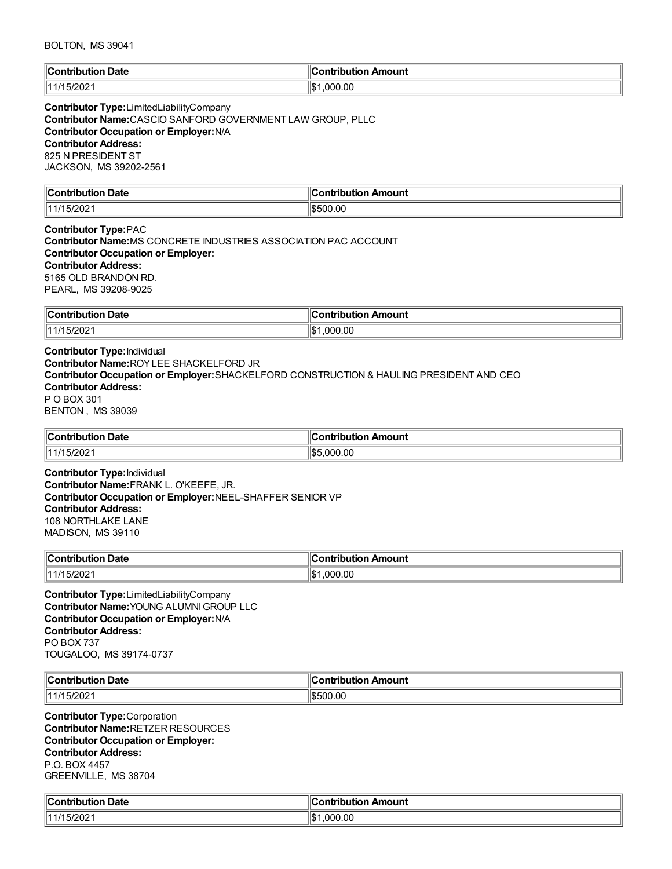| ∥Con<br><b>Date</b><br>ribution:<br>. | Contribution Amount<br>___ |
|---------------------------------------|----------------------------|
| 15/2021<br>111/1                      | ∣∣∩∿<br>000.00. ا<br>۱۱۵   |

**Contributor Type:**LimitedLiabilityCompany **Contributor Name:**CASCIO SANFORD GOVERNMENT LAW GROUP, PLLC **Contributor Occupation or Employer:**N/A **Contributor Address:** 825 N PRESIDENT ST JACKSON, MS 39202-2561

| $\mathbb{I}$ C<br>Date<br>ົດຕີ<br>-----<br>. | <b>\moun\</b><br>$\sim$ $\sim$<br>-----<br>---- |
|----------------------------------------------|-------------------------------------------------|
| 114.4<br>-92                                 | 0.OC<br>.                                       |

**Contributor Type:**PAC **Contributor Name:**MS CONCRETE INDUSTRIES ASSOCIATION PAC ACCOUNT **Contributor Occupation or Employer: Contributor Address:** 5165 OLD BRANDON RD. PEARL, MS 39208-9025

| ∥Con<br><b>Date</b><br>pution<br>IOU<br>$\sim$ $\sim$ $\sim$ $\sim$ $\sim$ $\sim$ $\sim$ | <b>\mount</b><br>.<br>---<br>וטו<br>,,,,, |
|------------------------------------------------------------------------------------------|-------------------------------------------|
| ימחריו:                                                                                  | .00                                       |
| 144/45                                                                                   | ۱IC                                       |
| 1202                                                                                     | നന                                        |
|                                                                                          | ا سا                                      |

**Contributor Type:**Individual **Contributor Name:**ROYLEE SHACKELFORD JR **Contributor Occupation or Employer:**SHACKELFORD CONSTRUCTION & HAULING PRESIDENT AND CEO **Contributor Address:** P O BOX 301 BENTON , MS 39039

| Contribution Date | $\parallel$ Contribution Amount |
|-------------------|---------------------------------|
| 5/202<br>11 4 14  | 100<br>.000.00<br>IЪ5           |

**Contributor Type:**Individual **Contributor Name:**FRANK L. O'KEEFE, JR. **Contributor Occupation or Employer:**NEEL-SHAFFER SENIOR VP **Contributor Address:** 108 NORTHLAKE LANE MADISON, MS 39110

| $\ $ Contribution<br><b>Date</b> | n Amount<br>`∩ntributio.<br>. |
|----------------------------------|-------------------------------|
| :5/2021<br>  44/1                | .000.00                       |

**Contributor Type:**LimitedLiabilityCompany **Contributor Name:**YOUNG ALUMNIGROUP LLC **Contributor Occupation or Employer:**N/A **Contributor Address:** PO BOX 737 TOUGALOO, MS 39174-0737

| ∥Coı<br>ntribution Date<br>. | . Ir<br>າ Amount<br>.<br>noution<br>1 I LF |
|------------------------------|--------------------------------------------|
| 11111<br>20Z                 | \$500.00                                   |

**Contributor Type:**Corporation **Contributor Name:**RETZER RESOURCES **Contributor Occupation or Employer: Contributor Address:** P.O. BOX 4457 GREENVILLE, MS 38704

| $\blacksquare$ Contribution<br>Date<br>. | .<br>10<br>:ontribution<br>Amount |
|------------------------------------------|-----------------------------------|
| 15/202                                   | ∥\$∶                              |
| - 74                                     | .000.00                           |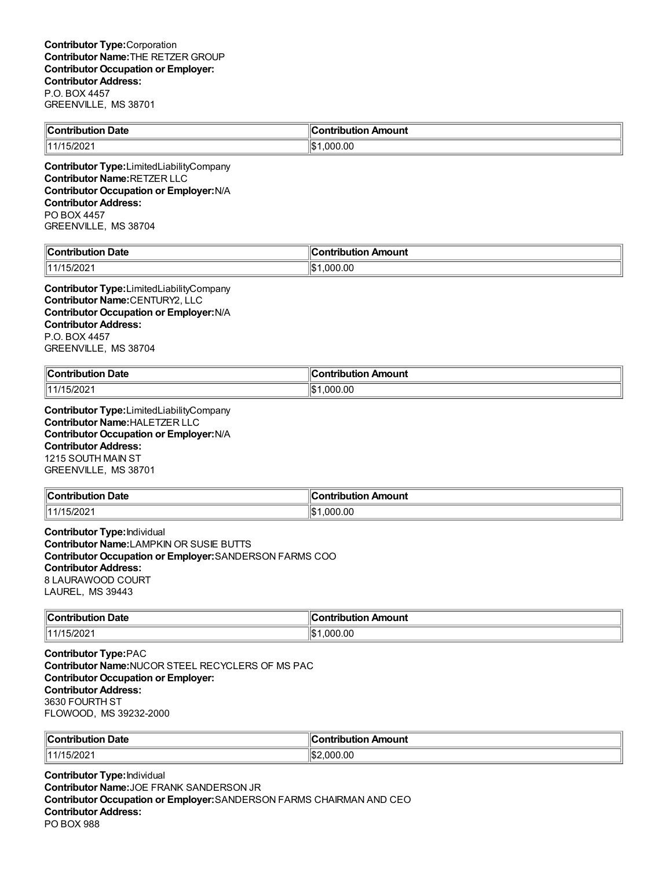| Contribution Date      | Contribution Amount |
|------------------------|---------------------|
| $\parallel$ 11/15/2021 | ‼\$1<br>000.00.1    |
|                        |                     |

**Contributor Type:**LimitedLiabilityCompany **Contributor Name:**RETZER LLC **Contributor Occupation or Employer:**N/A **Contributor Address:** PO BOX 4457 GREENVILLE, MS 38704

| . Date<br>`ontribution<br>TIDUTION . | <b>Contribution Amount</b> |
|--------------------------------------|----------------------------|
| 1000<br>14 U.C                       | llœ۰<br>.00<br>. വധ<br>הו  |

**Contributor Type:**LimitedLiabilityCompany **Contributor Name:**CENTURY2, LLC **Contributor Occupation or Employer:**N/A **Contributor Address:** P.O. BOX 4457 GREENVILLE, MS 38704

| "Contribution"<br><b>Date</b><br>. | --<br>⊶ :∩ntrih⊔ti∩∽<br>Amount |
|------------------------------------|--------------------------------|
| $\sqrt{2}$                         | 0.000.00                       |
| (1111)                             | $\mathbf{A}$                   |
| 5/2021                             | υ                              |

**Contributor Type:**LimitedLiabilityCompany **Contributor Name:**HALETZER LLC **Contributor Occupation or Employer:**N/A **Contributor Address:** 1215 SOUTH MAIN ST GREENVILLE, MS 38701

| $\ $ Contribution | n Amount     |
|-------------------|--------------|
| <b>Date</b>       | ontributior. |
| 5/202             | .00          |
| 144/4 E           | იიი          |

**Contributor Type:**Individual **Contributor Name:**LAMPKIN OR SUSIE BUTTS **Contributor Occupation or Employer:**SANDERSON FARMS COO **Contributor Address:** 8 LAURAWOOD COURT LAUREL, MS 39443

| ∥Con<br>Date<br>ribution<br>. | Amount<br>ontribution |
|-------------------------------|-----------------------|
| 15/202                        | 0.00                  |
| 11414 E                       | റററ                   |
| .                             | ۱.۳                   |

**Contributor Type:**PAC **Contributor Name:**NUCOR STEEL RECYCLERS OF MS PAC **Contributor Occupation or Employer: Contributor Address:** 3630 FOURTH ST FLOWOOD, MS 39232-2000

| ∥Con<br>Date<br>11<br>. | ı<br>Amount<br>.<br>___ |
|-------------------------|-------------------------|
| 15/202                  | 'I\$2                   |
| 11414                   | .00                     |
| .                       | 00                      |

**Contributor Type:**Individual **Contributor Name:**JOE FRANK SANDERSON JR **Contributor Occupation or Employer:**SANDERSON FARMS CHAIRMAN AND CEO **Contributor Address:** PO BOX 988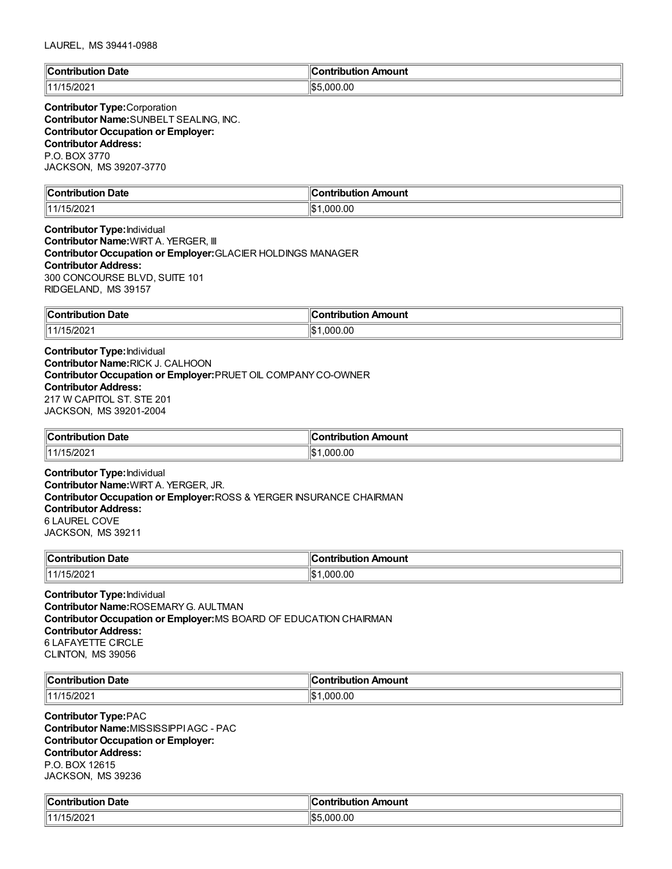| llC<br>Jate<br>ാന്<br>'ih⊔ti∩n | Amount<br>antrihutian<br>ш |
|--------------------------------|----------------------------|
| פחמו<br>A 14<br>I JIZUZ.       | .000.00<br>川むに             |

**Contributor Type:**Corporation **Contributor Name:**SUNBELT SEALING, INC. **Contributor Occupation or Employer: Contributor Address:** P.O. BOX 3770 JACKSON, MS 39207-3770

| $\mathbb{R}$<br>Date<br>∴nn"<br>™ih⊔ti⊾.              | Amount<br>---<br>`ontribut |
|-------------------------------------------------------|----------------------------|
| $\neg$ : $\land$ $\land$ $\land$<br>   1 1 1 1<br>-∪∠ | .000.00<br>∥\$             |

**Contributor Type:**Individual **Contributor Name:**WIRT A. YERGER, III **Contributor Occupation or Employer:**GLACIER HOLDINGS MANAGER **Contributor Address:** 300 CONCOURSE BLVD, SUITE 101 RIDGELAND, MS 39157

| $\ $ Contribution $\ $<br>Date | ontribution Amount |
|--------------------------------|--------------------|
| .5/2021<br>11 4 14 E           | .000.00<br>ı       |

**Contributor Type:**Individual **Contributor Name:**RICK J. CALHOON **Contributor Occupation or Employer:**PRUET OIL COMPANYCO-OWNER **Contributor Address:** 217 W CAPITOL ST. STE 201 JACKSON, MS 39201-2004

| "Contribution"<br>Date<br>. | ır<br>Amount<br>.<br>- -- -<br>$\sim$ $\sim$ $\sim$ $\sim$ |
|-----------------------------|------------------------------------------------------------|
| $\parallel$ 11/15/2021      | .000.00<br>1\$                                             |

**Contributor Type:**Individual **Contributor Name:**WIRT A. YERGER, JR. **Contributor Occupation or Employer:**ROSS & YERGER INSURANCE CHAIRMAN **Contributor Address:** 6 LAUREL COVE JACKSON, MS 39211

| $\mathsf{C}$ ontribution<br>Date<br>nouuor<br>וטט<br>. | Amount<br>.ontribution<br>.    |
|--------------------------------------------------------|--------------------------------|
| 11/15/2021                                             | .000.00<br>$\mathbf{A}$<br>د∪ا |

**Contributor Type:**Individual **Contributor Name:**ROSEMARYG. AULTMAN **Contributor Occupation or Employer:**MS BOARD OF EDUCATION CHAIRMAN **Contributor Address:** 6 LAFAYETTE CIRCLE CLINTON, MS 39056

| llC.      | Amount            |
|-----------|-------------------|
| Date      |                   |
| .         | .                 |
| 11<br>-uz | 0.0<br>IS.<br>ገበር |

**Contributor Type:**PAC **Contributor Name:**MISSISSIPPIAGC - PAC **Contributor Occupation or Employer: Contributor Address:** P.O. BOX 12615 JACKSON, MS 39236

| $\epsilon$<br>. Date<br>`ontribution_ | Contribution Amount             |
|---------------------------------------|---------------------------------|
| I5/2021                               | .000.00<br>$\mathbf{A}$<br>ר הו |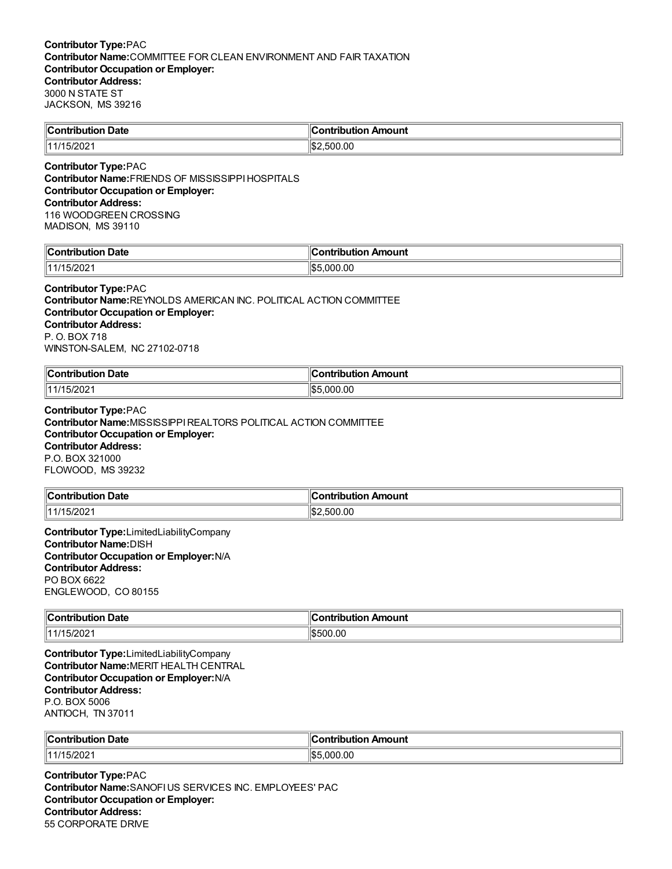| <b>Contribution</b> | Amount                   |
|---------------------|--------------------------|
| Date                | :ontribution             |
| 11/15/2021          | .500.00<br>$\sim$<br>⊾⊎ا |

**Contributor Type:**PAC **Contributor Name:**FRIENDS OF MISSISSIPPIHOSPITALS **Contributor Occupation or Employer: Contributor Address:** 116 WOODGREEN CROSSING MADISON, MS 39110

| $\mathsf{ICon}^{\mathsf{t}}$<br>Date<br>. | Amount<br>ำที่rih⊔t⊪.<br>. |
|-------------------------------------------|----------------------------|
| .15/20<br>144                             | .00<br>川むら<br>nnr          |

#### **Contributor Type:**PAC

**Contributor Name:**REYNOLDS AMERICAN INC. POLITICAL ACTION COMMITTEE **Contributor Occupation or Employer: Contributor Address:** P. O. BOX 718 WINSTON-SALEM, NC 27102-0718

| -<br>$"On the line 4: -1$<br>Date<br>. | ı<br><b>\mount</b><br>- -- -<br>.<br>. |
|----------------------------------------|----------------------------------------|
| .441'                                  | .00                                    |
| 770∠                                   | ١¢۱                                    |
|                                        | .000                                   |

**Contributor Type:**PAC **Contributor Name:**MISSISSIPPIREALTORS POLITICAL ACTION COMMITTEE **Contributor Occupation or Employer: Contributor Address:** P.O. BOX 321000 FLOWOOD, MS 39232

| $\sf{C}$ ontribution | <b>∴ontribution</b> |
|----------------------|---------------------|
| <b>Date</b>          | ution Amount        |
| 11/15/2021           | .500.00<br>'!\$չ    |

**Contributor Type:**LimitedLiabilityCompany **Contributor Name:**DISH **Contributor Occupation or Employer:**N/A **Contributor Address:** PO BOX 6622 ENGLEWOOD, CO 80155

| $\ $ Contribution | ١c                  |
|-------------------|---------------------|
| <b>Date</b>       | Contribution Amount |
| 5/202<br>111      | 1\$500.00           |

**Contributor Type:**LimitedLiabilityCompany **Contributor Name:**MERIT HEALTH CENTRAL **Contributor Occupation or Employer:**N/A **Contributor Address:** P.O. BOX 5006 ANTIOCH, TN 37011

| ∥Coı<br>. Date<br>. | . .<br>۵r<br>mount<br>.<br>.<br>___ |
|---------------------|-------------------------------------|
| 1000                | 川でん                                 |
| (111/1)             | .00                                 |
| 5/202               | nnn                                 |

**Contributor Type:**PAC **Contributor Name:**SANOFIUS SERVICES INC. EMPLOYEES' PAC **Contributor Occupation or Employer: Contributor Address:** 55 CORPORATE DRIVE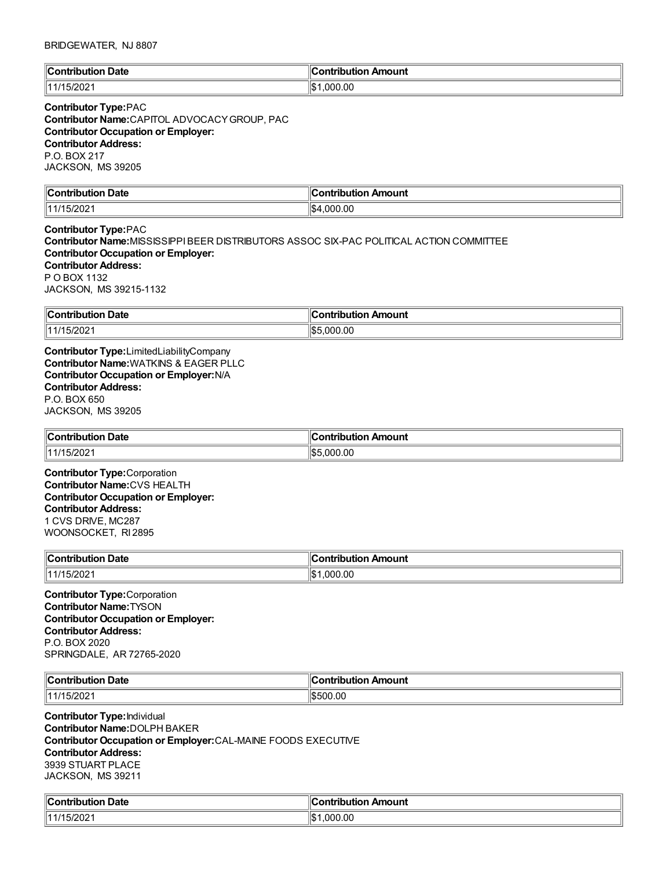### BRIDGEWATER, NJ 8807

| ∥C<br>Jate<br>$\ldots$ on $\vdots$<br>'ih⊔ti∩n | Amount<br>ontribution: |
|------------------------------------------------|------------------------|
| ירחרו.<br>$\overline{A}$ 14<br>∣J≀∠∪∠          | .000.00<br>llo         |

# **Contributor Type:**PAC **Contributor Name:**CAPITOL ADVOCACYGROUP, PAC **Contributor Occupation or Employer: Contributor Address:** P.O. BOX 217 JACKSON, MS 39205

| $\mathbb{I}$ C<br>Date<br>. APT<br>.<br>------ | Amouni<br>----          |
|------------------------------------------------|-------------------------|
| 114.4<br>-92                                   | ۱¢<br>.00<br>ገበነ<br>- - |

**Contributor Type:**PAC **Contributor Name:**MISSISSIPPIBEER DISTRIBUTORS ASSOC SIX-PAC POLITICAL ACTION COMMITTEE **Contributor Occupation or Employer: Contributor Address:** P O BOX 1132 JACKSON, MS 39215-1132

| ∥Coı<br>Date<br>ontribution | 11<br>Amount<br>∩ntı<br>.<br>.<br>IDI<br>$\sim$ $\sim$ $\sim$ $\sim$ $\sim$ |
|-----------------------------|-----------------------------------------------------------------------------|
| $\parallel$ 11/15/2021      | 000.00<br>11 S.F                                                            |

**Contributor Type:**LimitedLiabilityCompany **Contributor Name:**WATKINS & EAGER PLLC **Contributor Occupation or Employer:**N/A **Contributor Address:** P.O. BOX 650 JACKSON, MS 39205

| $\ $ Contribution<br><b>Date</b><br>. | Amount<br>aankalaud<br>$\cdot$ if ich $\cdot$<br>וטו |
|---------------------------------------|------------------------------------------------------|
| $\parallel$ 11/15/2021                | 11\$.F<br>.00<br>$\sim$<br>00 H                      |

**Contributor Type:**Corporation **Contributor Name:**CVS HEALTH **Contributor Occupation or Employer: Contributor Address:** 1 CVS DRIVE, MC287 WOONSOCKET, RI 2895

| Date<br>$^{\circ}$ Contribution $\cdots$<br>nouuor<br>. | n Amount<br><b>⇔ontributio</b> r∟ |
|---------------------------------------------------------|-----------------------------------|
| 144/45/2024<br>15/2021                                  | .000.00                           |

**Contributor Type:**Corporation **Contributor Name:**TYSON **Contributor Occupation or Employer: Contributor Address:** P.O. BOX 2020 SPRINGDALE, AR 72765-2020

| $\ $ Contribution<br>$\sim$<br>ntribution Date | ontribution<br>n Amount |
|------------------------------------------------|-------------------------|
| 11111<br>5/202                                 | \$500.00                |

**Contributor Type:**Individual **Contributor Name:**DOLPH BAKER **Contributor Occupation or Employer:**CAL-MAINE FOODS EXECUTIVE **Contributor Address:** 3939 STUART PLACE JACKSON, MS 39211

| <b>Contribution Date</b> | :ontribution Amount  |
|--------------------------|----------------------|
| :5/202<br>$\cdot$ 4 14   | .000.00<br>∣≀∧<br>ıэ |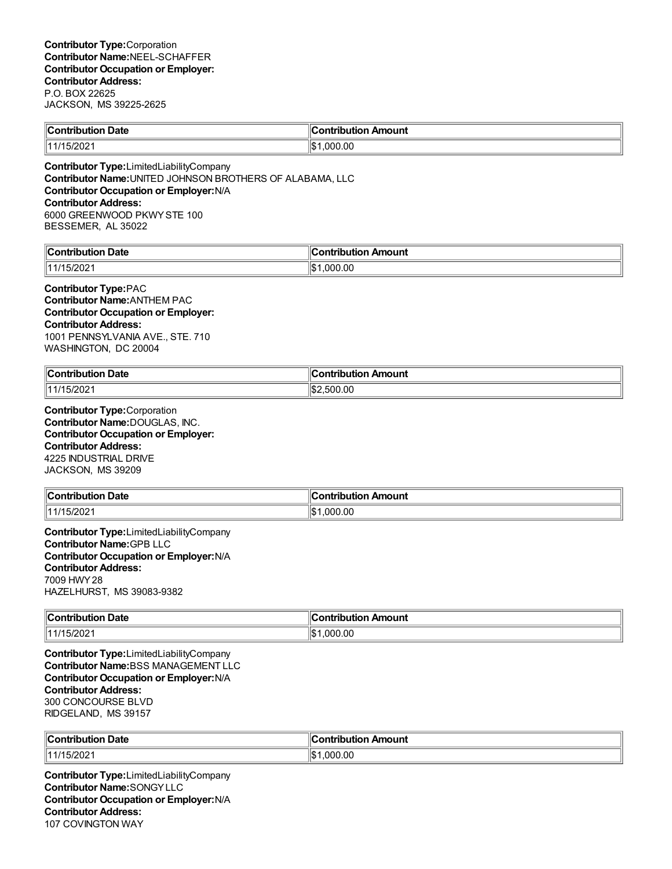| Contribution Date      | .<br>ır<br>∥Contribution Amount |
|------------------------|---------------------------------|
| $\parallel$ 11/15/2021 | .000.00<br>∸י<br>17Р            |
|                        |                                 |

**Contributor Type:**LimitedLiabilityCompany **Contributor Name:**UNITED JOHNSON BROTHERS OF ALABAMA, LLC **Contributor Occupation or Employer:**N/A **Contributor Address:** 6000 GREENWOOD PKWYSTE 100 BESSEMER, AL 35022

| $\ $ Cont<br>Date<br><b>Shution</b><br>$\sim$ $\sim$ $\sim$ $\sim$ $\sim$ $\sim$ $\sim$ | . .ontributior. .<br>Amount |
|-----------------------------------------------------------------------------------------|-----------------------------|
| 15/202<br>11/1                                                                          | .000.00<br>۱I¢<br>υυ        |

**Contributor Type:**PAC **Contributor Name:**ANTHEM PAC **Contributor Occupation or Employer: Contributor Address:** 1001 PENNSYLVANIA AVE., STE. 710 WASHINGTON, DC 20004

| $\ $ Contribution<br>Date<br>. | Amount<br>---<br>טו                |
|--------------------------------|------------------------------------|
| 11/15/2021                     | ∥\$;<br>00.00;<br>$\sim$<br>וו ורי |

**Contributor Type:**Corporation **Contributor Name:**DOUGLAS, INC. **Contributor Occupation or Employer: Contributor Address:** 4225 INDUSTRIAL DRIVE JACKSON, MS 39209

| <b>Contribution Date</b> | ∥Contribution Amount |
|--------------------------|----------------------|
| 11/15/2021               | 000.00.۱             |

**Contributor Type:**LimitedLiabilityCompany **Contributor Name:**GPB LLC **Contributor Occupation or Employer:**N/A **Contributor Address:** 7009 HWY28 HAZELHURST, MS 39083-9382

| $\mathsf{C}$ ontribution<br>Date<br>IDUIK | Amount<br><b>Contribution</b> |
|-------------------------------------------|-------------------------------|
| 11/15/202                                 | ∥\$<br>1,000.00               |

**Contributor Type:**LimitedLiabilityCompany **Contributor Name:**BSS MANAGEMENT LLC **Contributor Occupation or Employer:**N/A **Contributor Address:** 300 CONCOURSE BLVD RIDGELAND, MS 39157

| $\overline{ }$<br>Date<br>⊪Cor<br>, ibutior | ∥Contribution Amount         |
|---------------------------------------------|------------------------------|
| 1114<br>.5/2021                             | $\sim$<br>റററ<br>'\$∥<br>.uu |

**Contributor Type:**LimitedLiabilityCompany **Contributor Name:**SONGYLLC **Contributor Occupation or Employer:**N/A **Contributor Address:** 107 COVINGTON WAY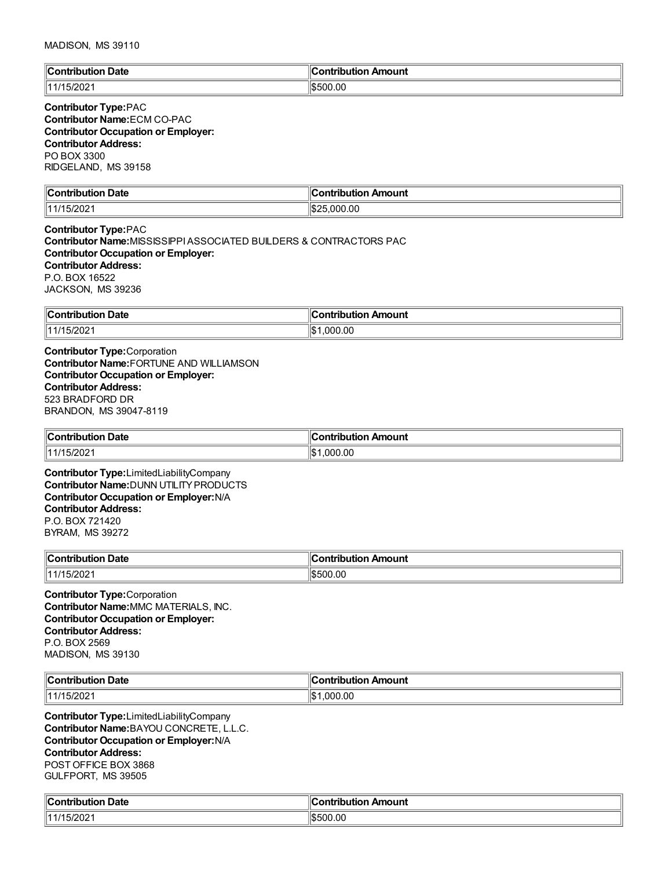| ∣∣∩<br>`ontribution Date | . .<br>Contribution Amount |
|--------------------------|----------------------------|
| 1000<br>∟ ے∪∠اں .        | \$500.00                   |

### **Contributor Type:**PAC **Contributor Name:**ECM CO-PAC **Contributor Occupation or Employer: Contributor Address:** PO BOX 3300 RIDGELAND, MS 39158

| Date<br><b>Contribution</b> | $\overline{\phantom{a}}$<br>:ontribution<br>Amount<br>TIDULION , |
|-----------------------------|------------------------------------------------------------------|
| I JIZUZ.                    | ″⊅ا<br>.000.00<br>ט∠סוי                                          |

**Contributor Type:**PAC **Contributor Name:**MISSISSIPPIASSOCIATED BUILDERS & CONTRACTORS PAC **Contributor Occupation or Employer: Contributor Address:** P.O. BOX 16522 JACKSON, MS 39236

| llCo⊫<br>Date<br>a mbuila mbi a m<br>י יוטו<br>. | Amount<br>`ontribution<br>$\sim$ $\sim$ $\sim$ $\sim$ $\sim$ |
|--------------------------------------------------|--------------------------------------------------------------|
| .115/20<br>14414                                 | ∥\$<br>.000.00                                               |

**Contributor Type:**Corporation **Contributor Name:**FORTUNE AND WILLIAMSON **Contributor Occupation or Employer: Contributor Address:** 523 BRADFORD DR BRANDON, MS 39047-8119

| Date                   | Amount        |
|------------------------|---------------|
| $\ $ Contribution      | ontribution   |
| .                      |               |
| $\parallel$ 11/15/2021 | .000.00<br>١¢ |

**Contributor Type:**LimitedLiabilityCompany **Contributor Name:**DUNN UTILITYPRODUCTS **Contributor Occupation or Employer:**N/A **Contributor Address:** P.O. BOX 721420 BYRAM, MS 39272

| ∥Coı<br>⊦ Date<br>.<br>oution<br>___ | "<br>Amount<br>-----<br>----<br>----<br><br>___ |
|--------------------------------------|-------------------------------------------------|
| 5/202                                | 0.00                                            |
| 11111                                | ור                                              |

**Contributor Type:**Corporation **Contributor Name:**MMC MATERIALS, INC. **Contributor Occupation or Employer: Contributor Address:** P.O. BOX 2569 MADISON, MS 39130

| ∥Cı<br>. .<br>Date<br><b>Contribution</b><br>. | ontribution<br>า Amount<br>___ |
|------------------------------------------------|--------------------------------|
| 1000<br>  11/1<br>I JIZUZ.                     | .000.00<br>١¢                  |

**Contributor Type:**LimitedLiabilityCompany **Contributor Name:**BAYOU CONCRETE, L.L.C. **Contributor Occupation or Employer:**N/A **Contributor Address:** POST OFFICE BOX 3868 GULFPORT, MS 39505

| $\ $ Contribut<br>ribution Date | ЧС.<br>ribution Amount<br>ontrٽ |
|---------------------------------|---------------------------------|
| 15/202                          | ١đ<br>0.00<br>ורה               |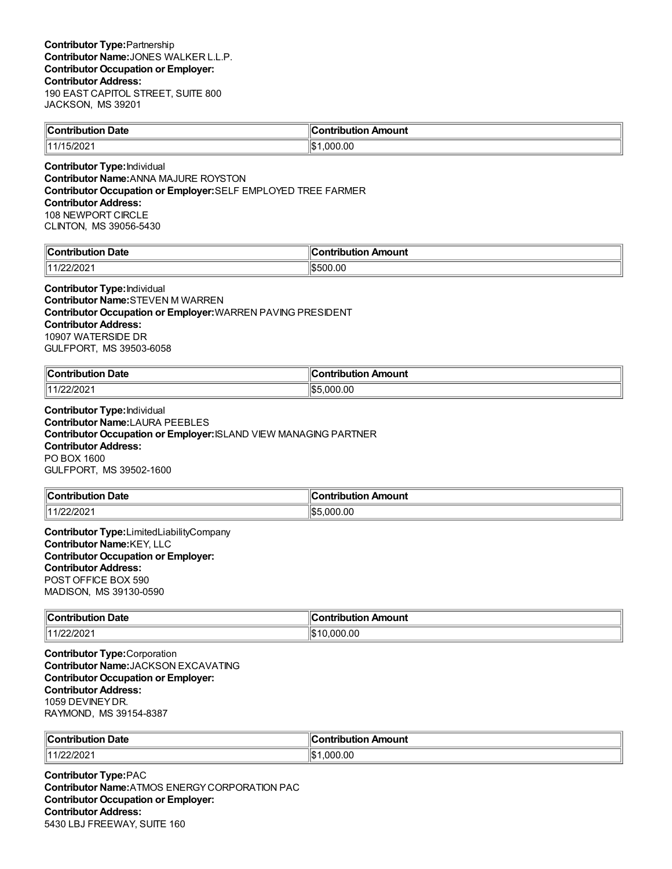| $\mathsf{IC}_\mathsf{O}$ nti<br>Date<br>--------<br>. | ≅ntrih⊔t⊪.<br>Amount |
|-------------------------------------------------------|----------------------|
| 15/202<br>111                                         | 00. (<br>۱¢<br>nnn   |

**Contributor Type:**Individual **Contributor Name:**ANNA MAJURE ROYSTON **Contributor Occupation or Employer:**SELF EMPLOYED TREE FARMER **Contributor Address:** 108 NEWPORT CIRCLE CLINTON, MS 39056-5430

| $\ $ Contribut<br>Date<br>ution | 11<br>∠ontr<br>Amount<br>. ibutior |
|---------------------------------|------------------------------------|
| 14.4 <sub>1</sub><br>/22/202    | \$500.00                           |

**Contributor Type:**Individual **Contributor Name:**STEVEN M WARREN **Contributor Occupation or Employer:**WARREN PAVING PRESIDENT **Contributor Address:** 10907 WATERSIDE DR GULFPORT, MS 39503-6058

| $\ $ Contribution | .ntrihut |
|-------------------|----------|
| Date              | Amount   |
| .                 |          |
| י∩ר <i>יו</i> נ   | 00.(     |
| 14.4.10c          | 105      |
| 1/ZZIZUZ'         | nnn      |

**Contributor Type:**Individual **Contributor Name:**LAURA PEEBLES **Contributor Occupation or Employer:**ISLAND VIEW MANAGING PARTNER **Contributor Address:** PO BOX 1600 GULFPORT, MS 39502-1600

| <b>Contribution Date</b> | ∥Contribution Amount |
|--------------------------|----------------------|
| רחריו                    | $\sim$               |
| 114101                   | റററ                  |
| 212 U Z                  | w                    |

**Contributor Type:**LimitedLiabilityCompany **Contributor Name:**KEY, LLC **Contributor Occupation or Employer: Contributor Address:** POST OFFICE BOX 590 MADISON, MS 39130-0590

| $\ $ Contribution   | <b>Amount</b>        |
|---------------------|----------------------|
| Date                | ---------            |
| .                   |                      |
| 1/22/2021<br>14.100 | .000.00<br>۱C<br>ا ا |

**Contributor Type:**Corporation **Contributor Name:**JACKSON EXCAVATING **Contributor Occupation or Employer: Contributor Address:** 1059 DEVINEYDR. RAYMOND, MS 39154-8387

| ∥Con'<br>Date<br>.<br>----<br>1011<br>TI.<br>. | Amount<br>.<br>JULIU |
|------------------------------------------------|----------------------|
| 1440c<br>2/202                                 | റററ<br>.00<br>'\$∥   |

**Contributor Type:**PAC **Contributor Name:**ATMOS ENERGYCORPORATION PAC **Contributor Occupation or Employer: Contributor Address:** 5430 LBJ FREEWAY, SUITE 160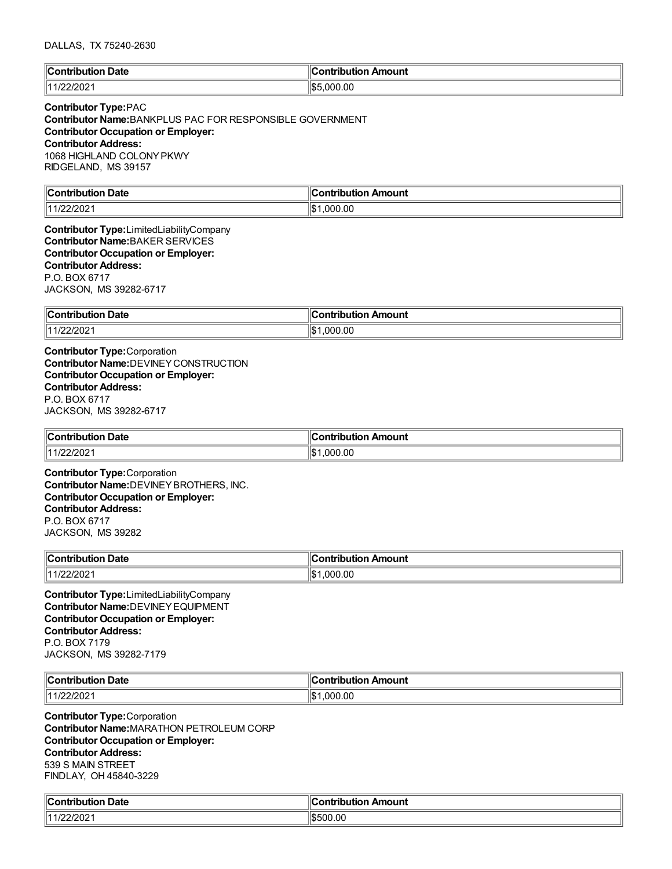### DALLAS, TX 75240-2630

| <b>Contribution Date</b> | ∥Contribution Amount |
|--------------------------|----------------------|
| 11/22/2021               | $\frac{1}{5.000.00}$ |

### **Contributor Type:**PAC

**Contributor Name:**BANKPLUS PAC FOR RESPONSIBLE GOVERNMENT **Contributor Occupation or Employer: Contributor Address:** 1068 HIGHLAND COLONYPKWY RIDGELAND, MS 39157

| llC<br><b>Date</b><br>്∩⊓*<br>- - --<br>.<br>$\sim$ $\sim$ $\sim$ $\sim$ $\sim$ $\sim$ $\sim$ | <b>\mount</b><br><u>antuiku mian</u> |
|-----------------------------------------------------------------------------------------------|--------------------------------------|
| 1/22/202                                                                                      | ∣∣∧<br>.000.00<br>ıэ                 |

**Contributor Type:**LimitedLiabilityCompany **Contributor Name:**BAKER SERVICES **Contributor Occupation or Employer: Contributor Address:** P.O. BOX 6717 JACKSON, MS 39282-6717

| ∥Co⊧<br>⊦Date<br>.<br>⊸ullO⊡<br>$  -$    | <b>\mount</b><br>'antrihutian |
|------------------------------------------|-------------------------------|
| רחריו<br>1 A A<br>$\sqrt{2}$<br>11221202 | .000.00<br>1\$                |

**Contributor Type:**Corporation **Contributor Name:**DEVINEYCONSTRUCTION **Contributor Occupation or Employer: Contributor Address:** P.O. BOX 6717 JACKSON, MS 39282-6717

| ∥Con<br>Jate<br>.<br>7 M D<br>.     | nount<br><b>THE REAL</b> |
|-------------------------------------|--------------------------|
| פחריו<br>14 4 10 <b>1</b><br>72 U Z | $\sim$<br>۱\$۰<br>nnr    |

**Contributor Type:**Corporation **Contributor Name:**DEVINEYBROTHERS, INC. **Contributor Occupation or Employer: Contributor Address:** P.O. BOX 6717 JACKSON, MS 39282

| ∥Con'<br><b>Date</b><br>'ribution        | n Amount<br>ำntributio… |
|------------------------------------------|-------------------------|
| י∩מיני.<br>114101<br>21202<br>$\sqrt{2}$ | .000.00                 |

**Contributor Type:**LimitedLiabilityCompany **Contributor Name:**DEVINEYEQUIPMENT **Contributor Occupation or Employer: Contributor Address:** P.O. BOX 7179 JACKSON, MS 39282-7179

| Date<br>$\ $ Contribution | Amount<br>→ntrihutแ. |
|---------------------------|----------------------|
| 14.4.00<br>11221202       | 0.00<br>.,<br>.00C   |

**Contributor Type:**Corporation **Contributor Name:**MARATHON PETROLEUM CORP **Contributor Occupation or Employer: Contributor Address:** 539 S MAIN STREET FINDLAY, OH 45840-3229

| $\ $ Contribut | ∥Contri                       |
|----------------|-------------------------------|
| ribution Date  | ribution Amount               |
| /22/2021       | 00.OC<br>$\mathbf{v}$<br>1.D. |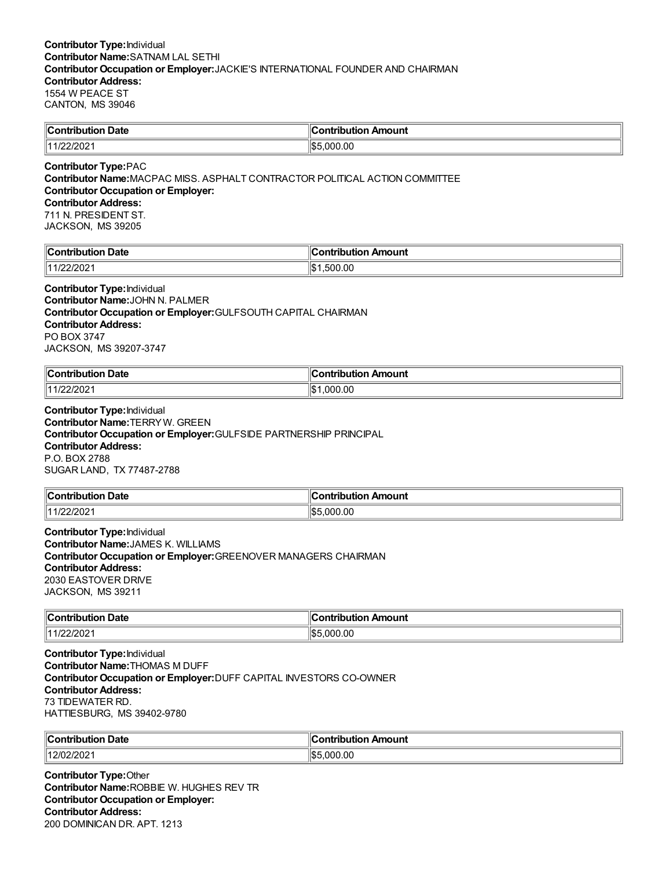| Contribution Date | Contribution Amount |
|-------------------|---------------------|
| 11/22/2021        | 1\$5.000.00         |

#### **Contributor Type:**PAC **Contributor Name:**MACPAC MISS. ASPHALT CONTRACTOR POLITICAL ACTION COMMITTEE **Contributor Occupation or Employer: Contributor Address:** 711 N. PRESIDENT ST. JACKSON, MS 39205

| ∥Cω        | 'on Amount |
|------------|------------|
| Date       | .          |
| `ont       | IDL        |
| tribution  | чис        |
| $\sqrt{2}$ | ∥\$∶       |
| $  44/2^r$ | .00        |
| 11221202   | .50C       |

**Contributor Type:**Individual **Contributor Name:**JOHN N. PALMER **Contributor Occupation or Employer:**GULFSOUTH CAPITAL CHAIRMAN **Contributor Address:** PO BOX 3747 JACKSON, MS 39207-3747

| <b>Contribution</b><br>→ Date | Amount<br>≅ntrih⊔t⊪.<br>ian |
|-------------------------------|-----------------------------|
| 2/202<br>4400                 | 00.ر<br>11 A<br>nne         |

### **Contributor Type:**Individual **Contributor Name:**TERRYW. GREEN **Contributor Occupation or Employer:**GULFSIDE PARTNERSHIP PRINCIPAL **Contributor Address:** P.O. BOX 2788 SUGAR LAND, TX 77487-2788

| ∥Con        | Amount |
|-------------|--------|
| <b>Date</b> |        |
| tribution   | וחו    |
| רחרוני.     | ‼\$    |
| 1141 A      | 0C.,   |
| 72 U Z      | ៸៶៸៶   |

**Contributor Type:**Individual **Contributor Name:**JAMES K. WILLIAMS **Contributor Occupation or Employer:**GREENOVER MANAGERS CHAIRMAN **Contributor Address:** 2030 EASTOVER DRIVE JACKSON, MS 39211

| <b>Contribution Date</b> | :ontribution Amount           |
|--------------------------|-------------------------------|
| 11/22/2021               | $\lambda$ -<br>.000.00<br>איש |

**Contributor Type:**Individual **Contributor Name:**THOMAS M DUFF **Contributor Occupation or Employer:**DUFF CAPITAL INVESTORS CO-OWNER **Contributor Address:** 73 TIDEWATER RD. HATTIESBURG, MS 39402-9780

| $\ $ Contribution<br>Date | bution Amount<br>--------------<br>IU IL |
|---------------------------|------------------------------------------|
| /202                      | 川むん                                      |
| 1200 <sup>c</sup>         | .00                                      |
| . $LT$                    | nnn                                      |

**Contributor Type:**Other **Contributor Name:**ROBBIE W. HUGHES REV TR **Contributor Occupation or Employer: Contributor Address:** 200 DOMINICAN DR. APT. 1213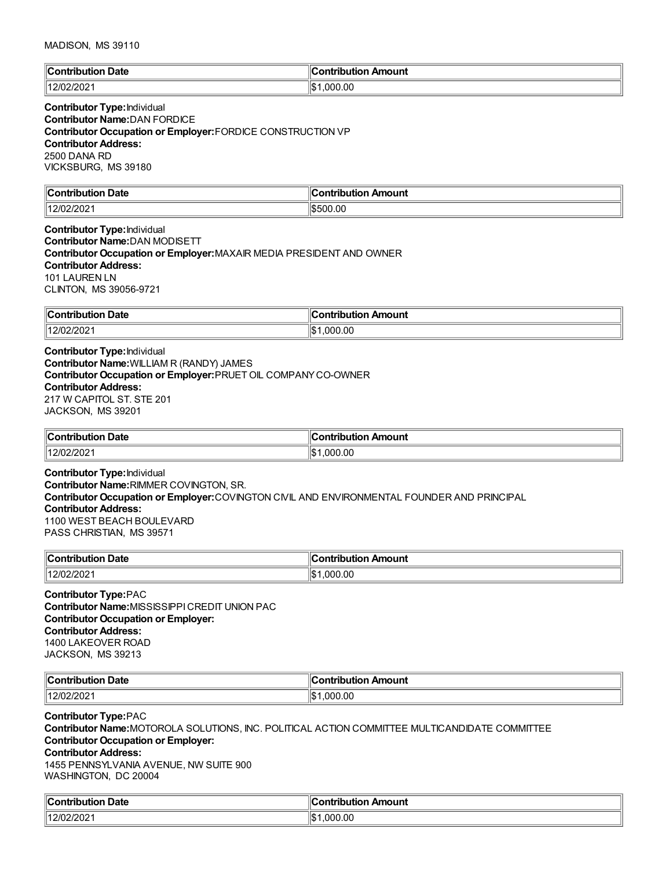| llC.<br>Date<br>$-$<br>. | Amount<br>'a mbuile i ibi a m<br>. . |
|--------------------------|--------------------------------------|
| 1000                     | ∣∣∩∿                                 |
| 1401                     | .000.00                              |
| 202                      | ۱۱۵                                  |

### **Contributor Type:**Individual **Contributor Name:**DAN FORDICE **Contributor Occupation or Employer:**FORDICE CONSTRUCTION VP **Contributor Address:** 2500 DANA RD VICKSBURG, MS 39180

| $\mathsf{C}$ ontribution | Amount                   |
|--------------------------|--------------------------|
| Date                     | .                        |
|                          |                          |
| 1401<br>╱/(<br>ZUZ       | .00<br>חו<br>י<br>$\sim$ |

### **Contributor Type:**Individual **Contributor Name:**DAN MODISETT **Contributor Occupation or Employer:**MAXAIR MEDIA PRESIDENT AND OWNER **Contributor Address:** 101 LAUREN LN CLINTON, MS 39056-9721

| $\sim$<br><b>Contribution</b><br><b>Date</b> | ∕n Amount<br>`ontribut⊾<br>.<br> |
|----------------------------------------------|----------------------------------|
| 12/02/2021                                   | <br>.000.00<br>۱Э                |

**Contributor Type:**Individual **Contributor Name:**WILLIAM R (RANDY) JAMES **Contributor Occupation or Employer:**PRUET OIL COMPANYCO-OWNER **Contributor Address:** 217 W CAPITOL ST. STE 201 JACKSON, MS 39201

| <b>Date</b><br>$\ $ Contribution | . .<br>ır<br>วทtribution Amount |
|----------------------------------|---------------------------------|
| 12/0                             | .00                             |
| $\frac{1}{2}0$                   | იიი                             |
|                                  | 1\$                             |

### **Contributor Type:**Individual **Contributor Name:**RIMMER COVINGTON, SR. **Contributor Occupation or Employer:**COVINGTON CIVIL AND ENVIRONMENTAL FOUNDER AND PRINCIPAL **Contributor Address:** 1100 WEST BEACH BOULEVARD PASS CHRISTIAN, MS 39571

| ЧC.<br><b>Date</b><br>`antributian<br>TOUTIC | Contribution Amount |
|----------------------------------------------|---------------------|
| 500                                          | 000.00,             |
| 112K                                         | ∣∣∧                 |
| 202                                          | ∖ات                 |

**Contributor Type:**PAC **Contributor Name:**MISSISSIPPICREDIT UNION PAC **Contributor Occupation or Employer: Contributor Address:** 1400 LAKEOVER ROAD JACKSON, MS 39213

| $n$ ontribution   | - -                          |
|-------------------|------------------------------|
| Date              | Amount                       |
| $ -$              | .                            |
|                   |                              |
| 12/0.7  <br>2/202 | ۱α۰<br>.00<br>.000<br>. I JD |

#### **Contributor Type:**PAC

**Contributor Name:**MOTOROLA SOLUTIONS, INC. POLITICAL ACTION COMMITTEE MULTICANDIDATE COMMITTEE **Contributor Occupation or Employer:**

# **Contributor Address:**

1455 PENNSYLVANIA AVENUE, NW SUITE 900 WASHINGTON, DC 20004

| $\ $ Contribution<br>Date | ı<br>Amount<br>Contribution |
|---------------------------|-----------------------------|
| 12/02/2021                | ∥\$<br>.000.00              |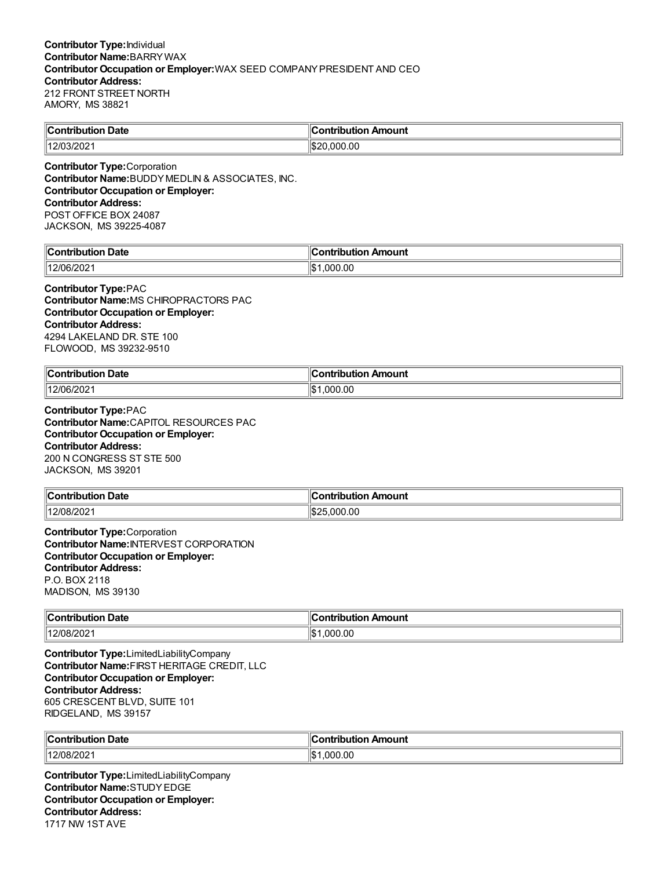| $\ $ Contribution<br>Date | a www.com<br>Amount<br>--- |
|---------------------------|----------------------------|
| 12/03/202                 | .000.00<br>۱¢              |

**Contributor Type:**Corporation **Contributor Name:**BUDDYMEDLIN & ASSOCIATES, INC. **Contributor Occupation or Employer: Contributor Address:** POST OFFICE BOX 24087 JACKSON, MS 39225-4087

| llC<br>Jate<br>.nn'<br>---<br><br>-н<br>. | 10<br>mount<br><b>CONTRACT</b><br>- - -<br> |
|-------------------------------------------|---------------------------------------------|
| 12/06/2021                                | ∥\$<br>00.00<br>იიი                         |

**Contributor Type:**PAC **Contributor Name:**MS CHIROPRACTORS PAC **Contributor Occupation or Employer: Contributor Address:** 4294 LAKELAND DR. STE 100 FLOWOOD, MS 39232-9510

| <b>Contribution Date</b> | 10<br>Amount<br>:ontribution<br>IDU |
|--------------------------|-------------------------------------|
| 12/06/2021               | ∥\$∶<br>.000.00                     |

**Contributor Type:**PAC **Contributor Name:**CAPITOL RESOURCES PAC **Contributor Occupation or Employer: Contributor Address:** 200 N CONGRESS ST STE 500 JACKSON, MS 39201

| $\sf{IC}$ ontri                        | :ontribution                 |
|----------------------------------------|------------------------------|
| Date                                   | Amount                       |
| .                                      | Ш                            |
|                                        |                              |
| $\angle 08/20^\circ$<br>11 O IC<br>∠∪∠ | .000.00<br>۱۱œ<br>,,<br>lsDz |

**Contributor Type:**Corporation **Contributor Name:**INTERVEST CORPORATION **Contributor Occupation or Employer: Contributor Address:** P.O. BOX 2118 MADISON, MS 39130

| ∥C،<br>Date<br>. Contribution<br>. | Amount<br><b>Contribution</b> |
|------------------------------------|-------------------------------|
| 12/08/2021                         | .000.00<br>‼¢ 1<br>IФ         |

**Contributor Type:**LimitedLiabilityCompany **Contributor Name:**FIRST HERITAGE CREDIT, LLC **Contributor Occupation or Employer: Contributor Address:** 605 CRESCENT BLVD, SUITE 101 RIDGELAND, MS 39157

| ∥Con<br>Date<br>- - -<br>.<br>тік<br>nг | ı Amount<br>a manila i mia m<br>. |
|-----------------------------------------|-----------------------------------|
| $^{\prime\prime}$ 12/08/202 .           | '\$∥<br>00. (<br>.000             |

**Contributor Type:**LimitedLiabilityCompany **Contributor Name:**STUDYEDGE **Contributor Occupation or Employer: Contributor Address:** 1717 NW 1ST AVE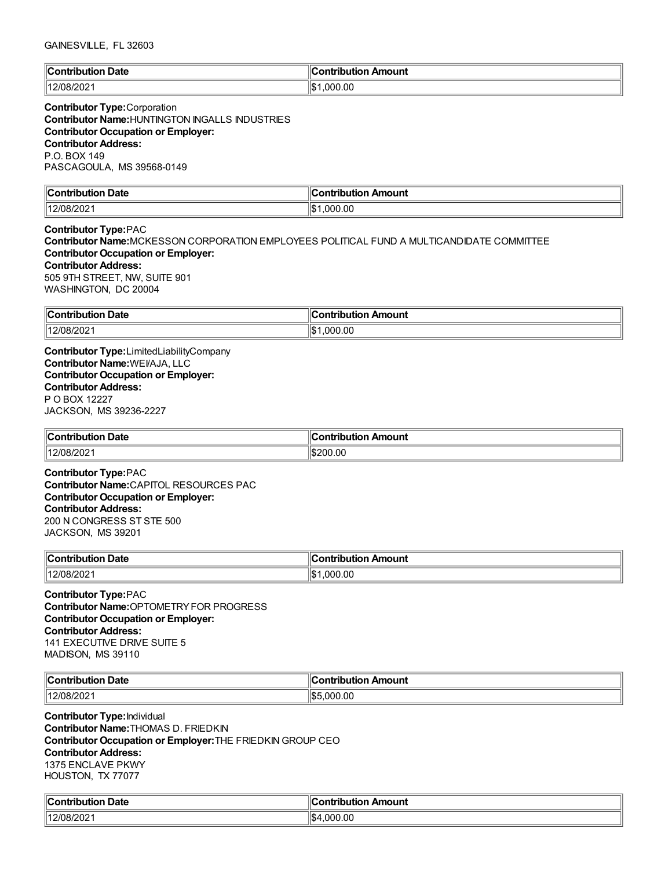| $\mathbb{C}$<br>Date<br>∴ontributioس<br><br>. | <b>Contribution</b><br>ution Amount |
|-----------------------------------------------|-------------------------------------|
| 12/08/2021                                    | .000.00<br>$H \rightarrow$<br>IФ    |

## **Contributor Type:**Corporation **Contributor Name:**HUNTINGTON INGALLS INDUSTRIES **Contributor Occupation or Employer: Contributor Address:** P.O. BOX 149 PASCAGOULA, MS 39568-0149

| $\mathbb{R}$<br><b>Date</b><br>.<br>----<br>ш | Amount<br>.<br>----     |
|-----------------------------------------------|-------------------------|
| 200<br>112/08<br>IUOIZUZ.                     | ۱I¢<br>.00<br>nnı<br>ьD |

**Contributor Type:**PAC **Contributor Name:**MCKESSON CORPORATION EMPLOYEES POLITICAL FUND A MULTICANDIDATE COMMITTEE **Contributor Occupation or Employer: Contributor Address:** 505 9TH STREET, NW, SUITE 901 WASHINGTON, DC 20004

| ∥Con<br>Date<br>ïbution<br>. | <b>\mount</b><br>.<br>- - -<br>ΊD |
|------------------------------|-----------------------------------|
| 12/08/2021                   | 1¢<br>.000.00<br>ا سا             |

**Contributor Type:**LimitedLiabilityCompany **Contributor Name:**WEI/AJA, LLC **Contributor Occupation or Employer: Contributor Address:** P O BOX 12227 JACKSON, MS 39236-2227

| $\ $ Contribution | :ontribution |
|-------------------|--------------|
| <b>Date</b>       | Amount       |
|                   | וסוי         |
| 12/08/2021        | 200.00<br>⊪c |

**Contributor Type:**PAC **Contributor Name:**CAPITOL RESOURCES PAC **Contributor Occupation or Employer: Contributor Address:** 200 N CONGRESS ST STE 500 JACKSON, MS 39201

| ∥Cont<br><b>Date</b><br>tribution | ---------<br>ribution Amount |
|-----------------------------------|------------------------------|
| 12/08/202                         | ۱IC<br>.000.00<br>ل∪ا        |

**Contributor Type:**PAC **Contributor Name:**OPTOMETRYFOR PROGRESS **Contributor Occupation or Employer: Contributor Address:** 141 EXECUTIVE DRIVE SUITE 5 MADISON, MS 39110

| ∥C.<br>. Date<br>.<br>--------- | Amount<br>a mbuila mbi a m    |
|---------------------------------|-------------------------------|
| 12/08/20                        | ا به ا<br>$\sim$<br>nne<br>wu |

**Contributor Type:**Individual **Contributor Name:**THOMAS D. FRIEDKIN **Contributor Occupation or Employer:**THE FRIEDKIN GROUP CEO **Contributor Address:** 1375 ENCLAVE PKWY HOUSTON, TX 77077

| ∥Cω<br>Date<br>`oni<br>tribution       | on Amount<br>.<br>וטו |
|----------------------------------------|-----------------------|
| <sup>ື</sup> ່ <sup>1</sup> 2/08/2∪∠ ເ | 00. (<br>∧ים⊪<br>ων   |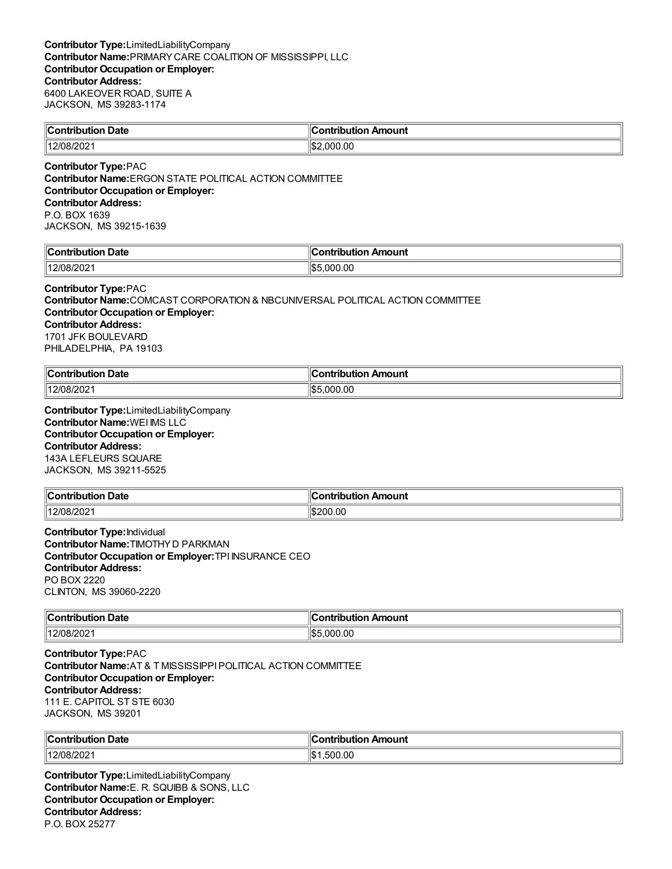| <b>Contribution Date</b> | $\ $ Contribution Amount |
|--------------------------|--------------------------|
| 12/08/2021               | .000.00                  |
|                          |                          |

**Contributor Type:**PAC **Contributor Name:**ERGON STATE POLITICAL ACTION COMMITTEE **Contributor Occupation or Employer: Contributor Address:** P.O. BOX 1639 JACKSON, MS 39215-1639

| ∥Conti | Amount     |
|--------|------------|
| Date   | ਾ*tributio |
| ----   | . .        |
| 1400   | 0.0        |
| 78/20  | リセル        |
| υz     | റററ        |

### **Contributor Type:**PAC

**Contributor Name:**COMCAST CORPORATION & NBCUNIVERSAL POLITICAL ACTION COMMITTEE **Contributor Occupation or Employer: Contributor Address:** 1701 JFK BOULEVARD PHILADELPHIA, PA 19103

| ∥Conti  | ı                   |
|---------|---------------------|
| Date    | ı Amount            |
| ibution | <b>Contribution</b> |
| 08/2021 | .000.00             |
| 11 O IC | طحال                |

**Contributor Type:**LimitedLiabilityCompany **Contributor Name:**WEI IMS LLC **Contributor Occupation or Employer: Contributor Address:** 143A LEFLEURS SQUARE JACKSON, MS 39211-5525

| $\ $ Contribution<br>-<br>Date | . .<br><b>∍ontributio</b> r<br>Amount |
|--------------------------------|---------------------------------------|
| 12/08/202                      | \$200.00                              |

**Contributor Type:**Individual **Contributor Name:**TIMOTHYD PARKMAN **Contributor Occupation or Employer:**TPI INSURANCE CEO **Contributor Address:** PO BOX 2220 CLINTON, MS 39060-2220

| llCoi       | Amount   |
|-------------|----------|
| <b>Date</b> | .        |
| .           | ⊔ti∩n    |
|             |          |
| 12/08/      | $0.00\,$ |
| 8/202       | ററ       |
|             | איו      |

**Contributor Type:**PAC **Contributor Name:**AT & T MISSISSIPPIPOLITICAL ACTION COMMITTEE **Contributor Occupation or Employer: Contributor Address:** 111 E. CAPITOL ST STE 6030 JACKSON, MS 39201

| ∥Con<br>Date<br>-------<br>----<br><b>cripution</b> | -------------<br>ntribution Amount |
|-----------------------------------------------------|------------------------------------|
| 112/08                                              | n c                                |
| /08/202                                             | ۱\$۰                               |
| $-1$                                                | 500                                |
|                                                     | .UU                                |

**Contributor Type:**LimitedLiabilityCompany **Contributor Name:**E. R. SQUIBB & SONS, LLC **Contributor Occupation or Employer: Contributor Address:** P.O. BOX 25277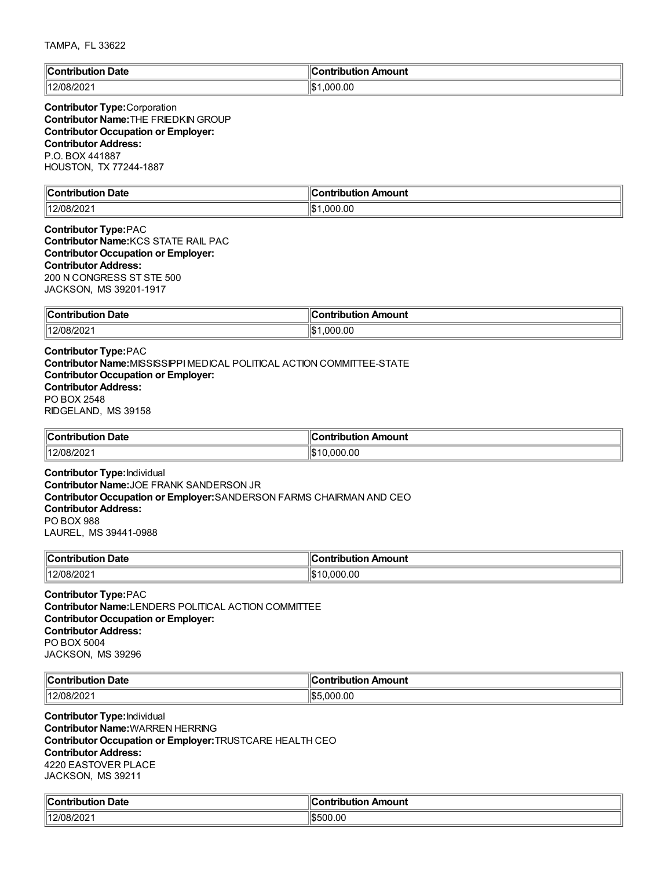| $\ $ Contribution               | Contribution         |
|---------------------------------|----------------------|
| Date                            | Amount               |
| .                               |                      |
| 12/08/202 <sup>.</sup><br>14.00 | ∣≀∧<br>.000.00<br>ıъ |

### **Contributor Type:**Corporation **Contributor Name:**THE FRIEDKIN GROUP **Contributor Occupation or Employer: Contributor Address:** P.O. BOX 441887 HOUSTON, TX 77244-1887

| ΙC<br>Jate<br>`oni<br>---<br>. | 10<br>---<br>mount<br>--- |
|--------------------------------|---------------------------|
| J8/2021                        | ∥\$<br>.00<br>יחה.        |

### **Contributor Type:**PAC **Contributor Name:**KCS STATE RAIL PAC **Contributor Occupation or Employer: Contributor Address:** 200 N CONGRESS ST STE 500 JACKSON, MS 39201-1917

| $\ $ Contribution $\ $ | . .                        |
|------------------------|----------------------------|
| <b>Date</b>            | <b>Contribution Amount</b> |
| 12/08/2021             | .000.00<br>$\mathbf{A}$    |

### **Contributor Type:**PAC **Contributor Name:**MISSISSIPPIMEDICAL POLITICAL ACTION COMMITTEE-STATE **Contributor Occupation or Employer: Contributor Address:** PO BOX 2548 RIDGELAND, MS 39158

| $\ $ Contribution                 | ontribution Amount |
|-----------------------------------|--------------------|
| <b>Date</b>                       | ∪ontr              |
| 12/0R<br>/08/2021<br>$\mathbf{1}$ | .000.00<br>ີ       |

**Contributor Type:**Individual **Contributor Name:**JOE FRANK SANDERSON JR **Contributor Occupation or Employer:**SANDERSON FARMS CHAIRMAN AND CEO **Contributor Address:** PO BOX 988 LAUREL, MS 39441-0988

| $^{\circ}$ Contribution<br>Date<br>∾∪<br>nouuoi | Amount<br>ntribut.<br>. |
|-------------------------------------------------|-------------------------|
| $\parallel$ 12/08/202                           | .000.00<br>⊾יו          |

**Contributor Type:**PAC **Contributor Name:**LENDERS POLITICAL ACTION COMMITTEE **Contributor Occupation or Employer: Contributor Address:** PO BOX 5004 JACKSON, MS 39296

| ∥c.<br><b>Date</b><br>----<br>$\sim$ $\sim$ $\sim$ $\sim$ $\sim$ $\sim$ $\sim$ | 10<br>nount<br>.<br>____          |
|--------------------------------------------------------------------------------|-----------------------------------|
| 14010<br>או<br>ZUZ<br>$\sim$<br>_____                                          | 1¢<br>$\sim$ $\sim$<br>ገበር<br>.UC |

**Contributor Type:**Individual **Contributor Name:**WARREN HERRING **Contributor Occupation or Employer:**TRUSTCARE HEALTH CEO **Contributor Address:** 4220 EASTOVER PLACE JACKSON, MS 39211

| من<br>. Date<br>`ontribution<br>TIDUIION. | :ontribution<br>ribution Amount |
|-------------------------------------------|---------------------------------|
| 1000<br>  12/08<br>'U8/202                | 00.00<br>ורהו                   |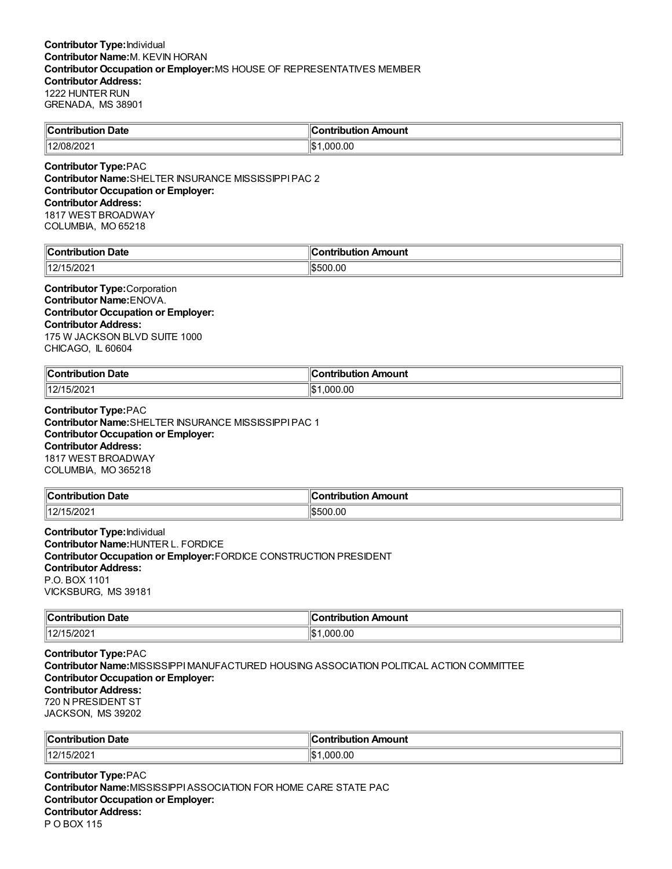| $\mathsf{C}$ ontribution | ---------            |
|--------------------------|----------------------|
| Date                     | Amount               |
| JUHOL                    | ---                  |
| 12/08/202                | 11\$<br>00.00<br>nnr |

**Contributor Type:**PAC **Contributor Name:**SHELTER INSURANCE MISSISSIPPIPAC 2 **Contributor Occupation or Employer: Contributor Address:** 1817 WEST BROADWAY COLUMBIA, MO 65218

| ∥Cւ<br>า Date<br>Contribution                    | `ontribution Amount |
|--------------------------------------------------|---------------------|
| $\sqrt{2}$<br>  40/4<br>$\mathbf{z}$<br>I JIZUZ. | 00.00<br>١æ<br>. اڪ |

**Contributor Type:**Corporation **Contributor Name:**ENOVA. **Contributor Occupation or Employer: Contributor Address:** 175 W JACKSON BLVD SUITE 1000 CHICAGO, IL 60604

| <b>Contribution</b> | …ontributior |
|---------------------|--------------|
| <b>Date</b>         | า Amount     |
| .                   |              |
| 4014E/2024          | .000.00      |
| 15/2021             | $H$ $\sim$   |
| 14                  | ۱Ъ           |

**Contributor Type:**PAC **Contributor Name:**SHELTER INSURANCE MISSISSIPPIPAC 1 **Contributor Occupation or Employer: Contributor Address:** 1817 WEST BROADWAY COLUMBIA, MO 365218

| $\ $ Contribution      | n Amount    |
|------------------------|-------------|
| Date                   | ontribution |
| 1つ/15<br>15/202<br>12/ | \$500.00    |

**Contributor Type:**Individual **Contributor Name:**HUNTER L. FORDICE **Contributor Occupation or Employer:**FORDICE CONSTRUCTION PRESIDENT **Contributor Address:** P.O. BOX 1101 VICKSBURG, MS 39181

| <b>Contribution</b> | n Amount          |
|---------------------|-------------------|
| bution Date         | ontribution       |
| 12/1<br>15/202      | 0.00<br>nnr<br>٦Ъ |

**Contributor Type:**PAC **Contributor Name:**MISSISSIPPIMANUFACTURED HOUSING ASSOCIATION POLITICAL ACTION COMMITTEE **Contributor Occupation or Employer: Contributor Address:** 720 N PRESIDENT ST JACKSON, MS 39202

| ∥Contribut      | Amount                          |
|-----------------|---------------------------------|
| $\sim$          | .                               |
| <b>Date</b>     | 101 L                           |
| ribution        | поп                             |
| 5/202<br>  12/1 | ooc<br>$^{\circ}$<br>J.UU<br>ыn |

**Contributor Type:**PAC **Contributor Name:**MISSISSIPPIASSOCIATION FOR HOME CARE STATE PAC **Contributor Occupation or Employer: Contributor Address:** P O BOX 115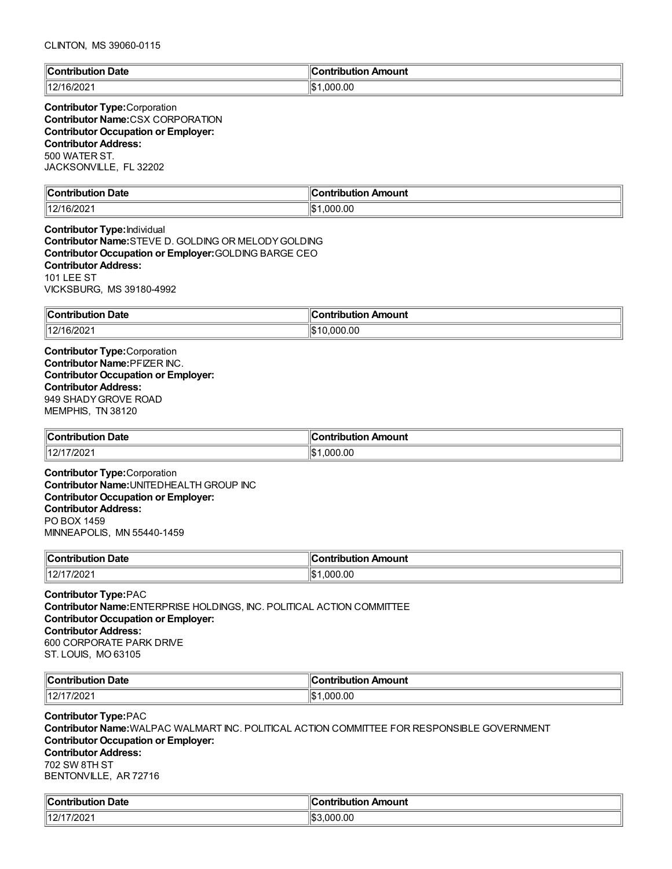| <b>Contribution Date</b> | ⊪Contribution Amount |
|--------------------------|----------------------|
| $\parallel$ 12/16/2021   | ۱Ic۰<br>.000.00      |

### **Contributor Type:**Corporation **Contributor Name:**CSX CORPORATION **Contributor Occupation or Employer: Contributor Address:** 500 WATER ST. JACKSONVILLE, FL 32202

| ontribution Date;   | $\overline{\phantom{a}}$<br>Contribution Amount |
|---------------------|-------------------------------------------------|
| 16/202 <sup>.</sup> | ∣∣∩∿                                            |
|                     | .000.00                                         |
| . <u>.</u>          | ۱J                                              |

**Contributor Type:**Individual **Contributor Name:**STEVE D. GOLDING OR MELODYGOLDING **Contributor Occupation or Employer:**GOLDING BARGE CEO **Contributor Address:** 101 LEE ST VICKSBURG, MS 39180-4992

| ∥Con<br><b>Date</b><br>ribution    | ۱С.<br>Contribution Amount           |
|------------------------------------|--------------------------------------|
| 11211<br>16/202 <sup>.</sup><br>14 | $\sqrt{2}$<br>мı<br>.uuu.uu<br>13.13 |

**Contributor Type:**Corporation **Contributor Name:**PFIZER INC. **Contributor Occupation or Employer: Contributor Address:** 949 SHADYGROVE ROAD MEMPHIS, TN 38120

| $\ $ Contribution<br>⊦Date | `ontribution Amount |
|----------------------------|---------------------|
| 7/2021<br>1101<br>$\sim$   | .000.00<br>۱۰ ت     |

**Contributor Type:**Corporation **Contributor Name:**UNITEDHEALTH GROUP INC **Contributor Occupation or Employer: Contributor Address:** PO BOX 1459 MINNEAPOLIS, MN 55440-1459

| ∥Con                           |                 |
|--------------------------------|-----------------|
| Date                           | ----------      |
| ribution                       | ribution Amount |
| 7202<br>11211<br>$\mathcal{L}$ | .00<br>۱¢<br>റവ |

**Contributor Type:**PAC **Contributor Name:**ENTERPRISE HOLDINGS, INC. POLITICAL ACTION COMMITTEE **Contributor Occupation or Employer: Contributor Address:** 600 CORPORATE PARK DRIVE ST. LOUIS, MO 63105

| $\mathbb{C}$ c<br>Date<br>------- | Amount<br>a mbuila mia w |
|-----------------------------------|--------------------------|
| 14014<br>/202<br>$\sim$           | .OC<br>nnn<br>∙\$ا       |

**Contributor Type:**PAC **Contributor Name:**WALPAC WALMART INC. POLITICAL ACTION COMMITTEE FOR RESPONSIBLE GOVERNMENT **Contributor Occupation or Employer: Contributor Address:** 702 SW 8TH ST BENTONVILLE, AR 72716

| ∥C<br>Date<br>. Antrih .<br>ution<br>. | 10<br>Amount<br>∩ntı<br>-----<br>---<br>וטו |
|----------------------------------------|---------------------------------------------|
| 7000<br>  40/4<br>−<br>ZUZ.            | IIS3<br>000.00                              |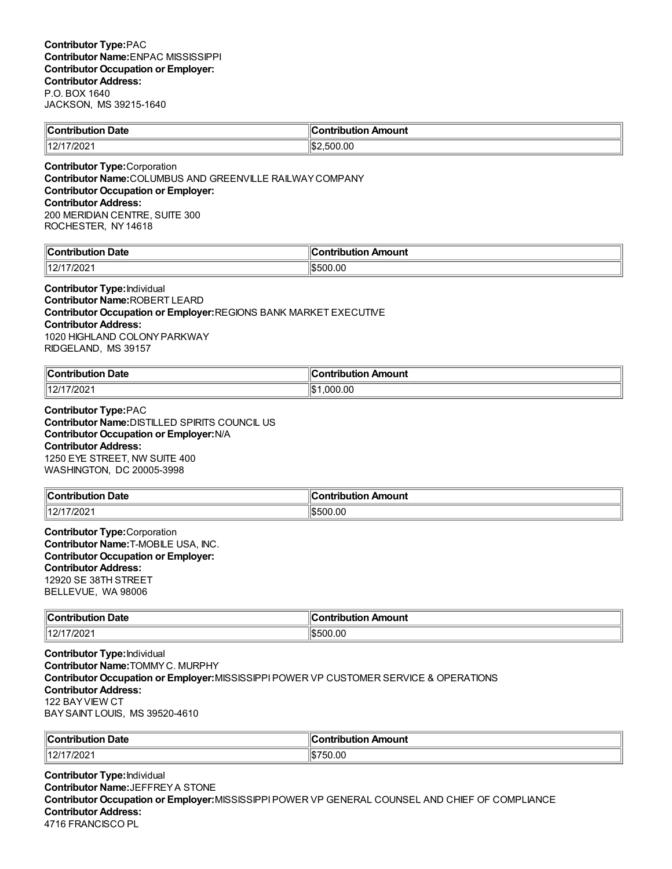| <b>Contribution Date</b>          | Contribution Amount |
|-----------------------------------|---------------------|
| 40/4  <br>17/202<br>$\mathcal{L}$ | .00<br>IS:<br>-500  |
|                                   |                     |

**Contributor Type:**Corporation **Contributor Name:**COLUMBUS AND GREENVILLE RAILWAYCOMPANY **Contributor Occupation or Employer: Contributor Address:** 200 MERIDIAN CENTRE, SUITE 300 ROCHESTER, NY14618

| ∜C∟<br>Date<br>`ontribution   | `ontribution<br>ribution Amount: |
|-------------------------------|----------------------------------|
| 1000<br>1101<br>∠∪∠<br>$\sim$ | \$500.00                         |

**Contributor Type:**Individual **Contributor Name:**ROBERT LEARD **Contributor Occupation or Employer:**REGIONS BANK MARKET EXECUTIVE **Contributor Address:** 1020 HIGHLAND COLONYPARKWAY RIDGELAND, MS 39157

| $\mathsf{C}$ ontribution<br>Date<br>. | .<br>Amount<br>----<br>ш   |
|---------------------------------------|----------------------------|
| 11271<br>//202 <sup>-</sup>           | ۱I¢<br>00. (<br>nnn<br>ل∪ا |

**Contributor Type:**PAC **Contributor Name:**DISTILLED SPIRITS COUNCIL US **Contributor Occupation or Employer:**N/A **Contributor Address:** 1250 EYE STREET, NW SUITE 400 WASHINGTON, DC 20005-3998

| → Date<br>$\ $ Contribution     | ır<br>Amount<br>.<br>ïh⊔ti∩n |
|---------------------------------|------------------------------|
| 14.214<br>$17/202^{\circ}$<br>L | \$500.00                     |

**Contributor Type:**Corporation **Contributor Name:**T-MOBILE USA, INC. **Contributor Occupation or Employer: Contributor Address:** 12920 SE 38TH STREET BELLEVUE, WA 98006

| $\ $ Contribution<br>⊦Date | Amount<br><b>∍ontributior</b> ∼ |
|----------------------------|---------------------------------|
| 12/1<br>7/202              | 1\$500.00                       |

**Contributor Type:**Individual **Contributor Name:**TOMMYC. MURPHY **Contributor Occupation or Employer:**MISSISSIPPIPOWER VP CUSTOMER SERVICE & OPERATIONS **Contributor Address:** 122 BAYVIEW CT BAYSAINT LOUIS, MS 39520-4610

| <b>Con</b><br>Date<br>tribution                | Amount<br>ontribution |
|------------------------------------------------|-----------------------|
| $14014^\circ$<br>7/202<br>$\mathcal{L}_{\ell}$ | '50.00                |

**Contributor Type:**Individual **Contributor Name:**JEFFREYA STONE **Contributor Occupation or Employer:**MISSISSIPPIPOWER VP GENERAL COUNSEL AND CHIEF OF COMPLIANCE **Contributor Address:** 4716 FRANCISCO PL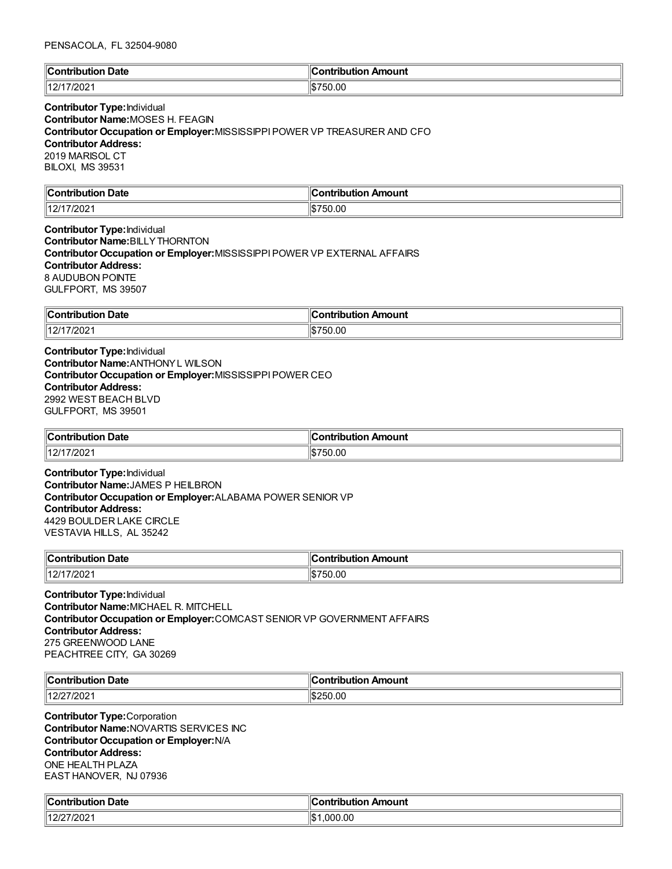#### PENSACOLA, FL 32504-9080

| $\mathbb{I}$ C                                   | Amount       |
|--------------------------------------------------|--------------|
| Jate                                             | `ontribution |
| $\sim$ $\sim$ $\sim$ $\sim$                      |              |
| $\sim$ $\sim$ $\sim$ $\sim$ $\sim$ $\sim$ $\sim$ | . .          |
| 40/4                                             | 50.00        |
| 'ZUZ'                                            | /디           |

### **Contributor Type:**Individual **Contributor Name:**MOSES H. FEAGIN **Contributor Occupation or Employer:**MISSISSIPPIPOWER VP TREASURER AND CFO **Contributor Address:** 2019 MARISOL CT BILOXI, MS 39531

| $\mathbb{R}$<br>Date<br>$^{\circ}$<br>tribution | n Amount<br>. |
|-------------------------------------------------|---------------|
| 40/4<br>∠∪∠                                     | 50.00<br>١đ   |

**Contributor Type:**Individual **Contributor Name:**BILLYTHORNTON **Contributor Occupation or Employer:**MISSISSIPPIPOWER VP EXTERNAL AFFAIRS **Contributor Address:** 8 AUDUBON POINTE GULFPORT, MS 39507

| ∥Con<br>Date<br>--------<br>tion              | ribution Amount<br>$     -$          |
|-----------------------------------------------|--------------------------------------|
| 11211<br>//202<br>$\mathcal{L}_{\mathcal{L}}$ | 0.OC<br>١đ<br>ה.ו.<br><b>JL</b><br>. |

**Contributor Type:**Individual **Contributor Name:**ANTHONYL WILSON **Contributor Occupation or Employer:**MISSISSIPPIPOWER CEO **Contributor Address:** 2992 WEST BEACH BLVD GULFPORT, MS 39501

| ∥Coı<br>. .<br>Date<br>.<br>JULION            | Amount<br>ontributior |
|-----------------------------------------------|-----------------------|
| (110/11)<br>7/202 <sup>.</sup><br>-<br>$\sim$ | 750.00                |

**Contributor Type:**Individual **Contributor Name:**JAMES P HEILBRON **Contributor Occupation or Employer:**ALABAMA POWER SENIOR VP **Contributor Address:** 4429 BOULDER LAKE CIRCLE VESTAVIA HILLS, AL 35242

| $\mathsf{C}$ ontribution<br>Date<br>nouuor<br>וטט | Amount<br>ำntrihut⊾<br>. |
|---------------------------------------------------|--------------------------|
| 4014<br>17/202<br>14                              | 750.00                   |

**Contributor Type:**Individual **Contributor Name:**MICHAEL R. MITCHELL **Contributor Occupation or Employer:**COMCAST SENIOR VP GOVERNMENT AFFAIRS **Contributor Address:** 275 GREENWOOD LANE PEACHTREE CITY, GA 30269

| ∜Con<br>Date<br>------------- | --<br>.IC<br>andwinschieden<br>Amount |
|-------------------------------|---------------------------------------|
| 1401<br>7/202                 | 50.00<br>د د ۱                        |

**Contributor Type:**Corporation **Contributor Name:**NOVARTIS SERVICES INC **Contributor Occupation or Employer:**N/A **Contributor Address:** ONE HEALTH PLAZA EAST HANOVER, NJ 07936

| من<br>Date<br>$\cdots$ on $\cdots$<br>ution<br>. | Contribution<br>Amount<br>$\sim$ $\sim$ |
|--------------------------------------------------|-----------------------------------------|
| 12/27/2021<br>1121                               | .000.00<br>┉<br>ıэ                      |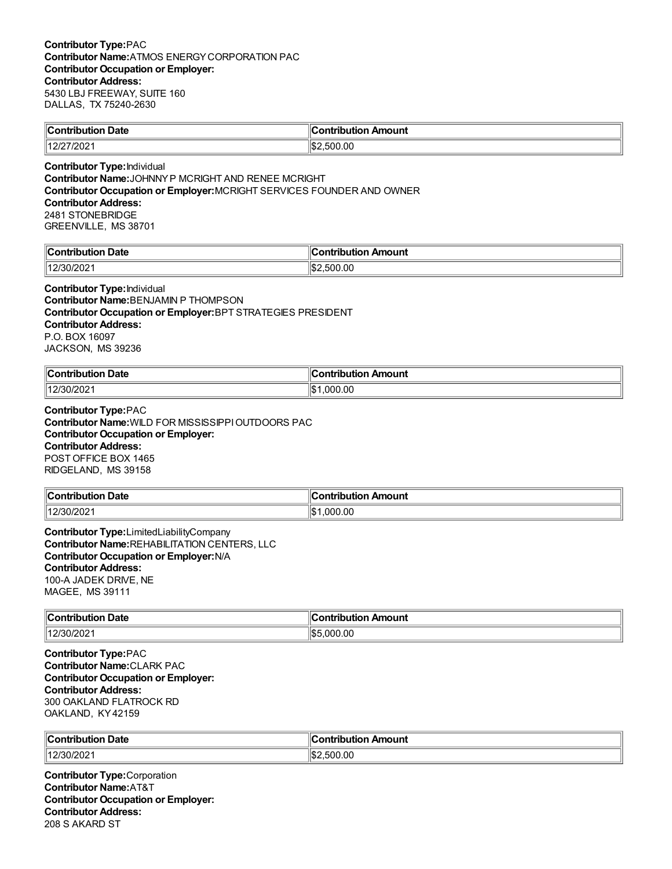| ∥Con<br>Date<br>. | Amount<br>ontribution |
|-------------------|-----------------------|
| 1101              | .00                   |
| -UZ.              | $\overline{ }$        |
| ' – '             | - - -                 |
|                   | ור                    |

**Contributor Type:**Individual **Contributor Name:**JOHNNYP MCRIGHT AND RENEE MCRIGHT **Contributor Occupation or Employer:**MCRIGHT SERVICES FOUNDER AND OWNER **Contributor Address:** 2481 STONEBRIDGE GREENVILLE, MS 38701

| llC<br>Date<br>:ontribut<br>---- | 10<br>---<br>Amount<br>---<br>----<br>וטו |
|----------------------------------|-------------------------------------------|
| 307<br>1202                      | .00<br>:⊯اا<br>~<br>- 1                   |

#### **Contributor Type:**Individual

**Contributor Name:**BENJAMIN P THOMPSON **Contributor Occupation or Employer:**BPT STRATEGIES PRESIDENT **Contributor Address:** P.O. BOX 16097 JACKSON, MS 39236

| ∥Conti<br>Date<br>.<br>.          | <b>⇔ontributio</b> r∟<br>Amount |
|-----------------------------------|---------------------------------|
| $^{\prime}30/202^{\cdot}$<br>1401 | .000.00<br>۰ ⊅ا<br>. ש          |

**Contributor Type:**PAC **Contributor Name:**WILD FOR MISSISSIPPIOUTDOORS PAC **Contributor Occupation or Employer: Contributor Address:** POST OFFICE BOX 1465 RIDGELAND, MS 39158

| $\ $ Contribution              | . .          |
|--------------------------------|--------------|
| -                              | n Amount     |
| bution Date                    | ontribution. |
| 112/30/20<br>1 <i>2/30/202</i> | 000.00       |

**Contributor Type:**LimitedLiabilityCompany **Contributor Name:**REHABILITATION CENTERS, LLC **Contributor Occupation or Employer:**N/A **Contributor Address:** 100-A JADEK DRIVE, NE MAGEE, MS 39111

| ∥Coi<br>Date<br>----<br>. | .<br>.                    |
|---------------------------|---------------------------|
| 1401<br>12/30/2021        | ۱I¢<br>.00<br>$\sim$<br>м |

**Contributor Type:**PAC **Contributor Name:**CLARK PAC **Contributor Occupation or Employer: Contributor Address:** 300 OAKLAND FLATROCK RD OAKLAND, KY42159

| ¶C∈<br>Date<br>- --<br>---------------<br>. | Amount<br>. |
|---------------------------------------------|-------------|
| 140F                                        | .00         |
| .13012021                                   | י הי        |
| _____                                       | וו ור:      |

**Contributor Type:**Corporation **Contributor Name:**AT&T **Contributor Occupation or Employer: Contributor Address:** 208 S AKARD ST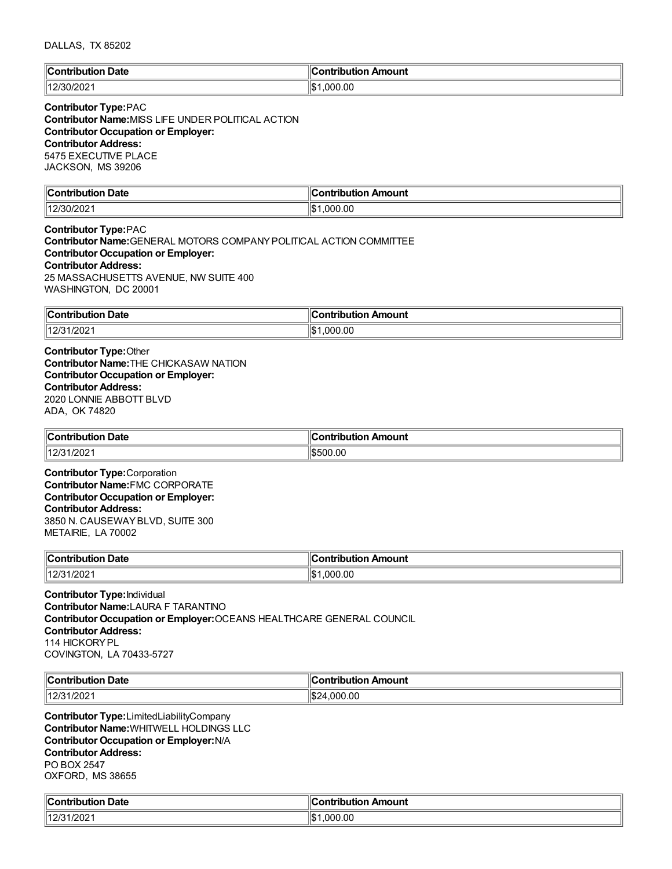| $\mathbb{C}$                   | <b>Contribution</b>   |
|--------------------------------|-----------------------|
| <b>Date</b>                    | Amount                |
| ∴ontributior∴                  | uuvii <i>r</i>        |
| .                              |                       |
| (130/20)<br>  40/2C<br>'30/ZUZ | .000.00<br>ዛሮ 1<br>IФ |

# **Contributor Type:**PAC

**Contributor Name:**MISS LIFE UNDER POLITICAL ACTION **Contributor Occupation or Employer: Contributor Address:** 5475 EXECUTIVE PLACE JACKSON, MS 39206

| llC.<br>Date<br>$\sim$ $\sim$ $\sim$ $\sim$ | 10<br>mount<br>---<br>---<br>----<br> |
|---------------------------------------------|---------------------------------------|
| 1401<br>uz                                  | ∥\$∶<br>000.00<br>.                   |

**Contributor Type:**PAC **Contributor Name:**GENERAL MOTORS COMPANYPOLITICAL ACTION COMMITTEE **Contributor Occupation or Employer: Contributor Address:** 25 MASSACHUSETTS AVENUE, NW SUITE 400 WASHINGTON, DC 20001

| Contribut<br><b>Date</b><br>'ion<br>. | "<br>Amount<br>---<br>. |
|---------------------------------------|-------------------------|
| 1/202                                 | ∥\$։                    |
| 112121                                | .000.00                 |

**Contributor Type:**Other **Contributor Name:**THE CHICKASAW NATION **Contributor Occupation or Employer: Contributor Address:** 2020 LONNIE ABBOTT BLVD ADA, OK 74820

| Contribution               | Amount   |
|----------------------------|----------|
| Date                       | ntribut. |
| 1000<br>  12/31<br>1/2021. | \$500.00 |

**Contributor Type:**Corporation **Contributor Name:**FMC CORPORATE **Contributor Occupation or Employer: Contributor Address:** 3850 N. CAUSEWAYBLVD, SUITE 300 METAIRIE, LA 70002

| <b>Nate</b><br>$\ $ Contribution        | Amount<br>.<br><b><i><u>BAADA</u></i></b><br>ΊD |
|-----------------------------------------|-------------------------------------------------|
| $\parallel$ 12/31<br>1/202 <sup>4</sup> | ∥\$<br>00.00<br>റററ                             |

**Contributor Type:**Individual **Contributor Name:**LAURA F TARANTINO **Contributor Occupation or Employer:**OCEANS HEALTHCARE GENERAL COUNCIL **Contributor Address:** 114 HICKORYPL COVINGTON, LA 70433-5727

| <b>Date</b><br>$\ $ Contribution  | . .<br>⊩<br>______<br>Amount<br>ontribution |
|-----------------------------------|---------------------------------------------|
| 10/21<br>1/202<br>ت اے ا<br>_____ | ‼\$2<br>4.000.00                            |

**Contributor Type:**LimitedLiabilityCompany **Contributor Name:**WHITWELL HOLDINGS LLC **Contributor Occupation or Employer:**N/A **Contributor Address:** PO BOX 2547 OXFORD, MS 38655

| Date<br>'s strikt<br>.<br>$\sim$ $\sim$ $\sim$ $\sim$ $\sim$ $\sim$ $\sim$ | anterior di av<br>Amount |
|----------------------------------------------------------------------------|--------------------------|
| 1000<br>140r<br>72021<br>' -                                               | .000.00<br>۱۱œ۰<br>ыD    |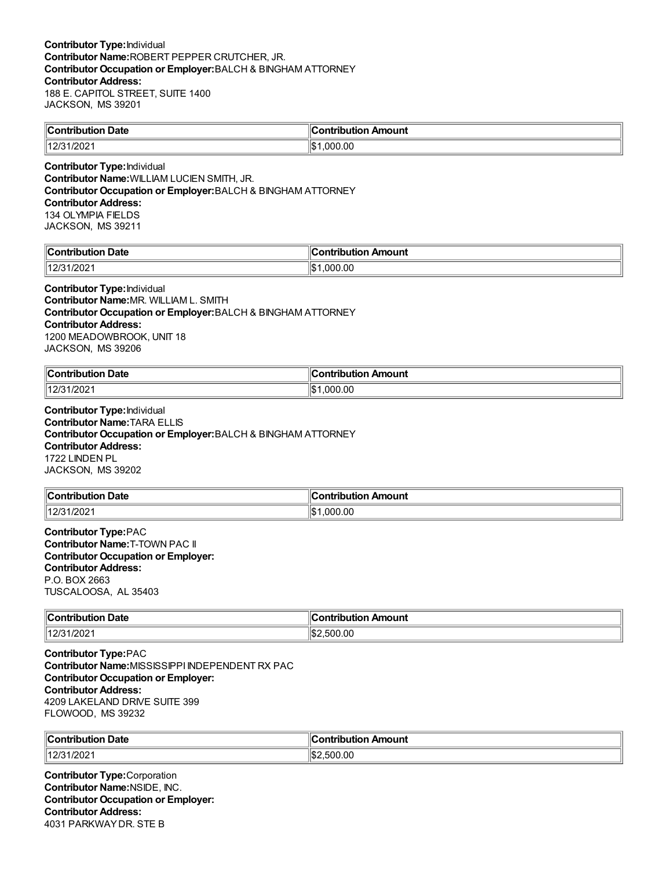| $\mathsf{IC}$ onf<br>າ Date<br>™hutio…<br>10u | ribution Amount<br>:ontribution |
|-----------------------------------------------|---------------------------------|
| 1000<br>14.2 <sup>F</sup><br>11202            | ' \$<br>.000.00                 |

**Contributor Type:**Individual **Contributor Name:**WILLIAM LUCIEN SMITH, JR. **Contributor Occupation or Employer:**BALCH & BINGHAM ATTORNEY **Contributor Address:** 134 OLYMPIA FIELDS JACKSON, MS 39211

| $\mathbb{R}$<br>Jate<br>∙ıtiv<br>.      | Amount<br><u>aaninin u</u><br>$\mathbf{v}$ |
|-----------------------------------------|--------------------------------------------|
| $\sqrt{2}$<br>14.2 <sup>F</sup><br>1494 | ∥¢<br>000.00.<br>υ                         |

**Contributor Type:**Individual **Contributor Name:**MR. WILLIAM L. SMITH **Contributor Occupation or Employer:**BALCH & BINGHAM ATTORNEY **Contributor Address:** 1200 MEADOWBROOK, UNIT 18 JACKSON, MS 39206

| $\mathsf{C}$ ontribution<br>Date<br>. | mouni<br>.<br>---- |
|---------------------------------------|--------------------|
| 140F<br>ാററ<br>-UZ                    | ⊪¢<br>nnı<br>ЬĐ    |

**Contributor Type:**Individual **Contributor Name:**TARA ELLIS **Contributor Occupation or Employer:**BALCH & BINGHAM ATTORNEY **Contributor Address:** 1722 LINDEN PL JACKSON, MS 39202

| <b>Date</b><br>∥Con'<br>tribution | Amount<br>---<br>.<br>ΊD |
|-----------------------------------|--------------------------|
| 110101<br>1/202<br>ں ہے ا         | .000.00<br>۱¢<br>ل∪ا     |

**Contributor Type:**PAC **Contributor Name:**T-TOWN PAC II **Contributor Occupation or Employer: Contributor Address:** P.O. BOX 2663 TUSCALOOSA, AL 35403

| $\ $ Contribution<br>→ Date | Amount<br>ribution<br>.ontr |
|-----------------------------|-----------------------------|
| $\parallel$ 12/31/2021      | ¶\$'<br>.500.00             |

**Contributor Type:**PAC **Contributor Name:**MISSISSIPPI INDEPENDENT RX PAC **Contributor Occupation or Employer: Contributor Address:** 4209 LAKELAND DRIVE SUITE 399 FLOWOOD, MS 39232

| ∜Con⊾<br>Date<br>.    | .IC<br>antribution<br>Amount<br>vuuv. |
|-----------------------|---------------------------------------|
| 112/21<br>/202<br>14N | $\sim$<br>0.00<br>50<br>∠دا∖ا         |

**Contributor Type:**Corporation **Contributor Name:**NSIDE, INC. **Contributor Occupation or Employer: Contributor Address:** 4031 PARKWAYDR. STE B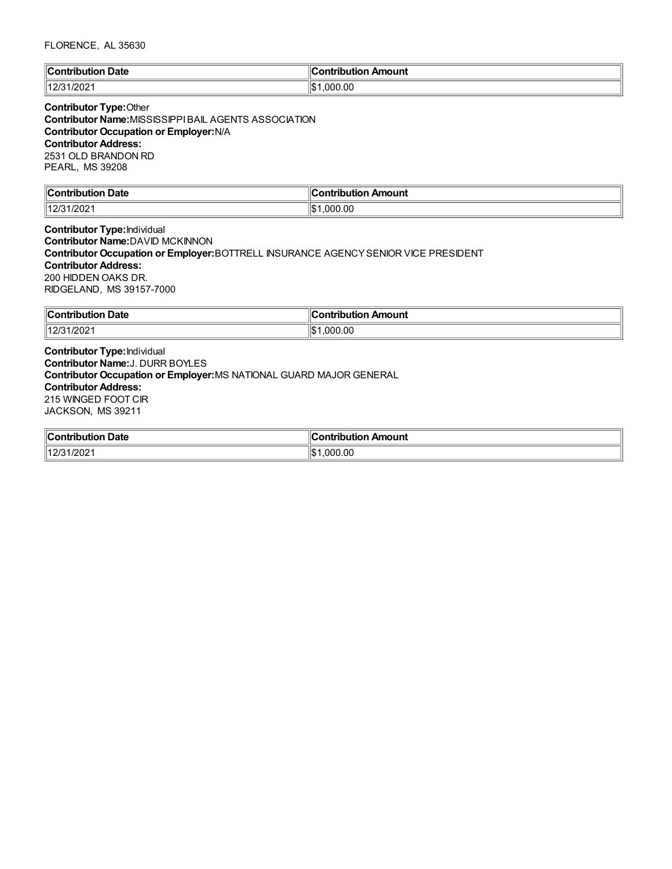## FLORENCE, AL 35630

| llC<br>Date<br>∴∩ntr<br>'ibution | antribution<br>Amount |
|----------------------------------|-----------------------|
| 12/31/202 <sup>-</sup><br>11010  | .000.00<br>۱с٠<br>IФ  |

### **Contributor Type:**Other **Contributor Name:**MISSISSIPPIBAIL AGENTS ASSOCIATION **Contributor Occupation or Employer:**N/A **Contributor Address:** 2531 OLD BRANDON RD PEARL, MS 39208

| <b>Contribution Date</b>     | ∶ontribution Amount |
|------------------------------|---------------------|
| 1000<br>  40/24<br>12/31/202 | ∥\$∶<br>.000.00     |

**Contributor Type:**Individual **Contributor Name:**DAVID MCKINNON **Contributor Occupation or Employer:**BOTTRELL INSURANCE AGENCYSENIOR VICE PRESIDENT **Contributor Address:** 200 HIDDEN OAKS DR. RIDGELAND, MS 39157-7000

| ∥Con<br><b>Date</b><br>ribution. | ribution Amount<br>--------- |
|----------------------------------|------------------------------|
| 11010                            | .00                          |
| /202                             | ۱¢                           |
| $\mathbf{Z}$                     | റവ                           |
|                                  | $\mathbf{u}$                 |

**Contributor Type:**Individual **Contributor Name:**J. DURR BOYLES **Contributor Occupation or Employer:**MS NATIONAL GUARD MAJOR GENERAL **Contributor Address:** 215 WINGED FOOT CIR JACKSON, MS 39211

| ∥Con'<br>Date<br>----<br>-----<br>ribution<br>. | Amount<br>ontribution<br>.nr |
|-------------------------------------------------|------------------------------|
| 112/24                                          | .00                          |
| /202                                            | ۱\$∙                         |
| د اے ا                                          | . nne                        |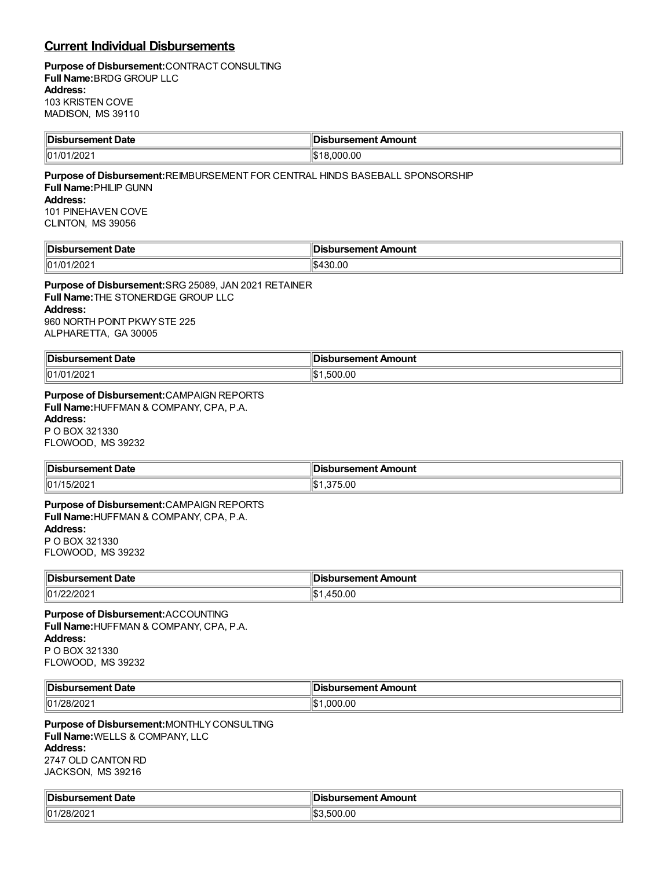# **Current Individual Disbursements**

 $\equiv$ 

### **Purpose of Disbursement:**CONTRACT CONSULTING **Full Name:**BRDG GROUP LLC **Address:** 103 KRISTEN COVE MADISON, MS 39110

| <b>Disbursement Date</b>                                                                                                                                                       | <b>Disbursement Amount</b> |
|--------------------------------------------------------------------------------------------------------------------------------------------------------------------------------|----------------------------|
| 01/01/2021                                                                                                                                                                     | \$18,000.00                |
| Purpose of Disbursement: REIMBURSEMENT FOR CENTRAL HINDS BASEBALL SPONSORSHIP<br><b>Full Name: PHILIP GUNN</b><br>Address:<br>101 PINEHAVEN COVE<br>CLINTON, MS 39056          |                            |
| <b>Disbursement Date</b>                                                                                                                                                       | Disbursement Amount        |
| 01/01/2021                                                                                                                                                                     | \$430.00                   |
| Purpose of Disbursement: SRG 25089, JAN 2021 RETAINER<br><b>Full Name: THE STONERIDGE GROUP LLC</b><br><b>Address:</b><br>960 NORTH POINT PKWY STE 225<br>ALPHARETTA, GA 30005 |                            |
| <b>Disbursement Date</b>                                                                                                                                                       | <b>Disbursement Amount</b> |
| 01/01/2021                                                                                                                                                                     | \$1,500.00                 |
| Purpose of Disbursement: CAMPAIGN REPORTS<br>Full Name: HUFFMAN & COMPANY, CPA, P.A.<br><b>Address:</b><br>P O BOX 321330<br>FLOWOOD, MS 39232                                 |                            |
| <b>Disbursement Date</b>                                                                                                                                                       | <b>Disbursement Amount</b> |
| 01/15/2021                                                                                                                                                                     | \$1,375.00                 |
| Purpose of Disbursement: CAMPAIGN REPORTS<br>Full Name: HUFFMAN & COMPANY, CPA, P.A.<br><b>Address:</b><br>P O BOX 321330<br>FLOWOOD, MS 39232                                 |                            |
| <b>Disbursement Date</b>                                                                                                                                                       | Disbursement Amount        |
| 01/22/2021                                                                                                                                                                     | \$1,450.00                 |
| <b>Purpose of Disbursement: ACCOUNTING</b><br>Full Name: HUFFMAN & COMPANY, CPA, P.A.<br><b>Address:</b><br>P O BOX 321330<br>FLOWOOD, MS 39232                                |                            |
| <b>Disbursement Date</b>                                                                                                                                                       | <b>Disbursement Amount</b> |
| 01/28/2021                                                                                                                                                                     | \$1,000.00                 |
| Purpose of Disbursement: MONTHLY CONSULTING<br>Full Name: WELLS & COMPANY, LLC<br><b>Address:</b><br>2747 OLD CANTON RD<br>JACKSON, MS 39216                                   |                            |
| <b>Disbursement Date</b>                                                                                                                                                       | <b>Disbursement Amount</b> |
| 01/28/2021                                                                                                                                                                     | \$3,500.00                 |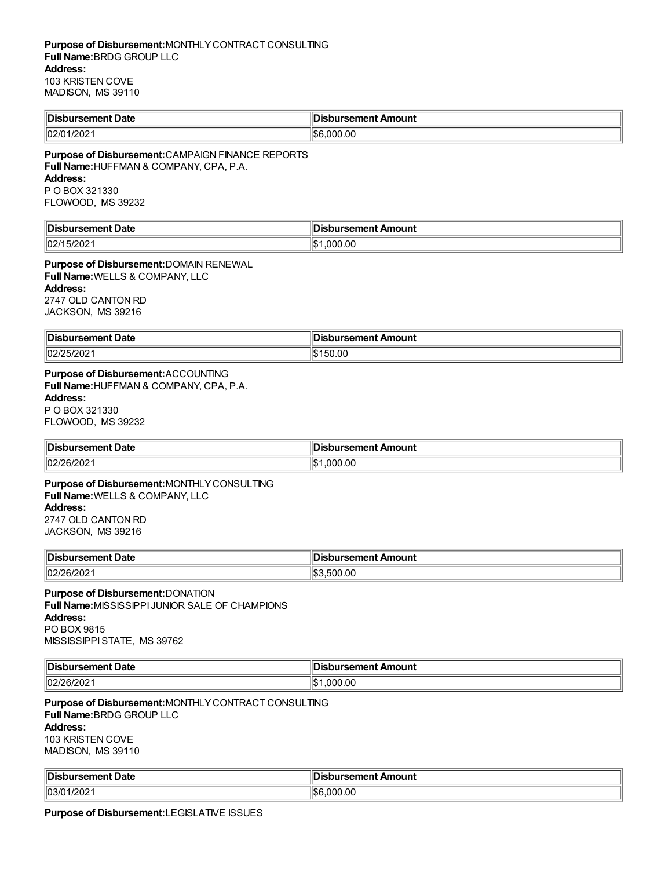| <b>Disb.</b><br>ursement Date | bursement Amount: |
|-------------------------------|-------------------|
| 02/01/2021                    | \$6.000.00        |

**Purpose of Disbursement:**CAMPAIGN FINANCE REPORTS **Full Name:**HUFFMAN & COMPANY, CPA, P.A. **Address:** P O BOX 321330 FLOWOOD, MS 39232

| <b>Disb</b><br><b>pursement Date</b> | Disbursement Amount |
|--------------------------------------|---------------------|
| 15/2021<br>102/1                     | .000.00             |

**Purpose of Disbursement:**DOMAIN RENEWAL **Full Name:**WELLS & COMPANY, LLC **Address:** 2747 OLD CANTON RD JACKSON, MS 39216

| Disbursement Date | ∥Disbursement Amount |
|-------------------|----------------------|
| 02/25<br>$-UL$ :  | .u                   |

# **Purpose of Disbursement:**ACCOUNTING

**Full Name:**HUFFMAN & COMPANY, CPA, P.A. **Address:**

P O BOX 321330 FLOWOOD, MS 39232

| '∣Disb⊾<br>้วนrsement Date | Disbursement Amount |
|----------------------------|---------------------|
| 02/26/202'                 | .000.00             |

**Purpose of Disbursement:**MONTHLYCONSULTING **Full Name:**WELLS & COMPANY, LLC **Address:** 2747 OLD CANTON RD

JACKSON, MS 39216

| <b>Disbursement Date</b> | __<br>Disbursement Amount |
|--------------------------|---------------------------|
| 02/26/202                | 500.00                    |

#### **Purpose of Disbursement:**DONATION **Full Name:**MISSISSIPPI JUNIOR SALE OF CHAMPIONS

**Address:**

PO BOX 9815

MISSISSIPPISTATE, MS 39762

| ‼Dish          | ursement Amount |
|----------------|-----------------|
| rsement Date   | ינ              |
| 02/<br>ے20/90′ | 00.00(          |

**Purpose of Disbursement:**MONTHLYCONTRACT CONSULTING **Full Name:**BRDG GROUP LLC **Address:** 103 KRISTEN COVE MADISON, MS 39110

| <sup>∥</sup> Dis.<br>∵Date<br>.<br>ч эене. | : Amount<br>$   -$<br>,,,,,,, |
|--------------------------------------------|-------------------------------|
| $\parallel$ 03/0                           | .000.00                       |
| 1/202 <sup>.</sup>                         | ۱\$۴                          |

**Purpose of Disbursement:**LEGISLATIVE ISSUES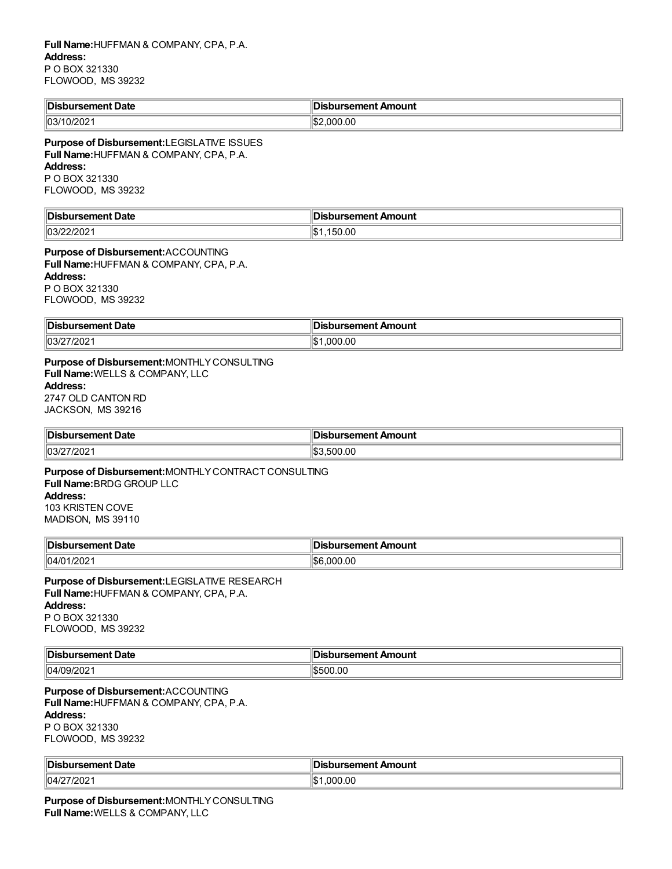| <sup>∥</sup> Dis.<br>' Date<br>ırsement<br>. | 11 M.<br>ıt Amount<br>sement<br>wawul 36h . |
|----------------------------------------------|---------------------------------------------|
| 03/10/202                                    | .000.00<br>۱Φ۰<br>l Dz                      |

### **Purpose of Disbursement:**LEGISLATIVE ISSUES **Full Name:**HUFFMAN & COMPANY, CPA, P.A. **Address:** P O BOX 321330

FLOWOOD, MS 39232

| ⊪∩i<br>rsement Date<br>. | sbursement Amount<br>___             |
|--------------------------|--------------------------------------|
| $  03\rangle$<br>-212021 | $\sim$<br>، ∽⊪ا<br>UU.UC I<br>∶ د ا∍ |

**Purpose of Disbursement:**ACCOUNTING **Full Name:**HUFFMAN & COMPANY, CPA, P.A. **Address:** P O BOX 321330 FLOWOOD, MS 39232

| 'Dis.         | In:                       |
|---------------|---------------------------|
| ırsement Date | <b>bursement Amount</b> : |
| 03/27/2021    | .000.00<br>┉<br>IЭ        |

**Purpose of Disbursement:**MONTHLYCONSULTING **Full Name:**WELLS & COMPANY, LLC **Address:** 2747 OLD CANTON RD JACKSON, MS 39216

| <b>IDis</b><br>ement Date:<br>sener :<br>. | Amount<br><br>.<br>ю<br>IGI 1<br>$-$<br>$\sim$ |
|--------------------------------------------|------------------------------------------------|
| פחרו<br>1103/2<br>20Z                      | 500.00<br>m <i>r</i>                           |

**Purpose of Disbursement:**MONTHLYCONTRACT CONSULTING **Full Name:**BRDG GROUP LLC **Address:** 103 KRISTEN COVE MADISON, MS 39110

| ˈlDis<br>Date<br>.         | Amount<br>. <b>.</b> .<br>ш<br>$\sim$ $\sim$ $\sim$ $\sim$ $\sim$ $\sim$ $\sim$ |
|----------------------------|---------------------------------------------------------------------------------|
| 104/0<br>1/20 <sub>L</sub> | .00<br>∖€4 ا<br>M                                                               |

**Purpose of Disbursement:**LEGISLATIVE RESEARCH **Full Name:**HUFFMAN & COMPANY, CPA, P.A. **Address:** P O BOX 321330 FLOWOOD, MS 39232

| '∣Dish           | Amount           |
|------------------|------------------|
| Date             | surcomont.       |
|                  | IICI IL <i>I</i> |
| . 121 11         | $- -$            |
| $\ 04\ $<br>1.40 | 500.00           |

**Purpose of Disbursement:**ACCOUNTING **Full Name:**HUFFMAN & COMPANY, CPA, P.A. **Address:** P O BOX 321330 FLOWOOD, MS 39232

| <b>Disbursement Date</b> | INS<br><b>Disbursement Amount</b> |
|--------------------------|-----------------------------------|
| 04/27/2021               | .000.00<br>┉                      |

**Purpose of Disbursement:**MONTHLYCONSULTING **Full Name:**WELLS & COMPANY, LLC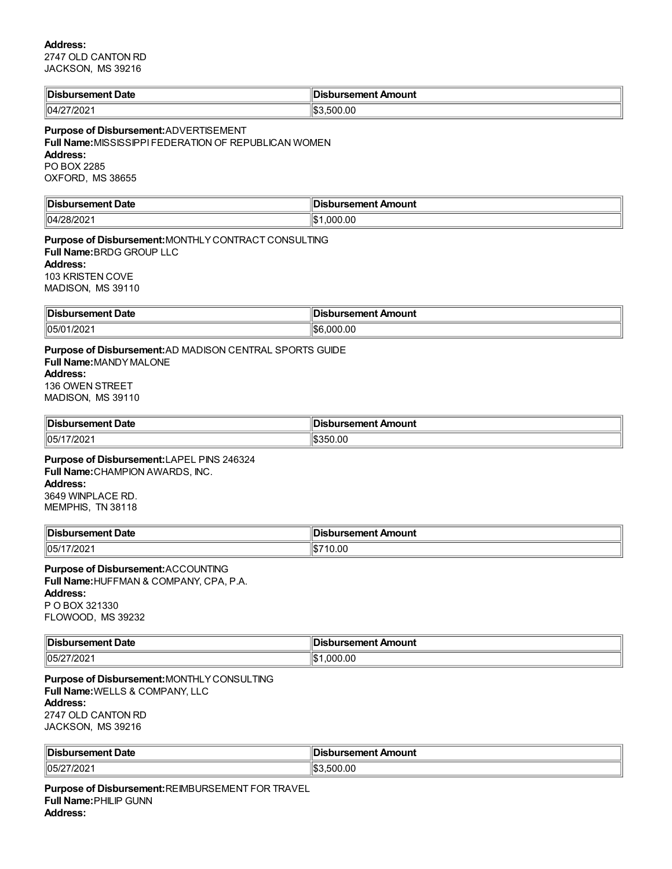### **Address:**

2747 OLD CANTON RD JACKSON, MS 39216

| llDi∢   | ∽         |
|---------|-----------|
| : Date  | Amount    |
| "sement | ™sement ⊷ |
| .       |           |
| 71000   | $\sim$    |
| 04/2    | 500.00    |
| 202     | IЪ.       |

**Purpose of Disbursement:**ADVERTISEMENT **Full Name:**MISSISSIPPI FEDERATION OF REPUBLICAN WOMEN **Address:** PO BOX 2285 OXFORD, MS 38655

| ∥Dis          | bursement Amount |
|---------------|------------------|
| ursement Date | ינ               |
| 04/28/202     | .000.00<br>ி∩    |

**Purpose of Disbursement:**MONTHLYCONTRACT CONSULTING **Full Name:**BRDG GROUP LLC **Address:** 103 KRISTEN COVE MADISON, MS 39110

| $\ $ Disl<br><b>ursement Date</b> | sbursement Amount<br>ю<br>. . |
|-----------------------------------|-------------------------------|
| 05/01<br>פחמו<br>140Z             | 000.00                        |

### **Purpose of Disbursement:**AD MADISON CENTRAL SPORTS GUIDE **Full Name:**MANDYMALONE **Address:** 136 OWEN STREET MADISON, MS 39110

| <b>Disb</b><br>วursement Date | sbursement Amount           |
|-------------------------------|-----------------------------|
| 05/17/202                     | 350.00<br>$\cdots$<br>.n. ) |

**Purpose of Disbursement:**LAPEL PINS 246324 **Full Name:**CHAMPION AWARDS, INC. **Address:** 3649 WINPLACE RD. MEMPHIS, TN 38118

| Disbursement Date       | <b>Disbursement Amount</b> |
|-------------------------|----------------------------|
| 05/1<br>$\sum$<br>72021 | 10.00<br>۰D.               |

**Purpose of Disbursement:**ACCOUNTING **Full Name:**HUFFMAN & COMPANY, CPA, P.A. **Address:** P O BOX 321330 FLOWOOD, MS 39232

| ∥Dis<br>Date<br><b>.</b><br>enτ<br>. | Amount<br>sement<br>. |
|--------------------------------------|-----------------------|
| 05/2<br>71000<br>202<br>.            | 000.00<br>۱\$۰        |

**Purpose of Disbursement:**MONTHLYCONSULTING **Full Name:**WELLS & COMPANY, LLC **Address:** 2747 OLD CANTON RD JACKSON, MS 39216

| <b>∥Disb</b><br>งursement Date | <b>Disbursement Amount</b> |
|--------------------------------|----------------------------|
| פחרו<br>105/<br><b>LUZ</b>     | .500.00                    |

**Purpose of Disbursement:**REIMBURSEMENT FOR TRAVEL **Full Name:**PHILIP GUNN **Address:**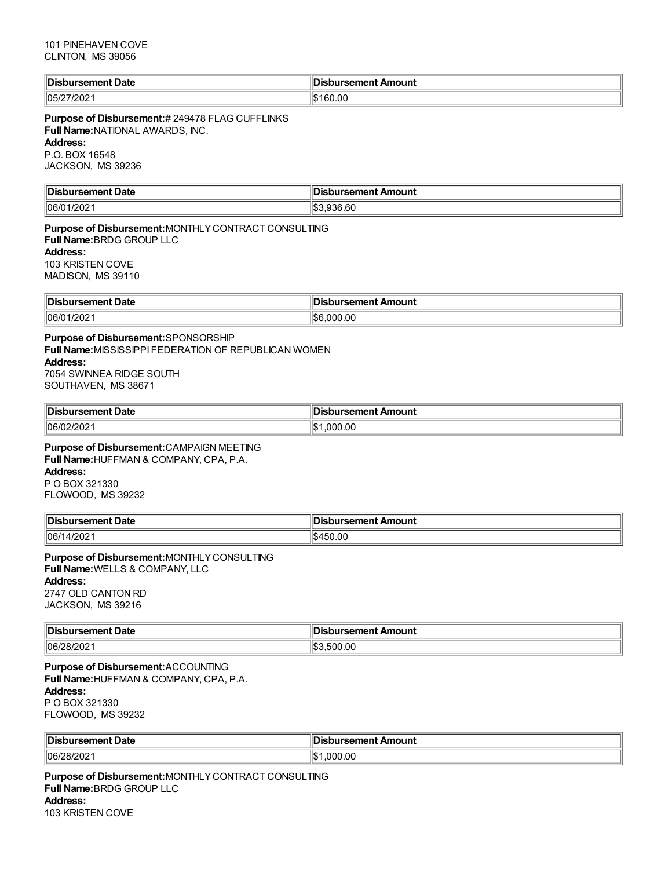| <sup>∥</sup> Dis<br>bursement Date | ∥Disbursement Amount |
|------------------------------------|----------------------|
| 05/27/202                          | 160.00<br>. D        |

**Purpose of Disbursement:**# 249478 FLAG CUFFLINKS **Full Name:**NATIONAL AWARDS, INC. **Address:** P.O. BOX 16548 JACKSON, MS 39236

| ∜Dis<br>Date<br>.  | nount<br>.  |
|--------------------|-------------|
| 06/<br>-21<br>- UZ | $\sim$<br>∽ |

**Purpose of Disbursement:**MONTHLYCONTRACT CONSULTING **Full Name:**BRDG GROUP LLC **Address:** 103 KRISTEN COVE MADISON, MS 39110

| 'IDis.<br>t Date<br>1951 I 16 | bursement Amount |
|-------------------------------|------------------|
| 06/0<br>זכ<br>.vz             | 0.OC             |

**Purpose of Disbursement:**SPONSORSHIP **Full Name:**MISSISSIPPI FEDERATION OF REPUBLICAN WOMEN **Address:** 7054 SWINNEA RIDGE SOUTH SOUTHAVEN, MS 38671

| ' Dis.<br>rsement Date     | ursement Amount |
|----------------------------|-----------------|
| $ 06/0^{\circ} $<br>14 U L | .00             |

**Purpose of Disbursement:**CAMPAIGN MEETING **Full Name:**HUFFMAN & COMPANY, CPA, P.A. **Address:** P O BOX 321330

FLOWOOD, MS 39232

| <b>‼Dis.</b><br>Date<br>'ursen en l | <b>Disbursement Amount</b> |
|-------------------------------------|----------------------------|
| 106/1<br>t/ZUZ                      | $\cdots$<br>0.OC<br>.na    |

**Purpose of Disbursement:**MONTHLYCONSULTING **Full Name:**WELLS & COMPANY, LLC **Address:** 2747 OLD CANTON RD

JACKSON, MS 39216

| ∥Dis.<br>Date<br><b>AMAAM</b><br>ursement | <b>Disbursement Amount</b> |
|-------------------------------------------|----------------------------|
| 06/28/202                                 | 0.00<br>$\sim$<br>500      |

**Purpose of Disbursement:**ACCOUNTING **Full Name:**HUFFMAN & COMPANY, CPA, P.A. **Address:** P O BOX 321330 FLOWOOD, MS 39232

| <sup>∥</sup> Dis.<br>Date<br>ursement | Disbursement Amount |
|---------------------------------------|---------------------|
| 06/28/202                             | .000.00             |

**Purpose of Disbursement:**MONTHLYCONTRACT CONSULTING **Full Name:**BRDG GROUP LLC **Address:** 103 KRISTEN COVE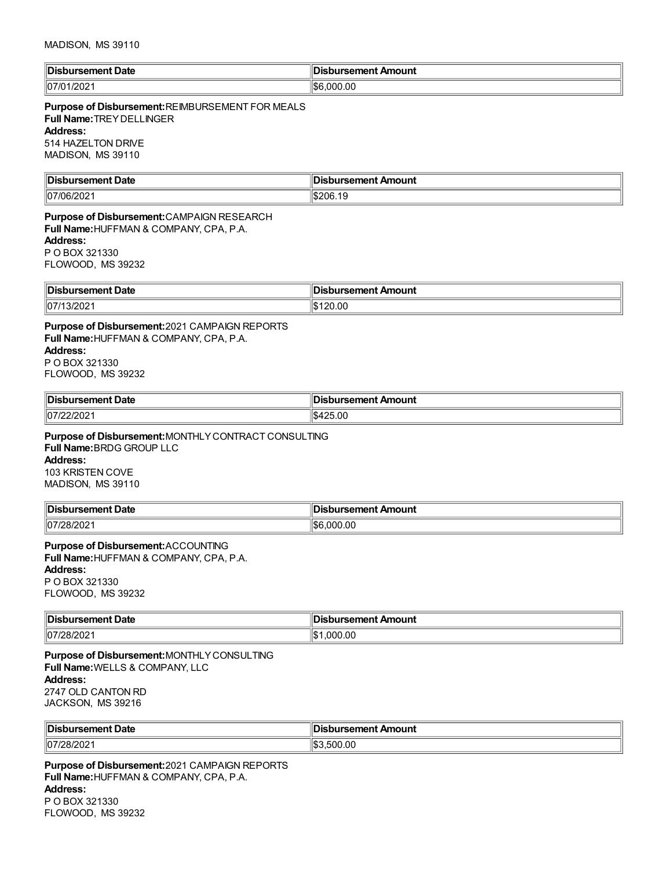| ' Disl<br>ursement Date | sbursement Amount |
|-------------------------|-------------------|
| ההי                     | 00.00             |
| 07                      | ، ۱۳              |
| /202                    | i DC              |

### **Purpose of Disbursement:**REIMBURSEMENT FOR MEALS **Full Name:**TREYDELLINGER **Address:** 514 HAZELTON DRIVE MADISON, MS 39110

**Disbursement Date Disbursement Amount**  $|07/06/2021$  \$206.19

**Purpose of Disbursement:**CAMPAIGN RESEARCH **Full Name:**HUFFMAN & COMPANY, CPA, P.A. **Address:** P O BOX 321330 FLOWOOD, MS 39232

| <sup>∥</sup> Dis.<br>Date<br>arsement i<br>. | Amount<br>™selilellu. |
|----------------------------------------------|-----------------------|
| $\parallel$ 07/1<br>3/202                    | 120.00                |

**Purpose of Disbursement:**2021 CAMPAIGN REPORTS **Full Name:**HUFFMAN & COMPANY, CPA, P.A. **Address:** P O BOX 321330 FLOWOOD, MS 39232

| ∜Dis         | ימו וממ                                          |
|--------------|--------------------------------------------------|
| Jate         | чи.                                              |
|              | $\sim$ $\sim$ $\sim$ $\sim$ $\sim$ $\sim$ $\sim$ |
| $ 07\rangle$ | AA                                               |
| 72 J Z       | 0۲.ر                                             |

**Purpose of Disbursement:**MONTHLYCONTRACT CONSULTING **Full Name:**BRDG GROUP LLC **Address:** 103 KRISTEN COVE MADISON, MS 39110

| <sup>∥</sup> Dis.<br>Date<br>$-$ - $-$<br>rsement<br>. | Amount<br><br>. |
|--------------------------------------------------------|-----------------|
| 07/2                                                   | 00.00           |
| יים י                                                  | $10^{\circ}$    |
| ZOIZUZ                                                 | കല              |

**Purpose of Disbursement:**ACCOUNTING **Full Name:**HUFFMAN & COMPANY, CPA, P.A. **Address:** P O BOX 321330 FLOWOOD, MS 39232

| <b>Dis</b>         | Amount     |
|--------------------|------------|
| Jate               | . <i>.</i> |
| .                  |            |
| 07/28<br>71<br>∠∪∠ | .00        |

**Purpose of Disbursement:**MONTHLYCONSULTING **Full Name:**WELLS & COMPANY, LLC **Address:** 2747 OLD CANTON RD JACKSON, MS 39216

| <b>IDisb</b>     | isbursement Amount |
|------------------|--------------------|
| ursement Date    | ЛS                 |
| 07/28/2<br>8/202 | 500.00             |

**Purpose of Disbursement:**2021 CAMPAIGN REPORTS **Full Name:**HUFFMAN & COMPANY, CPA, P.A. **Address:** P O BOX 321330 FLOWOOD, MS 39232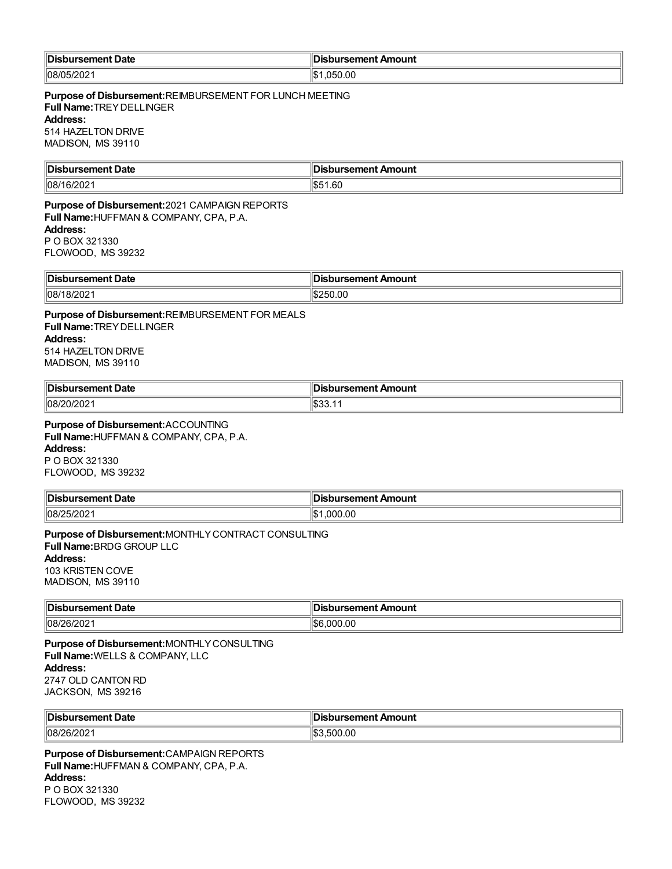| ۱\$۰<br> 08/05<br>$\overline{\phantom{a}}$<br>.050.00<br><i>ששוט</i> ו |  |
|------------------------------------------------------------------------|--|

**Purpose of Disbursement:**REIMBURSEMENT FOR LUNCH MEETING **Full Name:**TREYDELLINGER **Address:** 514 HAZELTON DRIVE MADISON, MS 39110

| ⊪Dis                  | lm                   |
|-----------------------|----------------------|
| Date                  | Amount               |
| .                     | - - -- - -           |
| าเ                    |                      |
|                       |                      |
| 08/1<br>$\sim$<br>.vz | .60<br>$\sim$<br>IЪ. |

**Purpose of Disbursement:**2021 CAMPAIGN REPORTS **Full Name:**HUFFMAN & COMPANY, CPA, P.A. **Address:** P O BOX 321330 FLOWOOD, MS 39232

| Disbursement Date | sbursement Amount<br>Disbur |
|-------------------|-----------------------------|
| 08/1.             | ۰π۰                         |
| 8/202             | -- JU.UU                    |

**Purpose of Disbursement:**REIMBURSEMENT FOR MEALS **Full Name:**TREYDELLINGER **Address:** 514 HAZELTON DRIVE MADISON, MS 39110

| <b>∥Disl</b> | Amount          |
|--------------|-----------------|
| Date         | <b>Insement</b> |
| 08/20/202    | <b>.</b>        |

### **Purpose of Disbursement:**ACCOUNTING **Full Name:**HUFFMAN & COMPANY, CPA, P.A.

**Address:**

P O BOX 321330 FLOWOOD, MS 39232

| ∜Dis.<br>Date<br>. | Amount<br><br>1 I L<br>.<br>___ |
|--------------------|---------------------------------|
| 108/25/202         | .000.00                         |

### **Purpose of Disbursement:**MONTHLYCONTRACT CONSULTING **Full Name:**BRDG GROUP LLC **Address:** 103 KRISTEN COVE MADISON, MS 39110

| Disbursement Date   | sbursement Amount         |
|---------------------|---------------------------|
| $ 08/26/202\rangle$ | $\sim$<br>11.SE<br>000.00 |

**Purpose of Disbursement:**MONTHLYCONSULTING **Full Name:**WELLS & COMPANY, LLC **Address:** 2747 OLD CANTON RD JACKSON, MS 39216

| <b>IDis</b><br><b>Date</b><br>`ursement .<br>. | ursement Amount<br>ю<br>___ |
|------------------------------------------------|-----------------------------|
| 08/26/202                                      | .500.00                     |

**Purpose of Disbursement:**CAMPAIGN REPORTS **Full Name:**HUFFMAN & COMPANY, CPA, P.A. **Address:** P O BOX 321330 FLOWOOD, MS 39232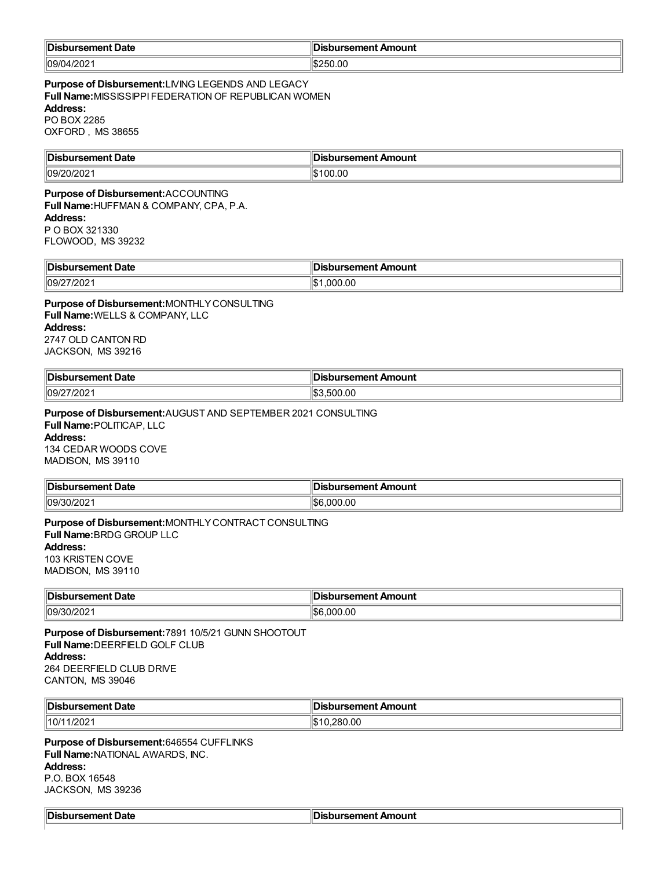| ‼Dish<br>rsement Date<br>. | ursement Amount |
|----------------------------|-----------------|
| 09/04/202                  | \$250.00        |

**Purpose of Disbursement:**LIVING LEGENDS AND LEGACY **Full Name:**MISSISSIPPI FEDERATION OF REPUBLICAN WOMEN **Address:** PO BOX 2285

OXFORD , MS 38655

| ∜Dis<br>Date<br><b>AMARY</b> | Amount<br>יממי |
|------------------------------|----------------|
| $\parallel$ 09/2<br>.<br>-UZ | n<br>.00       |

# **Purpose of Disbursement:**ACCOUNTING

**Full Name:**HUFFMAN & COMPANY, CPA, P.A. **Address:** P O BOX 321330

FLOWOOD, MS 39232

| <sup>∥</sup> Dis.<br>Date<br>™iselilelli | ırsement Amount<br>urcomont. |
|------------------------------------------|------------------------------|
| $ 109/2\rangle$<br>/202                  | 000.00                       |

**Purpose of Disbursement:**MONTHLYCONSULTING **Full Name:**WELLS & COMPANY, LLC **Address:** 2747 OLD CANTON RD JACKSON, MS 39216

| ∥Dis<br>ursement Date              | วนrsement Amount |
|------------------------------------|------------------|
| $\parallel$ 09/2<br>71000.<br>ZUZ. | 500.00           |

**Purpose of Disbursement:**AUGUST AND SEPTEMBER 2021 CONSULTING **Full Name:**POLITICAP, LLC **Address:** 134 CEDAR WOODS COVE MADISON, MS 39110

| <b>Disbur</b><br>ment Date<br>. 56. . | <b>bursement Amount</b> |
|---------------------------------------|-------------------------|
| 09/30/2                               | 1\$6                    |
| $U_{\mathcal{L}}$                     | 000.00                  |

**Purpose of Disbursement:**MONTHLYCONTRACT CONSULTING **Full Name:**BRDG GROUP LLC **Address:** 103 KRISTEN COVE MADISON, MS 39110

| ∜Dis<br>Date<br>.<br>rsement | .,<br>ırsement Amount  |
|------------------------------|------------------------|
| $\parallel$ 09/30<br>0/202   | 000.00<br>، ^ ا<br>ъĸ. |

**Purpose of Disbursement:**7891 10/5/21 GUNN SHOOTOUT **Full Name:**DEERFIELD GOLF CLUB **Address:** 264 DEERFIELD CLUB DRIVE CANTON, MS 39046

| <b>Dis</b><br>Jate | Amount<br>------<br>. |
|--------------------|-----------------------|
| 10/1<br>/202       | 28(<br>uu             |

**Purpose of Disbursement:**646554 CUFFLINKS **Full Name:**NATIONAL AWARDS, INC. **Address:** P.O. BOX 16548 JACKSON, MS 39236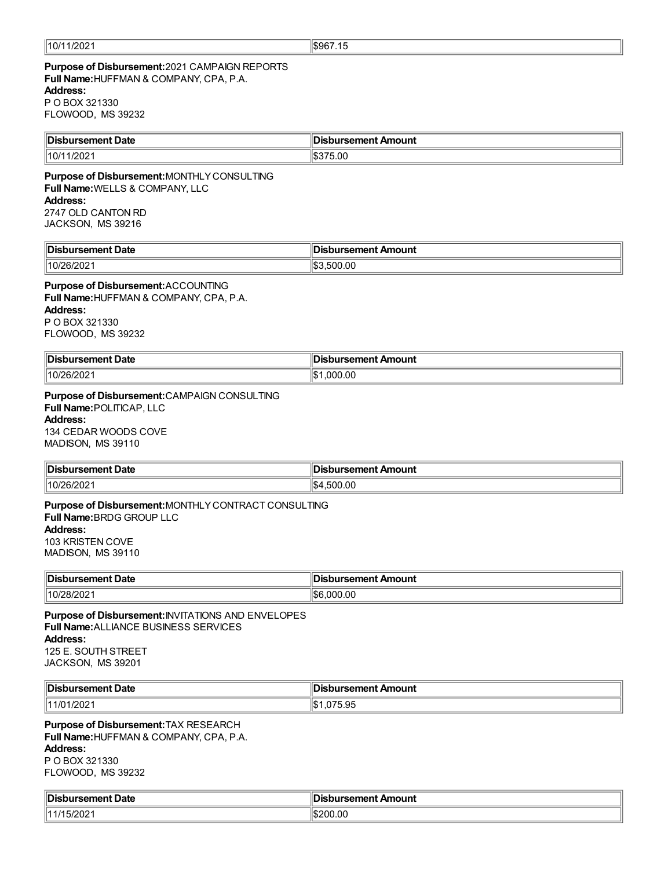### **Purpose of Disbursement:**2021 CAMPAIGN REPORTS **Full Name:**HUFFMAN & COMPANY, CPA, P.A. **Address:** P O BOX 321330 FLOWOOD, MS 39232

| ∥Dis          | llr.             |
|---------------|------------------|
| ırsement Date | bursement Amount |
| 10/1          | ວ.ບເ             |
| ′∪∠           | ъ.               |

**Purpose of Disbursement:**MONTHLYCONSULTING **Full Name:**WELLS & COMPANY, LLC **Address:** 2747 OLD CANTON RD JACKSON, MS 39216

| 'IDisi                   | `ursement <i>⊾</i> |
|--------------------------|--------------------|
| . sement Date            | : Amount           |
| 110 <sup>2</sup>         | .J.OO              |
| $\overline{\phantom{a}}$ | .ո.                |

### **Purpose of Disbursement:**ACCOUNTING **Full Name:**HUFFMAN & COMPANY, CPA, P.A. **Address:** P O BOX 321330 FLOWOOD, MS 39232

| ∥Dis<br>Jate                     | Amount<br>. <i>.</i> . |
|----------------------------------|------------------------|
| 10/26<br>פחריו<br>ו שו<br>14 U 4 | 00.00                  |

**Purpose of Disbursement:**CAMPAIGN CONSULTING **Full Name:**POLITICAP, LLC **Address:** 134 CEDAR WOODS COVE

MADISON, MS 39110

| '∣Dis<br>rsement Date     | bursement Amount، |
|---------------------------|-------------------|
| $10/26$ /<br>1202<br>៸∠∪∠ | .500.00<br>I\$4   |

### **Purpose of Disbursement:**MONTHLYCONTRACT CONSULTING **Full Name:**BRDG GROUP LLC **Address:** 103 KRISTEN COVE MADISON, MS 39110

| <b>IDis</b><br>Date    | Amount<br><b>Ament</b> |
|------------------------|------------------------|
| 10/28<br>יונ<br>14 U 4 | .OC<br>'N              |

**Purpose of Disbursement:**INVITATIONS AND ENVELOPES **Full Name:**ALLIANCE BUSINESS SERVICES **Address:** 125 E. SOUTH STREET JACKSON, MS 39201

| <b>Dist</b><br>sement Date<br>$-1$<br>$\sim$ $\sim$ $\sim$ $\sim$ $\sim$ $\sim$ | ursement Amount<br>. |
|---------------------------------------------------------------------------------|----------------------|
| /202<br>111/01                                                                  | 075.95,ا             |

**Purpose of Disbursement:**TAX RESEARCH **Full Name:**HUFFMAN & COMPANY, CPA, P.A. **Address:** P O BOX 321330 FLOWOOD, MS 39232

| 'IDish<br>Ament Date<br>semer<br>$ -$ | ursement Amount |
|---------------------------------------|-----------------|
| .5/202<br>11/1                        | \$200.00        |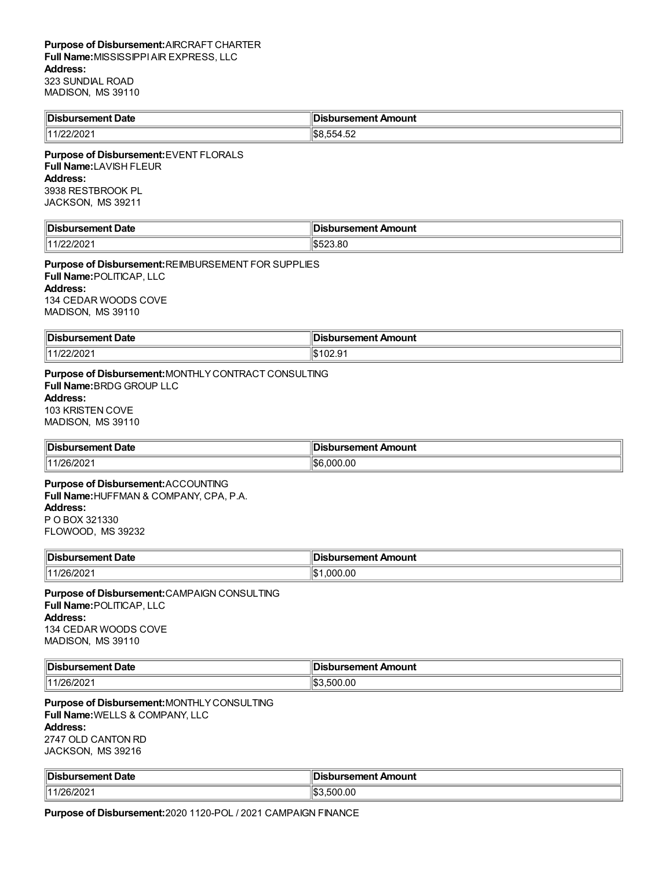| '∣Disb⊾        | ''Dist                                  |
|----------------|-----------------------------------------|
| ursement Date~ | bursement Amount:                       |
| 11/22/2021     | <b>IS8.554</b><br>$\sim$<br>554<br>1.JZ |

**Purpose of Disbursement:**EVENT FLORALS **Full Name:**LAVISH FLEUR **Address:** 3938 RESTBROOK PL JACKSON, MS 39211

| 'IDisi               |                                                |
|----------------------|------------------------------------------------|
| $\sim$ $\sim$ $\sim$ |                                                |
| ement Date           | ursement Amount                                |
| .                    |                                                |
| 111<br>∠∪∠           | $\Omega$<br>Ιm<br>$\sim$<br>1.D.<br>.v.vu<br>. |

**Purpose of Disbursement:**REIMBURSEMENT FOR SUPPLIES **Full Name:**POLITICAP, LLC **Address:** 134 CEDAR WOODS COVE MADISON, MS 39110

| <b>Disb</b><br>. Date<br>ненг<br>--<br>. | Amount<br>`ırsement <i>ı</i><br>. |
|------------------------------------------|-----------------------------------|
| 2/202                                    | ، م مم                            |
| 14101                                    | 1 U.C. J                          |

### **Purpose of Disbursement:**MONTHLYCONTRACT CONSULTING **Full Name:**BRDG GROUP LLC **Address:** 103 KRISTEN COVE MADISON, MS 39110

| <b>Disbursement Date</b> | <b>Jisbursement Amount</b> |
|--------------------------|----------------------------|
| 11/26/202                | .000.00<br>lЭb             |

# **Purpose of Disbursement:**ACCOUNTING

**Full Name:**HUFFMAN & COMPANY, CPA, P.A. **Address:** P O BOX 321330

FLOWOOD, MS 39232

| <b>IDist</b><br><b>Date</b><br>ursement I<br>. | ursement Amount |
|------------------------------------------------|-----------------|
| (11/26/200)<br>1/26/2021                       | .000.00         |

### **Purpose of Disbursement:**CAMPAIGN CONSULTING **Full Name:**POLITICAP, LLC **Address:** 134 CEDAR WOODS COVE MADISON, MS 39110

| Disbursement Date | <b>Disbursement Amount</b> |
|-------------------|----------------------------|
| 1126/200          | 500.00                     |
| 144               | $\sim$                     |
| υz                | -в.,                       |

**Purpose of Disbursement:**MONTHLYCONSULTING **Full Name:**WELLS & COMPANY, LLC **Address:** 2747 OLD CANTON RD JACKSON, MS 39216

| ∜Dis<br>∪at∈<br>$\sim$ $\sim$ $\sim$ $\sim$ $\sim$ $\sim$ $\sim$ | nount<br>$\sim$ $\sim$ $\sim$ $\sim$ $\sim$ $\sim$ $\sim$ |
|------------------------------------------------------------------|-----------------------------------------------------------|
| 6/202                                                            | ' ዪ:<br>.00<br>0C                                         |

**Purpose of Disbursement:**2020 1120-POL / 2021 CAMPAIGN FINANCE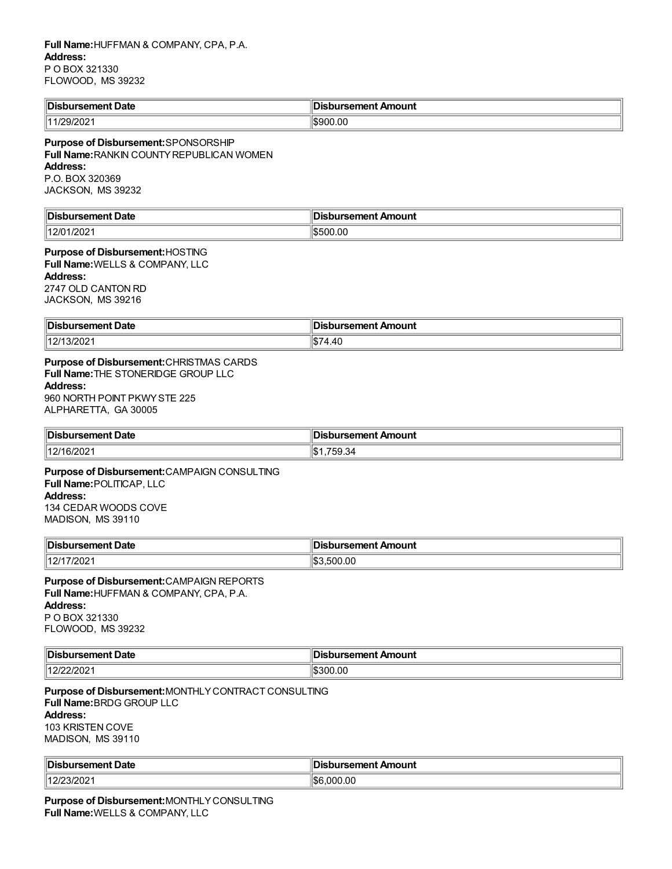| <sup>∥</sup> Dis.<br>Date<br>$\sim$ month<br>ırsement<br>. | : Amount<br>sement<br>н<br>.<br>$\sim$ $\sim$ |
|------------------------------------------------------------|-----------------------------------------------|
| 1/29/2021<br>144                                           | \$900.00                                      |

### **Purpose of Disbursement:**SPONSORSHIP **Full Name:**RANKIN COUNTYREPUBLICAN WOMEN **Address:** P.O. BOX 320369

JACKSON, MS 39232

| ∥Dis<br>ırsement Date | sbursement Amount |
|-----------------------|-------------------|
| 1/202                 | 00.OC             |
| 112/01                | ו הו              |
| $\sim$                | י ור              |

## **Purpose of Disbursement:**HOSTING **Full Name:**WELLS & COMPANY, LLC **Address:**

2747 OLD CANTON RD JACKSON, MS 39216

| Disbursement Date      | <br><b>Disbursement Amount</b> |
|------------------------|--------------------------------|
| 14014<br>13/2021<br>14 |                                |

### **Purpose of Disbursement:**CHRISTMAS CARDS **Full Name:**THE STONERIDGE GROUP LLC **Address:** 960 NORTH POINT PKWYSTE 225 ALPHARETTA, GA 30005

| ¶Dis                  | Amount    |
|-----------------------|-----------|
| Date                  | .         |
| .                     | .         |
| 14014<br>6/2021<br>14 | n<br>−دن. |

**Purpose of Disbursement:**CAMPAIGN CONSULTING **Full Name:**POLITICAP, LLC **Address:** 134 CEDAR WOODS COVE MADISON, MS 39110

| <b>∥Dist</b><br>Date           | Amount<br>'''' |
|--------------------------------|----------------|
| 11011<br>/202<br>$\mathcal{L}$ | .00            |

**Purpose of Disbursement:**CAMPAIGN REPORTS **Full Name:**HUFFMAN & COMPANY, CPA, P.A. **Address:** P O BOX 321330 FLOWOOD, MS 39232

| <b>Disb</b><br>rsement Date<br>a a ma | ursement Amount<br>___ |
|---------------------------------------|------------------------|
| 4 <sup>c</sup><br>72 U Z              | 300.00                 |

**Purpose of Disbursement:**MONTHLYCONTRACT CONSULTING **Full Name:**BRDG GROUP LLC **Address:** 103 KRISTEN COVE MADISON, MS 39110

| <b>Disl</b><br>Date<br><u>______</u><br>. SEI IE | Amount<br>.sement |
|--------------------------------------------------|-------------------|
| 1420<br>.JIZUZ<br>. <i>.</i>                     | S6<br>000.00      |

**Purpose of Disbursement:**MONTHLYCONSULTING **Full Name:**WELLS & COMPANY, LLC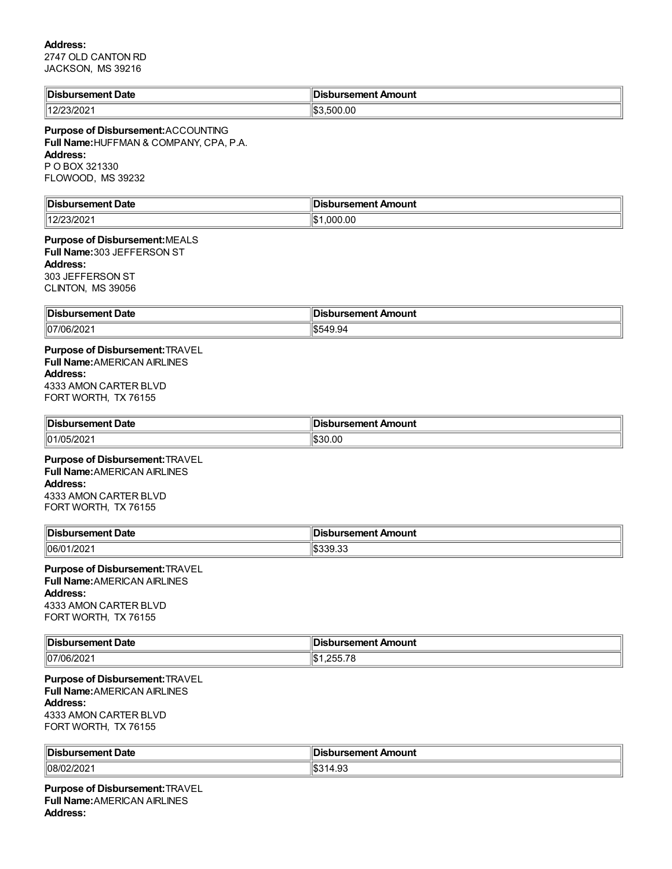## **Address:**

2747 OLD CANTON RD JACKSON, MS 39216

| <b>Disbursement Date</b>                                                                                                                          | <b>Disbursement Amount</b> |
|---------------------------------------------------------------------------------------------------------------------------------------------------|----------------------------|
| 12/23/2021                                                                                                                                        | \$3,500.00                 |
| Purpose of Disbursement: ACCOUNTING<br>Full Name: HUFFMAN & COMPANY, CPA, P.A.<br><b>Address:</b><br>P O BOX 321330<br>FLOWOOD, MS 39232          |                            |
| <b>Disbursement Date</b>                                                                                                                          | <b>Disbursement Amount</b> |
| 12/23/2021                                                                                                                                        | \$1,000.00                 |
| Purpose of Disbursement: MEALS<br>Full Name: 303 JEFFERSON ST<br><b>Address:</b><br>303 JEFFERSON ST<br>CLINTON, MS 39056                         |                            |
| <b>Disbursement Date</b>                                                                                                                          | <b>Disbursement Amount</b> |
| 07/06/2021                                                                                                                                        | \$549.94                   |
| Purpose of Disbursement: TRAVEL<br><b>Full Name: AMERICAN AIRLINES</b><br><b>Address:</b><br>4333 AMON CARTER BLVD<br>FORT WORTH, TX 76155        |                            |
| <b>Disbursement Date</b>                                                                                                                          | <b>Disbursement Amount</b> |
| 01/05/2021                                                                                                                                        | \$30.00                    |
| Purpose of Disbursement: TRAVEL<br><b>Full Name: AMERICAN AIRLINES</b><br><b>Address:</b><br>4333 AMON CARTER BLVD<br>FORT WORTH, TX 76155        |                            |
| <b>Disbursement Date</b>                                                                                                                          | <b>Disbursement Amount</b> |
| 06/01/2021                                                                                                                                        | \$339.33                   |
| <b>Purpose of Disbursement: TRAVEL</b><br><b>Full Name: AMERICAN AIRLINES</b><br><b>Address:</b><br>4333 AMON CARTER BLVD<br>FORT WORTH, TX 76155 |                            |
| <b>Disbursement Date</b>                                                                                                                          | <b>Disbursement Amount</b> |
| 07/06/2021                                                                                                                                        | \$1,255.78                 |
| Purpose of Disbursement: TRAVEL<br><b>Full Name: AMERICAN AIRLINES</b><br><b>Address:</b><br>4333 AMON CARTER BLVD<br>FORT WORTH, TX 76155        |                            |
| <b>Disbursement Date</b>                                                                                                                          | <b>Disbursement Amount</b> |
| 08/02/2021                                                                                                                                        | \$314.93                   |
|                                                                                                                                                   |                            |

**Purpose of Disbursement:**TRAVEL **Full Name:**AMERICAN AIRLINES **Address:**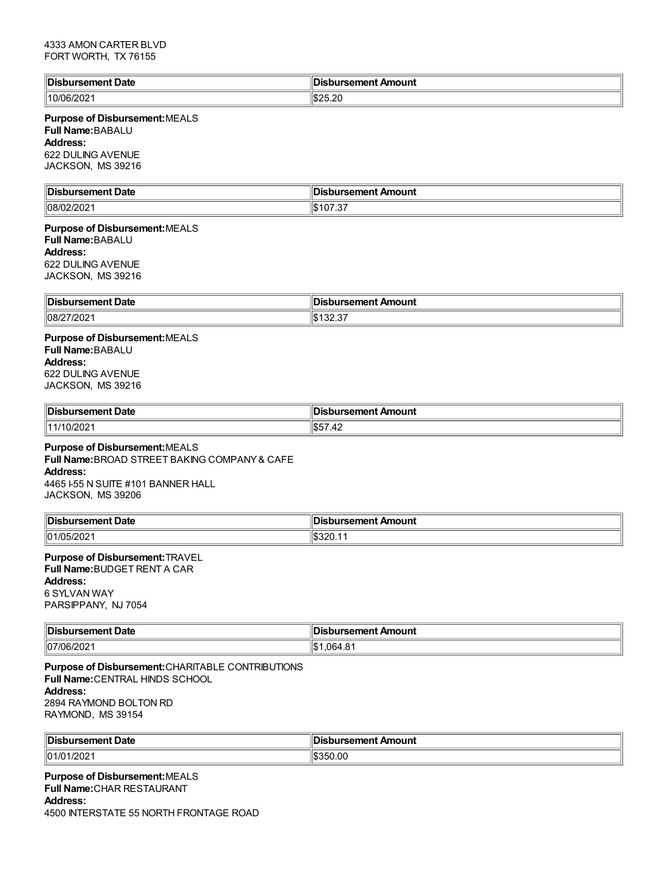### 4333 AMON CARTER BLVD FORT WORTH, TX 76155

| ∥Dis<br>rsement Date          | ursement Amount         |
|-------------------------------|-------------------------|
| $^{\prime\prime}$ 10/06/20∠ . | مطافعه<br>,,<br>⊪JZJ.ZU |

### **Purpose of Disbursement:**MEALS **Full Name:**BABALU **Address:** 622 DULING AVENUE JACKSON, MS 39216

| ∣Dis<br><b>Date</b><br>-------<br><br>. | Amount<br><b>.</b><br>$\sim$ $\sim$ $\sim$ $\sim$ $\sim$ $\sim$ $\sim$ |
|-----------------------------------------|------------------------------------------------------------------------|
| $\sim$                                  | ыD                                                                     |
| $\parallel$ 08/                         |                                                                        |
| ະບ∠                                     | ີ                                                                      |
|                                         | $\sim$                                                                 |

### **Purpose of Disbursement:**MEALS **Full Name:**BABALU **Address:** 622 DULING AVENUE JACKSON, MS 39216

| Dis.                   | sbursement Amount |
|------------------------|-------------------|
| ırsement Date          | ю                 |
| $\parallel$ 08/27/2021 | ن ے ب             |

### **Purpose of Disbursement:**MEALS **Full Name:**BABALU **Address:** 622 DULING AVENUE JACKSON, MS 39216

| <b>Dis</b><br>Jate<br>$\sim$ $\sim$ $\sim$ $\sim$ $\sim$ $\sim$ $\sim$ | Amount     |
|------------------------------------------------------------------------|------------|
| ''11/10/20≿                                                            | .п.<br>. . |

### **Purpose of Disbursement:**MEALS **Full Name:**BROAD STREET BAKING COMPANY& CAFE

**Address:** 4465 I-55 N SUITE #101 BANNER HALL JACKSON, MS 39206

| <b>Dis</b><br>nt Date<br>------<br>''<br>вен | In:<br>งursement Amount |
|----------------------------------------------|-------------------------|
| ll01/05/2021                                 | I�320.TT                |

# **Purpose of Disbursement:**TRAVEL

**Full Name:**BUDGET RENT A CAR

# **Address:**

6 SYLVAN WAY PARSIPPANY, NJ 7054

| <sup>∥</sup> Dis                          | Amount                 |
|-------------------------------------------|------------------------|
| Date                                      | וחמר                   |
| $\sim$ $\sim$ $\sim$ $\sim$ $\sim$ $\sim$ | .                      |
| 07/06/2<br>16/2021                        | . റ<br>∩ഭച<br>. טט דיט |

**Purpose of Disbursement:**CHARITABLE CONTRIBUTIONS **Full Name:**CENTRAL HINDS SCHOOL **Address:** 2894 RAYMOND BOLTON RD RAYMOND, MS 39154

| Dis<br>- - --- - --<br>ment Date<br>. | rsement Amount<br>a ireamant |
|---------------------------------------|------------------------------|
| /202<br>101/01/                       | ١¢<br>UU.                    |

**Purpose of Disbursement:**MEALS **Full Name:**CHAR RESTAURANT **Address:** 4500 INTERSTATE 55 NORTH FRONTAGE ROAD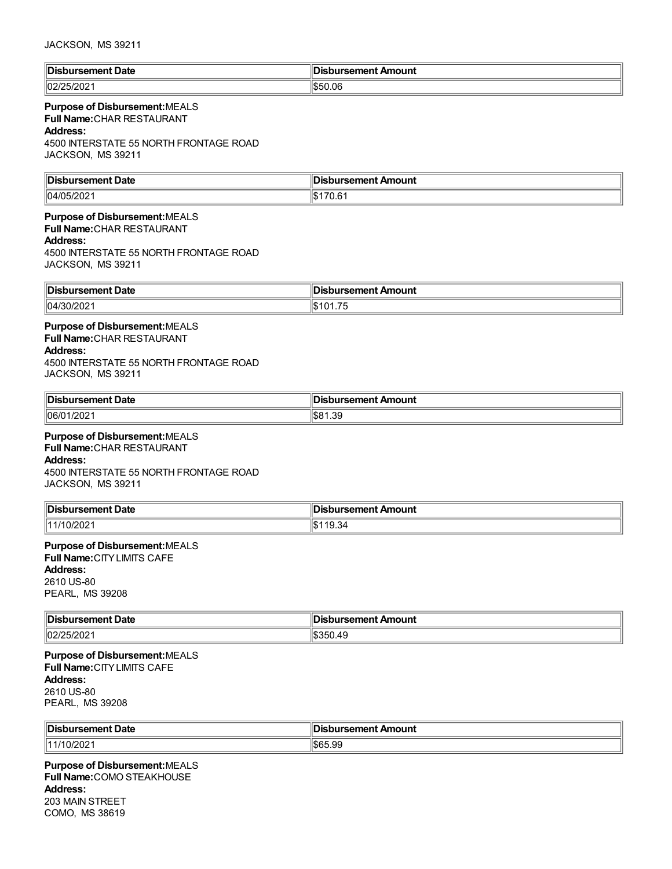| ∥Dis<br>Date<br>.nr<br>. | Amount  |
|--------------------------|---------|
| 02/25<br>W ZUZ.<br>.     | \$50.06 |

# **Purpose of Disbursement:**MEALS

**Full Name:**CHAR RESTAURANT

### **Address:**

4500 INTERSTATE 55 NORTH FRONTAGE ROAD JACKSON, MS 39211

| ∥Dis                   | Amount        |
|------------------------|---------------|
| <b>Date</b>            | --------      |
| . - --- - - - <b>-</b> | nu            |
| nent                   | $\sim$ $\sim$ |
| .                      |               |
| 04/05<br>120∠<br>.     | v.v           |

# **Purpose of Disbursement:**MEALS **Full Name:**CHAR RESTAURANT

#### **Address:**

4500 INTERSTATE 55 NORTH FRONTAGE ROAD JACKSON, MS 39211

| 'lDis.<br>ement Date<br>$-1$ | rsement Amount.<br>н<br>$\sim$ $\sim$ |
|------------------------------|---------------------------------------|
| $ 04/30/202\rangle$          | $\rightarrow$<br>. .                  |

**Purpose of Disbursement:**MEALS **Full Name:**CHAR RESTAURANT **Address:** 4500 INTERSTATE 55 NORTH FRONTAGE ROAD JACKSON, MS 39211

| ∜Dis<br>Date<br><br>. . | Amount<br><br>ю |
|-------------------------|-----------------|
| 06/0                    | ่ จ             |
| 1000                    | \$81            |
| 12021                   | ت ب ا           |

# **Purpose of Disbursement:**MEALS

**Full Name:**CHAR RESTAURANT **Address:** 4500 INTERSTATE 55 NORTH FRONTAGE ROAD JACKSON, MS 39211

| ⊧ا⊓ا<br>Date<br>. | Amount<br>. |
|-------------------|-------------|
|                   | 1.D         |

# **Purpose of Disbursement:**MEALS

**Full Name:**CITYLIMITS CAFE **Address:**

2610 US-80 PEARL, MS 39208

| ∥Dish<br>ement Date:<br>. | : Amount<br>sement<br>$\sim$ $\sim$<br>. |
|---------------------------|------------------------------------------|
| 02/25/202                 | $\overline{ }$<br>י<br>ww.45             |

**Purpose of Disbursement:**MEALS **Full Name:**CITYLIMITS CAFE **Address:** 2610 US-80 PEARL, MS 39208

| <b>Disb</b><br>้าursement Date | sbursement Amount |
|--------------------------------|-------------------|
| 111/10/20                      | 1965 QQ           |
| 10Z                            | ‼ზნ⊃.აა           |

**Purpose of Disbursement:**MEALS **Full Name:**COMO STEAKHOUSE **Address:** 203 MAIN STREET COMO, MS 38619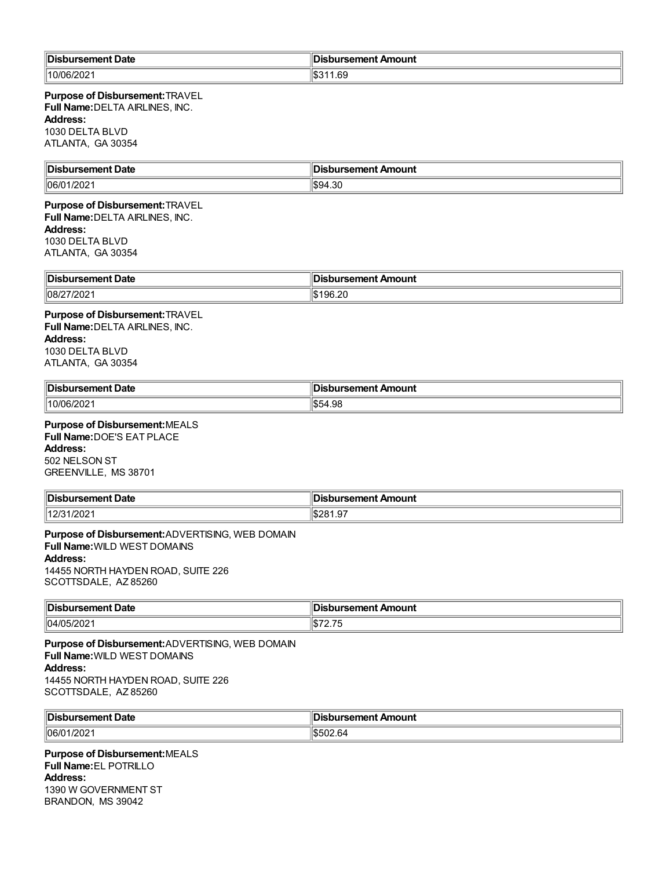| <sup>∥</sup> Dis.<br>Date<br>$  -$<br>rsement : | <b>sement ∕</b><br>Amount |
|-------------------------------------------------|---------------------------|
| $10/06$ /<br>וני<br>∠∪∠                         | 1.69<br>. שנו<br>__       |

**Purpose of Disbursement:**TRAVEL **Full Name:**DELTA AIRLINES, INC. **Address:** 1030 DELTA BLVD ATLANTA, GA 30354

| ∥Dis          | m                      |
|---------------|------------------------|
| ırsement Date | <b>ursement Amount</b> |
| ה הי          | ∩ە ⊿∩¢ا                |
| 106/C         | 1994                   |
| 1/202         | 1. ا                   |

### **Purpose of Disbursement:**TRAVEL **Full Name:**DELTA AIRLINES, INC. **Address:** 1030 DELTA BLVD

ATLANTA, GA 30354

| $\blacksquare$ Dist<br>bursement Date | <b>Disbursement Amount</b>         |
|---------------------------------------|------------------------------------|
| 08/27/2021                            | 106.2 <sup>r</sup><br>ı.n<br>ອບ.∠ເ |

### **Purpose of Disbursement:**TRAVEL **Full Name:**DELTA AIRLINES, INC. **Address:** 1030 DELTA BLVD ATLANTA, GA 30354

| Disbursement Date | bursement Amount |
|-------------------|------------------|
| 10/06/202         | റ<br>ுட<br>JO    |

# **Purpose of Disbursement:**MEALS **Full Name:**DOE'S EAT PLACE

**Address:** 502 NELSON ST GREENVILLE, MS 38701

| Disbursement Date                     | Disbursement Amount |
|---------------------------------------|---------------------|
| 10004<br>110/01<br>. 1/2021<br>ں ہے ا | \$281.97            |

**Purpose of Disbursement:**ADVERTISING, WEB DOMAIN **Full Name:**WILD WEST DOMAINS **Address:** 14455 NORTH HAYDEN ROAD, SUITE 226 SCOTTSDALE, AZ 85260

| 'IDisl                             | bursement Amount،     |
|------------------------------------|-----------------------|
| ursement Date                      | JI.                   |
| 104/05<br>$^{\prime\prime}$ )5/202 | ---<br>l U.<br>$\sim$ |

**Purpose of Disbursement:**ADVERTISING, WEB DOMAIN **Full Name:**WILD WEST DOMAINS **Address:** 14455 NORTH HAYDEN ROAD, SUITE 226 SCOTTSDALE, AZ 85260

| ∥Dis<br>∪at⊾ | ь<br>\mount<br>$  -$<br><b>AUR</b> |
|--------------|------------------------------------|
| 106/0        | h                                  |
| /202         | . ור                               |

### **Purpose of Disbursement:**MEALS **Full Name:**EL POTRILLO **Address:** 1390 W GOVERNMENT ST BRANDON, MS 39042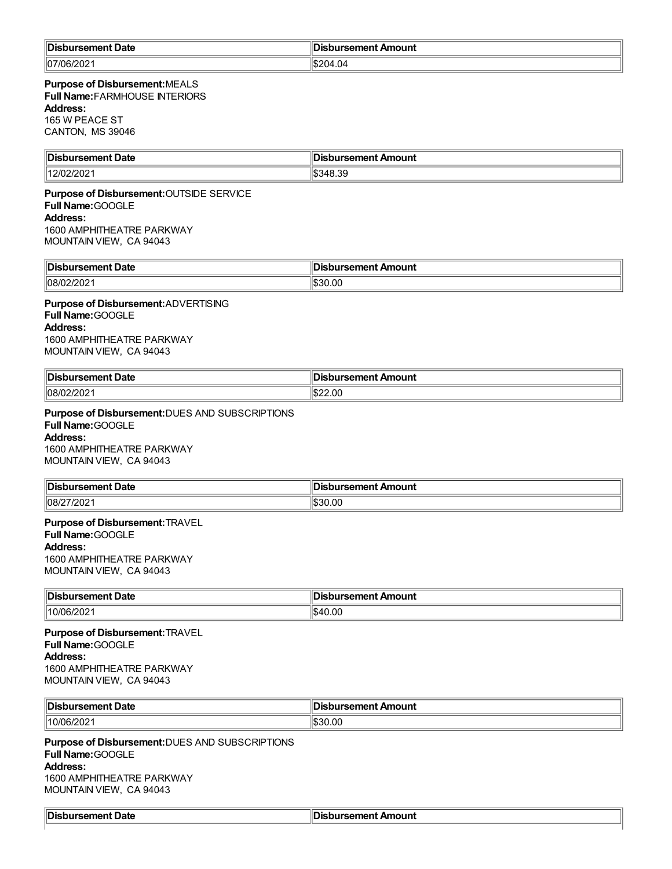| <sup>∥</sup> Dis<br>Date<br>. | Amount<br>.comon*<br>ю<br>.     |
|-------------------------------|---------------------------------|
| 07/06/202 <br>                | 04.,<br><sup>204</sup> -<br>.57 |

### **Purpose of Disbursement:**MEALS **Full Name:**FARMHOUSE INTERIORS **Address:**

165 W PEACE ST CANTON, MS 39046

| ∥Dis<br><b>Date</b><br>sement | Amount        |
|-------------------------------|---------------|
| '∩/י<br>⊣l4 O 1<br>-∪∠        | $\sim$<br>, ن |

### **Purpose of Disbursement:**OUTSIDE SERVICE **Full Name:**GOOGLE **Address:** 1600 AMPHITHEATRE PARKWAY MOUNTAIN VIEW, CA 94043

| <sup>∥</sup> Disl<br>Date<br>$\blacksquare$<br>ursement | : רי<br>Amount<br>sbursement |
|---------------------------------------------------------|------------------------------|
| $ 08/02/202\rangle$                                     | 1\$30.00                     |

### **Purpose of Disbursement:**ADVERTISING **Full Name:**GOOGLE **Address:** 1600 AMPHITHEATRE PARKWAY

MOUNTAIN VIEW, CA 94043

| <sup>∥</sup> Disl<br>Date<br>ursement. | <b>Disbursement Amount</b> |
|----------------------------------------|----------------------------|
| 108/0<br>. الا<br>-JZ -                | :22 OC                     |

**Purpose of Disbursement:**DUES AND SUBSCRIPTIONS **Full Name:**GOOGLE **Address:** 1600 AMPHITHEATRE PARKWAY MOUNTAIN VIEW, CA 94043

| 'Dis<br>лате<br>ч<br>.       | Amount<br>sement<br>. |
|------------------------------|-----------------------|
| 08/27/<br>7/202 <sup>.</sup> | \$30.00               |

#### **Purpose of Disbursement:**TRAVEL **Full Name:**GOOGLE **Address:**

1600 AMPHITHEATRE PARKWAY MOUNTAIN VIEW, CA 94043

| <b>IDis</b><br>Date<br>$\sim$ Monday.<br>. | Amount<br>---<br>. |
|--------------------------------------------|--------------------|
| $10/06$ /<br>202.<br>.<br>_____            | 10.00<br>.h4'      |

**Purpose of Disbursement:**TRAVEL **Full Name:**GOOGLE **Address:** 1600 AMPHITHEATRE PARKWAY MOUNTAIN VIEW, CA 94043

| ∥Dis<br>ent Date<br>, sene<br>. | de 1<br>Amount<br>$\sim$ $\sim$ $\sim$ $\sim$<br>. |
|---------------------------------|----------------------------------------------------|
| 10/06/<br>1202                  | 0.0000<br>∶ור.ח.<br>.uu                            |

**Purpose of Disbursement:**DUES AND SUBSCRIPTIONS **Full Name:**GOOGLE **Address:** 1600 AMPHITHEATRE PARKWAY MOUNTAIN VIEW, CA 94043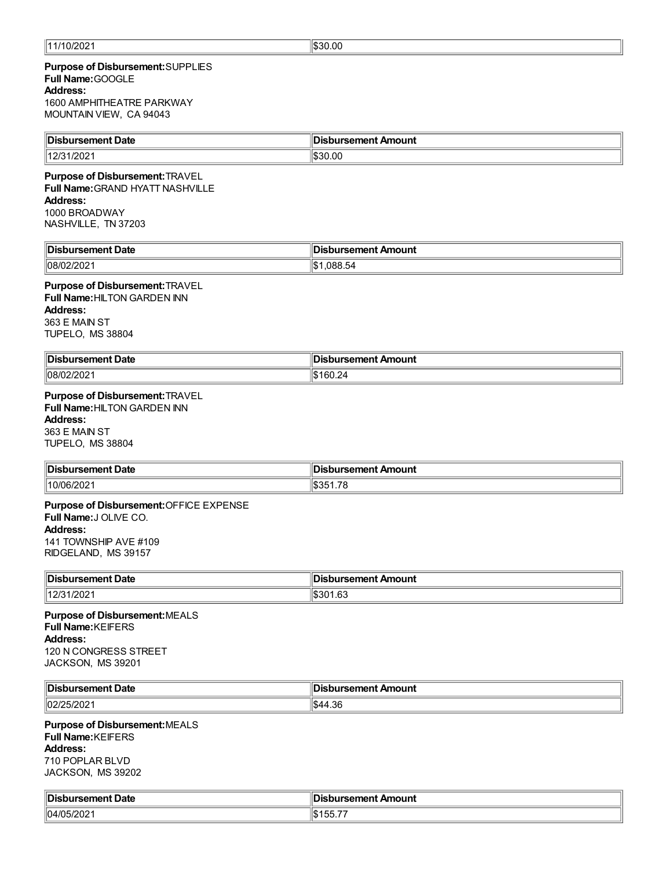### **Purpose of Disbursement:**SUPPLIES **Full Name:**GOOGLE **Address:** 1600 AMPHITHEATRE PARKWAY MOUNTAIN VIEW, CA 94043

| Disbursement Date | Disbursement Amount |
|-------------------|---------------------|
| 1401              | 30.00               |
| /202              | "\$30-              |

#### **Purpose of Disbursement:**TRAVEL **Full Name:**GRAND HYATT NASHVILLE

**Address:** 1000 BROADWAY

NASHVILLE, TN 37203

| <sup>∥</sup> Dis.<br>Date<br>rsement<br>. | Amount<br>emeni.<br>. |
|-------------------------------------------|-----------------------|
| 08/02/202                                 | .088.54               |

### **Purpose of Disbursement:**TRAVEL

**Full Name:**HILTON GARDEN INN **Address:** 363 E MAIN ST TUPELO, MS 38804

| <b>IDis</b><br><b>Date</b> | camant<br>Amount                 |
|----------------------------|----------------------------------|
| 08/02<br>ж<br>14 U 4       | .<br>$\sim$ $\sim$ $\sim$ $\sim$ |

# **Purpose of Disbursement:**TRAVEL

**Full Name:**HILTON GARDEN INN **Address:** 363 E MAIN ST

TUPELO, MS 38804

| 'IDis                            | - - - - - - -                                    |
|----------------------------------|--------------------------------------------------|
| Jate                             | Amount                                           |
| .                                | $\sim$ $\sim$ $\sim$ $\sim$ $\sim$ $\sim$ $\sim$ |
| $^{\circ}$ 10/06/20 $\epsilon$ . | $\sim$<br>п.                                     |

### **Purpose of Disbursement:**OFFICE EXPENSE **Full Name:**J OLIVE CO. **Address:** 141 TOWNSHIP AVE #109 RIDGELAND, MS 39157

**Disbursement Date Disbursement Amount**  $12/31/2021$  \$301.63

**Purpose of Disbursement:**MEALS **Full Name:**KEIFERS **Address:** 120 N CONGRESS STREET JACKSON, MS 39201

| ∥Dis<br>oursement Date | ∥Disbursement Amount |
|------------------------|----------------------|
| $\parallel$ 02/2       | $\sim$               |
| ,,                     | ነው አ                 |
| ״                      | 44 °                 |
| - 92                   | .ಎಂ                  |

# **Purpose of Disbursement:**MEALS

**Full Name:**KEIFERS **Address:** 710 POPLAR BLVD JACKSON, MS 39202

| ∥Dis<br>oursement Date | bursement Amount |
|------------------------|------------------|
| 04/05                  | r.               |
| 202                    | . JJ. 1          |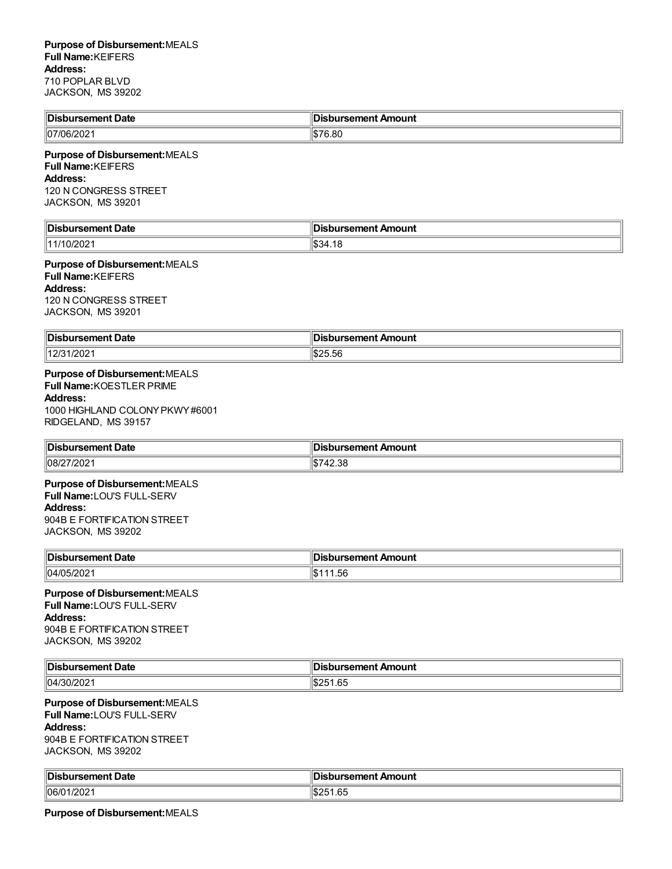| Disbursement Date | <b>∂Disbursement Amount</b> ⊪ |
|-------------------|-------------------------------|
| 107/06/202        | 6.80                          |

### **Purpose of Disbursement:**MEALS **Full Name:**KEIFERS **Address:** 120 N CONGRESS STREET JACKSON, MS 39201

| ∥Dis<br>---<br>- - --- - --<br>Date<br>ent | Amount<br>--------<br>. |
|--------------------------------------------|-------------------------|
| 1141                                       | ים ו                    |
| .uz                                        | 371                     |
|                                            | ۱.D۰                    |

### **Purpose of Disbursement:**MEALS **Full Name:**KEIFERS **Address:** 120 N CONGRESS STREET JACKSON, MS 39201

| <b>Disbursement Date</b> | <b>Disbursement Amount</b> |
|--------------------------|----------------------------|
| 110101<br>1/202<br>14 U  | י הו<br>ISZ5.56            |

# **Purpose of Disbursement:**MEALS

**Full Name:**KOESTLER PRIME

**Address:** 1000 HIGHLAND COLONYPKWY#6001 RIDGELAND, MS 39157

| 'IDist<br>bursement Date | sbursement Amount |
|--------------------------|-------------------|
| $ 08/2\rangle$<br>'/202  | 42.38             |

### **Purpose of Disbursement:**MEALS

**Full Name:**LOU'S FULL-SERV

# **Address:**

904B E FORTIFICATION STREET JACKSON, MS 39202

| Disbursement Date | Disbursement Amount |
|-------------------|---------------------|
| 04/05/2021        | 1.56                |

# **Purpose of Disbursement:**MEALS

**Full Name:**LOU'S FULL-SERV **Address:** 904B E FORTIFICATION STREET JACKSON, MS 39202

| ∥Dis<br>Date<br>sement | $\cdots$ coment $\cdots$<br>Amount |
|------------------------|------------------------------------|
| 04/30<br>W.            | $\sim$ $\sim$<br>1.65<br>0ZJ       |

# **Purpose of Disbursement:**MEALS

**Full Name:**LOU'S FULL-SERV

### **Address:**

904B E FORTIFICATION STREET JACKSON, MS 39202

| <b>Dis</b><br>Jate<br>. | $1$<br>- - -- -<br>TIOUTIL<br>.<br>. |
|-------------------------|--------------------------------------|
| $ 06/0 \rangle$<br>/202 | ισ<br>,,<br>.ں۔                      |

**Purpose of Disbursement:**MEALS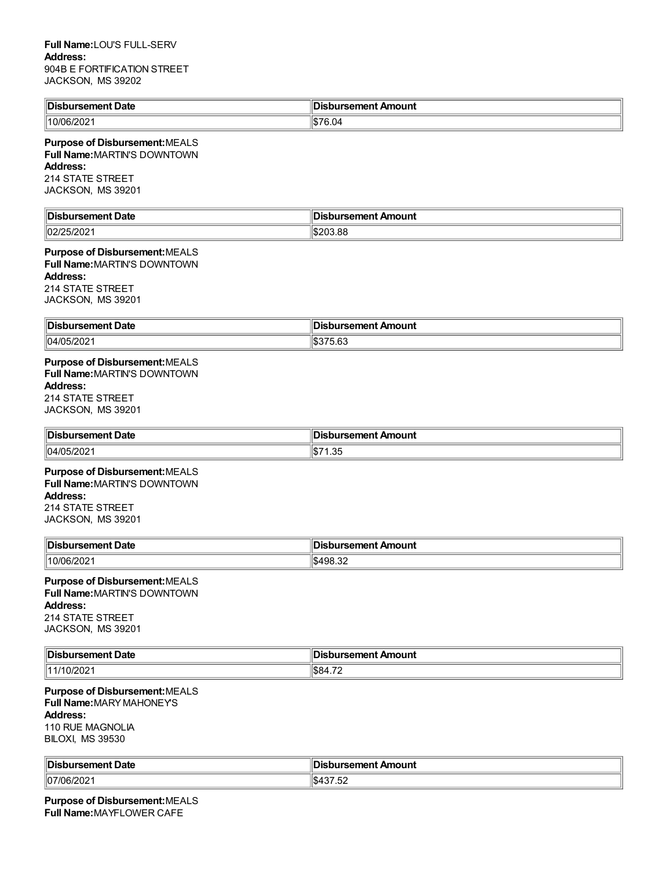### **Full Name:**LOU'S FULL-SERV **Address:** 904B E FORTIFICATION STREET JACKSON, MS 39202

| ™is<br>Date<br>- - --- - -- -<br>rsement | .<br>sbursement Amount                  |
|------------------------------------------|-----------------------------------------|
| $3/202^{\circ}$<br>10/06/2               | 1077C<br>$\cdot$ r $\sim$<br>—∪.ں<br>ыD |

#### **Purpose of Disbursement:**MEALS **Full Name:**MARTIN'S DOWNTOWN

**Address:**

214 STATE STREET

JACKSON, MS 39201

| lin:<br>Date<br>. | ⊪<br>Amount<br>--------<br>$- - -$<br>.          |
|-------------------|--------------------------------------------------|
| $\sim$<br>- UZ    | $\mathsf{I} \, \mathsf{C}$<br>ココント<br>ט.י<br>___ |

# **Purpose of Disbursement:**MEALS

**Full Name:**MARTIN'S DOWNTOWN **Address:**

214 STATE STREET JACKSON, MS 39201

| <b>∥Disb</b> | ursement Amount |
|--------------|-----------------|
| rsement Date | ж               |
| 04/05/202    | 75. OO          |
| JIZUZ        | J.O.            |

# **Purpose of Disbursement:**MEALS **Full Name:**MARTIN'S DOWNTOWN **Address:**

214 STATE STREET JACKSON, MS 39201

| ∥Dis<br>Date<br>------<br>nent<br>. | Amount<br>------<br>ш<br>. |
|-------------------------------------|----------------------------|
| 04/05                               | υ                          |
|                                     | טט.ו                       |

### **Purpose of Disbursement:**MEALS **Full Name:**MARTIN'S DOWNTOWN **Address:** 214 STATE STREET JACKSON, MS 39201

| ∜Disb         | bursement Amount  |
|---------------|-------------------|
| ursement Date | פושו              |
| 110/<br>ີ     | ـ∡د.1989/1<br>___ |

### **Purpose of Disbursement:**MEALS **Full Name:**MARTIN'S DOWNTOWN **Address:** 214 STATE STREET

JACKSON, MS 39201

| ∃Dic   | Amount         |
|--------|----------------|
| Date   | - - --- - -- / |
| .      |                |
| ,,     | ، م ا          |
| 72 U Z | .പാ84          |

## **Purpose of Disbursement:**MEALS **Full Name:**MARYMAHONEY'S **Address:** 110 RUE MAGNOLIA

BILOXI, MS 39530

| <sup>∥</sup> Dis<br>Date<br>e<br>. | In.<br>Amount<br>ursement .<br>.                           |
|------------------------------------|------------------------------------------------------------|
| 07/06<br>0.000<br>ا 2027ان۔        | $\overline{ }$<br>$\overline{\phantom{a}}$<br>ىس<br>ے<br>. |

**Purpose of Disbursement:**MEALS **Full Name:**MAYFLOWER CAFE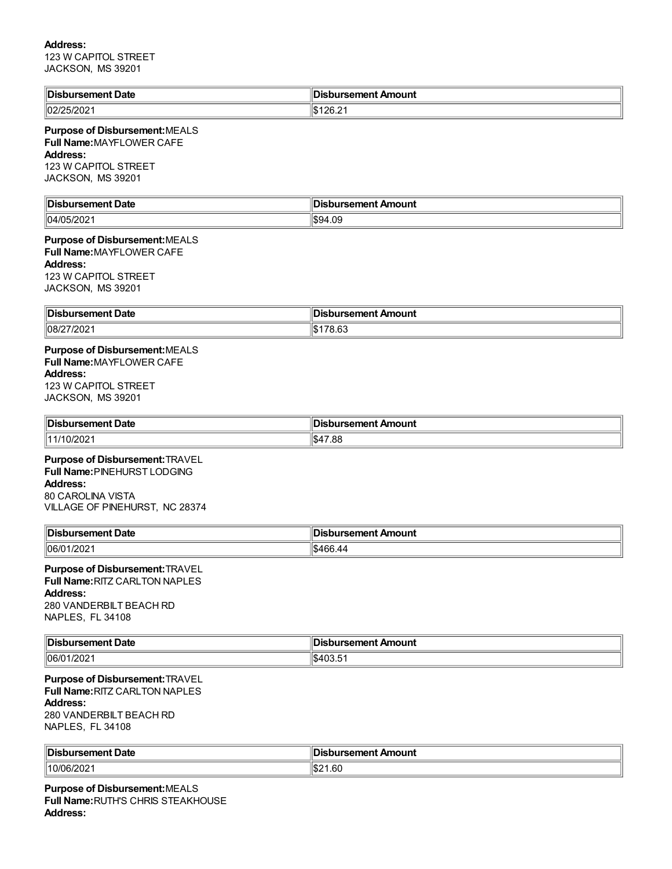## **Address:**

123 W CAPITOL STREET JACKSON, MS 39201

| <b>Disbursement Date</b>                                                                                                                  | <b>Disbursement Amount</b> |
|-------------------------------------------------------------------------------------------------------------------------------------------|----------------------------|
| 02/25/2021                                                                                                                                | \$126.21                   |
| Purpose of Disbursement: MEALS<br>Full Name: MAYFLOWER CAFE<br>Address:<br>123 W CAPITOL STREET<br>JACKSON, MS 39201                      |                            |
| <b>Disbursement Date</b>                                                                                                                  | <b>Disbursement Amount</b> |
| 04/05/2021                                                                                                                                | \$94.09                    |
| Purpose of Disbursement: MEALS<br>Full Name: MAYFLOWER CAFE<br><b>Address:</b><br>123 W CAPITOL STREET<br>JACKSON, MS 39201               |                            |
| <b>Disbursement Date</b>                                                                                                                  | <b>Disbursement Amount</b> |
| 08/27/2021                                                                                                                                | \$178.63                   |
| Purpose of Disbursement: MEALS<br><b>Full Name: MAYFLOWER CAFE</b><br><b>Address:</b><br>123 W CAPITOL STREET<br>JACKSON, MS 39201        |                            |
| <b>Disbursement Date</b>                                                                                                                  | <b>Disbursement Amount</b> |
| 11/10/2021                                                                                                                                | \$47.88                    |
| Purpose of Disbursement: TRAVEL<br>Full Name: PINEHURST LODGING<br><b>Address:</b><br>80 CAROLINA VISTA<br>VILLAGE OF PINEHURST, NC 28374 |                            |
| <b>Disbursement Date</b>                                                                                                                  | <b>Disbursement Amount</b> |
| 06/01/2021                                                                                                                                | \$466.44                   |
| Purpose of Disbursement: TRAVEL<br>Full Name: RITZ CARLTON NAPLES<br><b>Address:</b><br>280 VANDERBILT BEACH RD<br>NAPLES, FL 34108       |                            |
| <b>Disbursement Date</b>                                                                                                                  | <b>Disbursement Amount</b> |
| 06/01/2021                                                                                                                                | \$403.51                   |
| Purpose of Disbursement: TRAVEL<br>Full Name: RITZ CARLTON NAPLES<br><b>Address:</b><br>280 VANDERBILT BEACH RD<br>NAPLES, FL 34108       |                            |
| <b>Disbursement Date</b>                                                                                                                  | <b>Disbursement Amount</b> |
| 10/06/2021                                                                                                                                | \$21.60                    |

**Purpose of Disbursement:**MEALS **Full Name:**RUTH'S CHRIS STEAKHOUSE **Address:**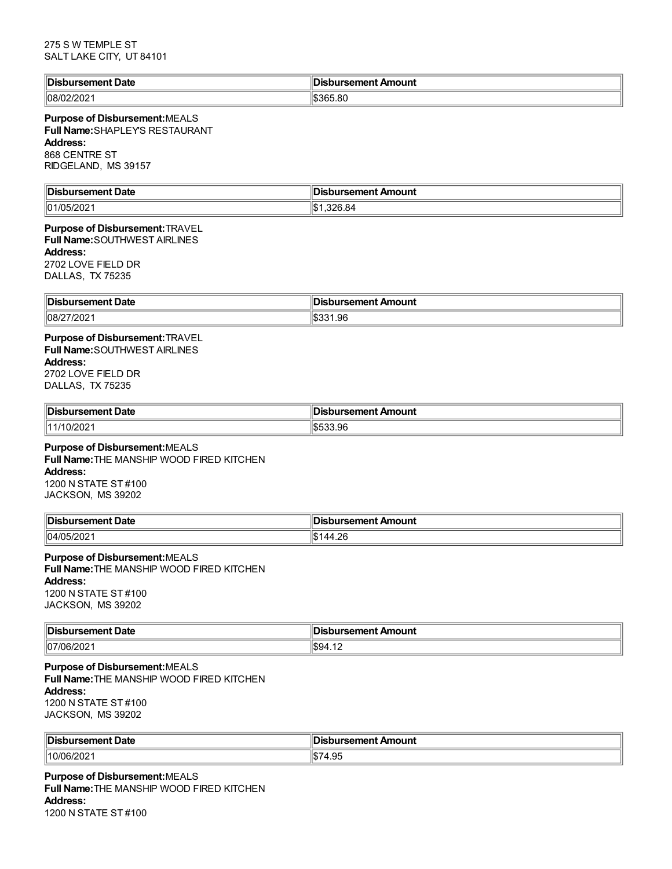| <b>Disbursement Date</b> | Disbursement Amount |
|--------------------------|---------------------|
| 108/02/2021              | 1\$365.80           |

### **Purpose of Disbursement:**MEALS **Full Name:**SHAPLEY'S RESTAURANT **Address:** 868 CENTRE ST RIDGELAND, MS 39157

| ⊪Di<br>Date<br>.                | $  -$<br>Amount<br>ıcı |
|---------------------------------|------------------------|
| פחרו<br>$\parallel$ 01/C<br>-uz | ۱\$۰<br>n.             |

### **Purpose of Disbursement:**TRAVEL **Full Name:**SOUTHWEST AIRLINES **Address:** 2702 LOVE FIELD DR DALLAS, TX 75235

| <sup>∥</sup> Dis.<br>Date<br>пэенени | Amount<br>…c∩l er |
|--------------------------------------|-------------------|
| 08/27                                | .96               |
| 1/202 <sup>4</sup>                   | .n. .             |

## **Purpose of Disbursement:**TRAVEL **Full Name:**SOUTHWEST AIRLINES **Address:** 2702 LOVE FIELD DR

| 21 V 2 L U V L I ILLU DI V |  |
|----------------------------|--|
| DALLAS, TX 75235           |  |
|                            |  |

| Disbursement Date | รbursement Amount |
|-------------------|-------------------|
| $\ 11/10/202\ $   | 533.96<br>⊕. D    |

# **Purpose of Disbursement:**MEALS

**Full Name:**THE MANSHIP WOOD FIRED KITCHEN **Address:** 1200 N STATE ST #100 JACKSON, MS 39202

| <b>IDis</b><br>. | TIUUTIL<br>- 11<br>.     |
|------------------|--------------------------|
| 04/05            | $\overline{ }$           |
| פחמו             | റ                        |
| ZUZ              | $\overline{\phantom{a}}$ |

# **Purpose of Disbursement:**MEALS

**Full Name:**THE MANSHIP WOOD FIRED KITCHEN **Address:** 1200 N STATE ST #100 JACKSON, MS 39202

| <b>Dis</b><br>Date | Amount<br><b>COMPANY</b> |
|--------------------|--------------------------|
| 107/06/202         | 100.5<br>″9⊿<br>T. IZ    |

# **Purpose of Disbursement:**MEALS

**Full Name:**THE MANSHIP WOOD FIRED KITCHEN **Address:** 1200 N STATE ST #100 JACKSON, MS 39202

| <b>Dis</b><br>Jak           | <br>Amount<br>sement<br>ъ.<br>__ |
|-----------------------------|----------------------------------|
| 10/06 <sub>/</sub><br>'ZUZ' | חו<br>שו<br><b>T.JU</b>          |

**Purpose of Disbursement:**MEALS **Full Name:**THE MANSHIP WOOD FIRED KITCHEN **Address:** 1200 N STATE ST #100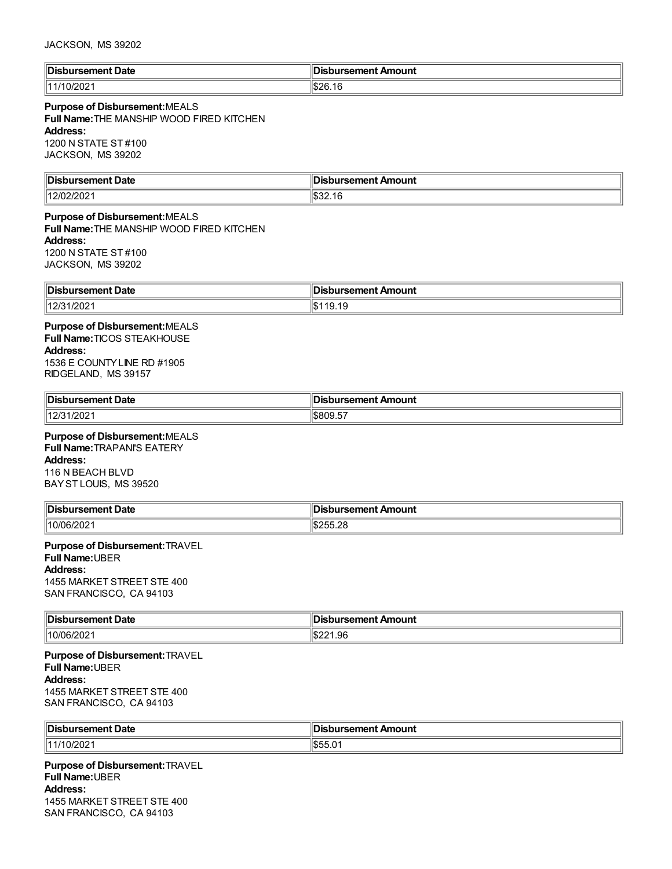| Disbursement Date | Disbursement Amount |
|-------------------|---------------------|
| 0/202             | ∃l\$26.             |
| 1111              | ıО                  |

### **Purpose of Disbursement:**MEALS

**Full Name:**THE MANSHIP WOOD FIRED KITCHEN **Address:** 1200 N STATE ST #100 JACKSON, MS 39202

| $\ $ Dis<br>ursement Date | sbursement Amount |
|---------------------------|-------------------|
| 12/02/20                  | ால⊃∠.             |
| .                         | . .               |

### **Purpose of Disbursement:**MEALS **Full Name:**THE MANSHIP WOOD FIRED KITCHEN **Address:** 1200 N STATE ST #100

JACKSON, MS 39202

| ⊪⊓i<br>Date<br>21 I I<br>$\sim$ $\sim$ $\sim$ $\sim$ $\sim$ $\sim$ | mount<br>$  -$<br>^~<br>$-1$<br><br>. |
|--------------------------------------------------------------------|---------------------------------------|
| 101<br>1/202<br>. .                                                | I.D<br>1 J.IJ                         |

### **Purpose of Disbursement:**MEALS **Full Name:**TICOS STEAKHOUSE **Address:** 1536 E COUNTYLINE RD #1905 RIDGELAND, MS 39157

| ∥Dis                                      | ursement .             |
|-------------------------------------------|------------------------|
| sement Date                               | Amount                 |
| $\sim$ $\sim$ $\sim$ $\sim$ $\sim$ $\sim$ | .                      |
| 1000<br>14.2 <sup>F</sup><br>12/31/2021   | $\frac{1}{2}$ \$809.57 |

# **Purpose of Disbursement:**MEALS

**Full Name:**TRAPANI'S EATERY **Address:** 116 N BEACH BLVD BAYST LOUIS, MS 39520

| ∥Dis<br>Date<br>- - --- - --<br>sement<br>. | Amount<br>$- - - - - - - -$                        |
|---------------------------------------------|----------------------------------------------------|
| 110/06<br>70Z                               | ി ∩~<br>$\overline{\phantom{a}}$<br>1.DZ<br>י ∟…טי |

# **Purpose of Disbursement:**TRAVEL

**Full Name:**UBER

**Address:**

1455 MARKET STREET STE 400 SAN FRANCISCO, CA 94103

| <sup>∥</sup> Dis. | Amount                                           |
|-------------------|--------------------------------------------------|
| Date              | ⊿semer*                                          |
| 'rs⊾              | ю                                                |
| .                 | $\sim$ $\sim$ $\sim$ $\sim$ $\sim$ $\sim$ $\sim$ |
| 10/06/202         | \$221.96                                         |

### **Purpose of Disbursement:**TRAVEL **Full Name:**UBER **Address:** 1455 MARKET STREET STE 400 SAN FRANCISCO, CA 94103

| ∜Dis          | Amount |
|---------------|--------|
| Date          | mmm    |
| .             | ю      |
| .             | . .    |
|               |        |
| 11 4 14<br>UΖ | л.     |

**Purpose of Disbursement:**TRAVEL **Full Name:**UBER **Address:** 1455 MARKET STREET STE 400 SAN FRANCISCO, CA 94103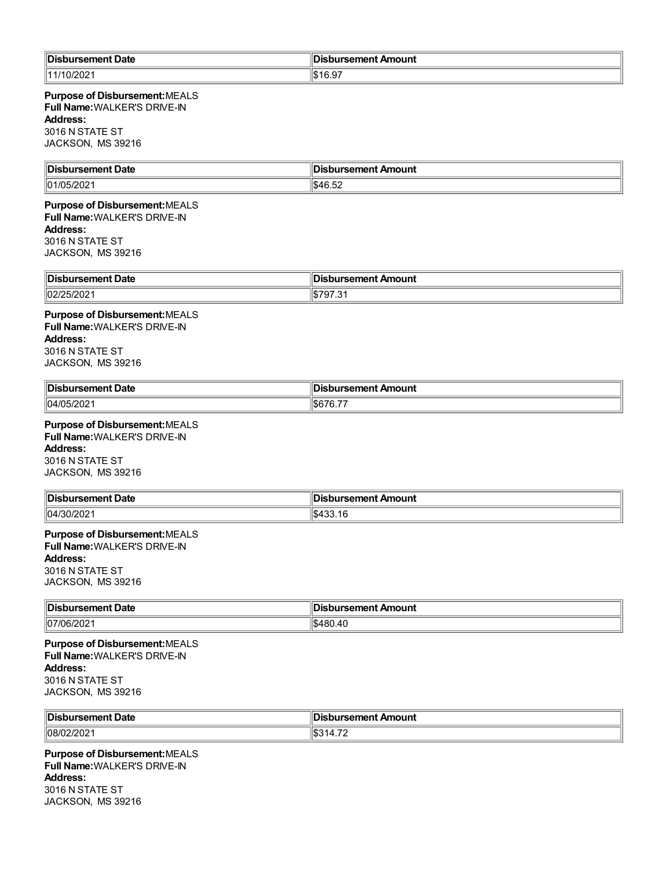| ∥Dis<br>Jate | $\sim$ .<br>Amount<br>:amant<br>.<br>$\sim$ $\sim$ |
|--------------|----------------------------------------------------|
| 11/10/2021   | $\sim$ $\sim$<br>י ט.ט                             |

**Purpose of Disbursement:**MEALS **Full Name:**WALKER'S DRIVE-IN **Address:** 3016 N STATE ST JACKSON, MS 39216

| ∥Di:<br>--<br>Date<br>== | <b>ursement Amount</b> |
|--------------------------|------------------------|
| $\parallel$ 01/C<br>- UZ | 454F                   |

## **Purpose of Disbursement:**MEALS **Full Name:**WALKER'S DRIVE-IN **Address:** 3016 N STATE ST JACKSON, MS 39216

| ،ن∩اا<br>bursement Date<br>. | $\overline{\phantom{a}}$<br>∥Disbursement Amount |
|------------------------------|--------------------------------------------------|
| $\overline{\phantom{a}}$     | $\sim$ $\sim$ $\sim$ $\sim$                      |
| 02/                          | ີ                                                |
| .JIZUZ                       |                                                  |

## **Purpose of Disbursement:**MEALS **Full Name:**WALKER'S DRIVE-IN **Address:** 3016 N STATE ST JACKSON, MS 39216

| Disbursement Date | bursement Amount، |
|-------------------|-------------------|
| 04/05/202         | ו. ט              |

### **Purpose of Disbursement:**MEALS **Full Name:**WALKER'S DRIVE-IN **Address:** 3016 N STATE ST

JACKSON, MS 39216

| <b>∥Disb</b><br>∖ursement Date | sbursement Amount                   |
|--------------------------------|-------------------------------------|
| 04/30/2021                     | $\sim$ 400 $\sim$<br>.net<br>100.IU |

### **Purpose of Disbursement:**MEALS **Full Name:**WALKER'S DRIVE-IN **Address:**

3016 N STATE ST JACKSON, MS 39216

| Disbursement Date | Disbursement Amount          |
|-------------------|------------------------------|
| 07/06/202         | $\epsilon$<br>`480.4∪<br>n s |

**Purpose of Disbursement:**MEALS **Full Name:**WALKER'S DRIVE-IN **Address:** 3016 N STATE ST JACKSON, MS 39216

| <b>IDis</b><br>ent Date<br>. sener<br>. | <br>Amount<br>:aman'<br>. |
|-----------------------------------------|---------------------------|
| $ 08/0^{\circ} $<br>מחמו<br>14 U 4      | $\rightarrow$<br>.        |

## **Purpose of Disbursement:**MEALS **Full Name:**WALKER'S DRIVE-IN **Address:** 3016 N STATE ST JACKSON, MS 39216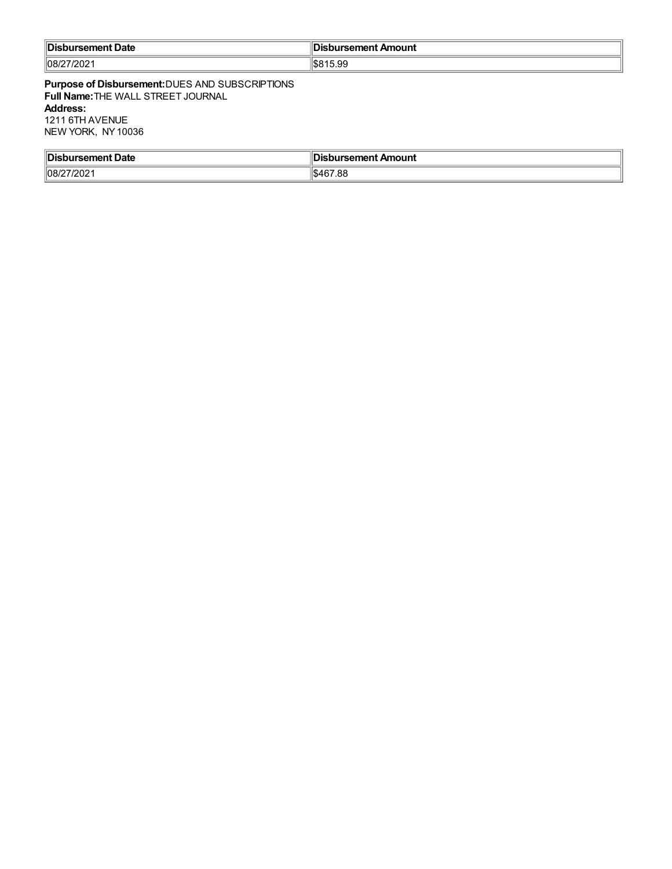| Disbursement Date              | --<br><b>Disbursement Amount</b> |
|--------------------------------|----------------------------------|
| $17120^\circ$<br> 08/27<br>'∪∠ | <b>S815.99</b>                   |

**Purpose of Disbursement:**DUES AND SUBSCRIPTIONS **Full Name:**THE WALL STREET JOURNAL **Address:** 1211 6TH AVENUE NEW YORK, NY10036

| <sup>∥</sup> Dis.   | sement Amount |
|---------------------|---------------|
| Date                | ьсп           |
| rsene               | ___           |
| ______              |               |
| $ 08/27/202\rangle$ | \$467.88      |